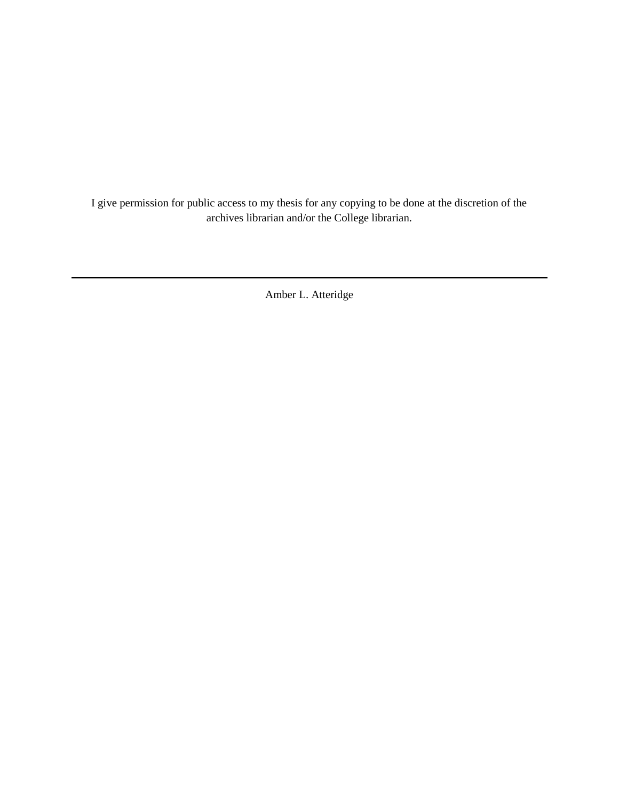I give permission for public access to my thesis for any copying to be done at the discretion of the archives librarian and/or the College librarian.

Amber L. Atteridge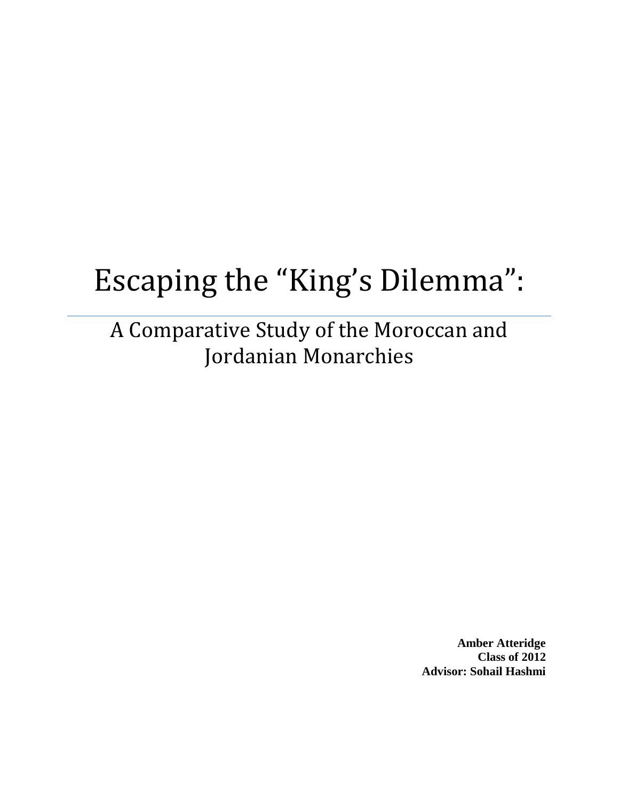# Escaping the "King's Dilemma":

A Comparative Study of the Moroccan and Jordanian Monarchies

> **Amber Atteridge Class of 2012 Advisor: Sohail Hashmi**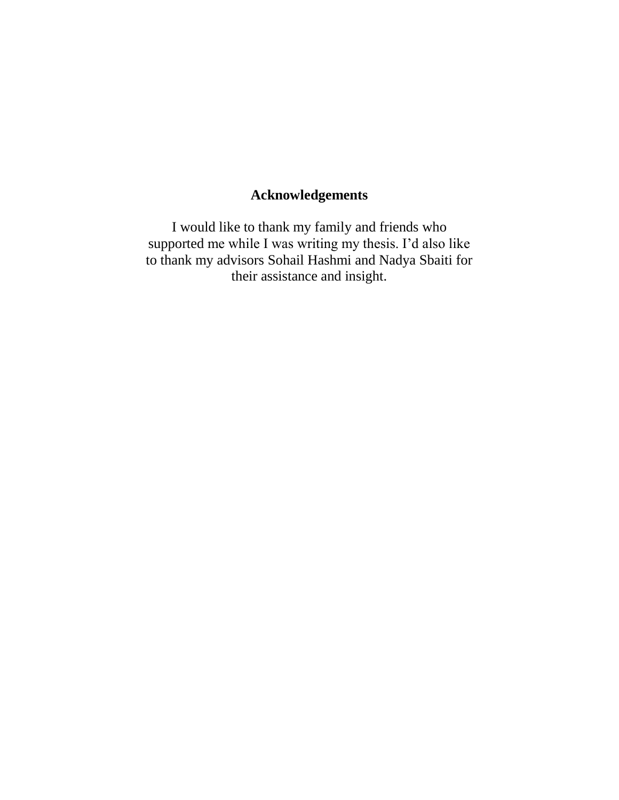# **Acknowledgements**

I would like to thank my family and friends who supported me while I was writing my thesis. I'd also like to thank my advisors Sohail Hashmi and Nadya Sbaiti for their assistance and insight.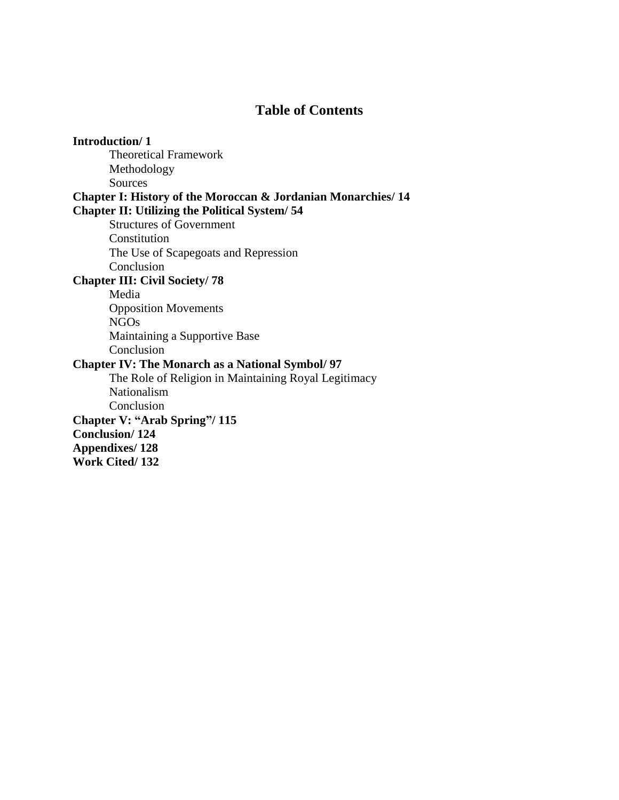# **Table of Contents**

**Introduction/ 1** Theoretical Framework Methodology Sources **Chapter I: History of the Moroccan & Jordanian Monarchies/ 14 Chapter II: Utilizing the Political System/ 54** Structures of Government Constitution The Use of Scapegoats and Repression Conclusion **Chapter III: Civil Society/ 78** Media Opposition Movements NGOs Maintaining a Supportive Base Conclusion **Chapter IV: The Monarch as a National Symbol/ 97** The Role of Religion in Maintaining Royal Legitimacy Nationalism Conclusion **Chapter V: "Arab Spring"/ 115 Conclusion/ 124 Appendixes/ 128 Work Cited/ 132**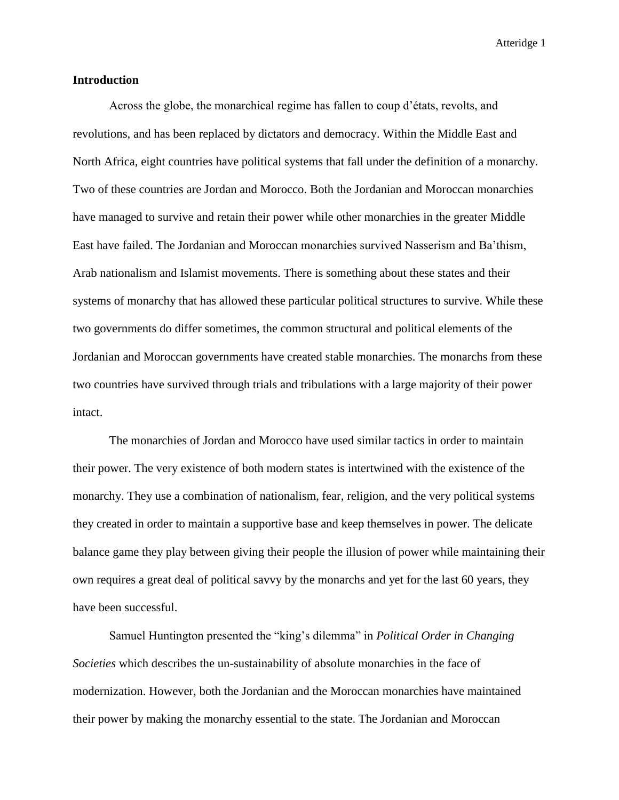## **Introduction**

Across the globe, the monarchical regime has fallen to coup d'états, revolts, and revolutions, and has been replaced by dictators and democracy. Within the Middle East and North Africa, eight countries have political systems that fall under the definition of a monarchy. Two of these countries are Jordan and Morocco. Both the Jordanian and Moroccan monarchies have managed to survive and retain their power while other monarchies in the greater Middle East have failed. The Jordanian and Moroccan monarchies survived Nasserism and Ba'thism, Arab nationalism and Islamist movements. There is something about these states and their systems of monarchy that has allowed these particular political structures to survive. While these two governments do differ sometimes, the common structural and political elements of the Jordanian and Moroccan governments have created stable monarchies. The monarchs from these two countries have survived through trials and tribulations with a large majority of their power intact.

The monarchies of Jordan and Morocco have used similar tactics in order to maintain their power. The very existence of both modern states is intertwined with the existence of the monarchy. They use a combination of nationalism, fear, religion, and the very political systems they created in order to maintain a supportive base and keep themselves in power. The delicate balance game they play between giving their people the illusion of power while maintaining their own requires a great deal of political savvy by the monarchs and yet for the last 60 years, they have been successful.

Samuel Huntington presented the "king's dilemma" in *Political Order in Changing Societies* which describes the un-sustainability of absolute monarchies in the face of modernization. However, both the Jordanian and the Moroccan monarchies have maintained their power by making the monarchy essential to the state. The Jordanian and Moroccan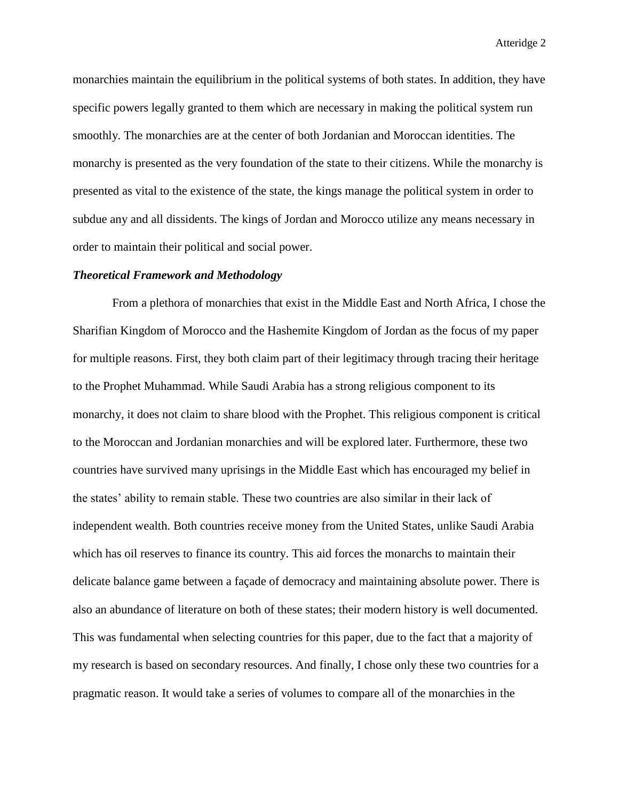monarchies maintain the equilibrium in the political systems of both states. In addition, they have specific powers legally granted to them which are necessary in making the political system run smoothly. The monarchies are at the center of both Jordanian and Moroccan identities. The monarchy is presented as the very foundation of the state to their citizens. While the monarchy is presented as vital to the existence of the state, the kings manage the political system in order to subdue any and all dissidents. The kings of Jordan and Morocco utilize any means necessary in order to maintain their political and social power.

#### *Theoretical Framework and Methodology*

From a plethora of monarchies that exist in the Middle East and North Africa, I chose the Sharifian Kingdom of Morocco and the Hashemite Kingdom of Jordan as the focus of my paper for multiple reasons. First, they both claim part of their legitimacy through tracing their heritage to the Prophet Muhammad. While Saudi Arabia has a strong religious component to its monarchy, it does not claim to share blood with the Prophet. This religious component is critical to the Moroccan and Jordanian monarchies and will be explored later. Furthermore, these two countries have survived many uprisings in the Middle East which has encouraged my belief in the states' ability to remain stable. These two countries are also similar in their lack of independent wealth. Both countries receive money from the United States, unlike Saudi Arabia which has oil reserves to finance its country. This aid forces the monarchs to maintain their delicate balance game between a façade of democracy and maintaining absolute power. There is also an abundance of literature on both of these states; their modern history is well documented. This was fundamental when selecting countries for this paper, due to the fact that a majority of my research is based on secondary resources. And finally, I chose only these two countries for a pragmatic reason. It would take a series of volumes to compare all of the monarchies in the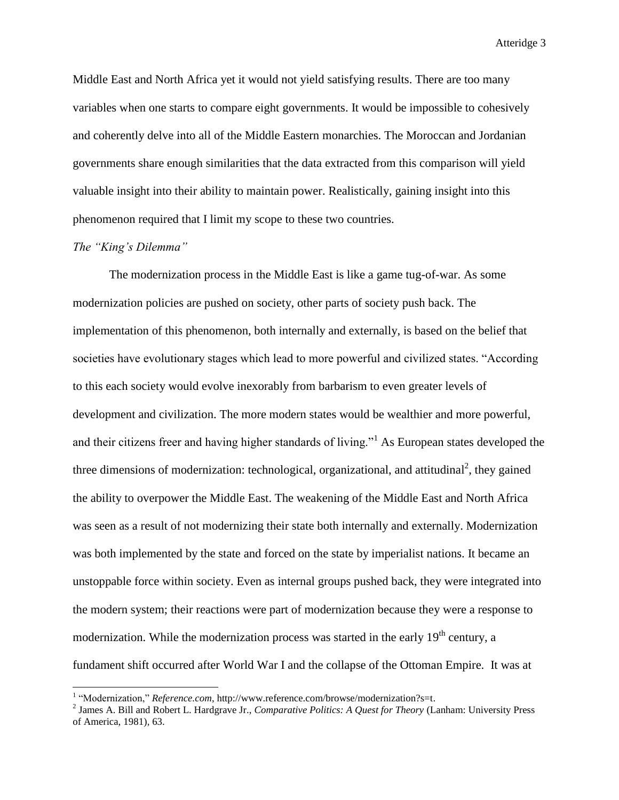Middle East and North Africa yet it would not yield satisfying results. There are too many variables when one starts to compare eight governments. It would be impossible to cohesively and coherently delve into all of the Middle Eastern monarchies. The Moroccan and Jordanian governments share enough similarities that the data extracted from this comparison will yield valuable insight into their ability to maintain power. Realistically, gaining insight into this phenomenon required that I limit my scope to these two countries.

# *The "King's Dilemma"*

l

The modernization process in the Middle East is like a game tug-of-war. As some modernization policies are pushed on society, other parts of society push back. The implementation of this phenomenon, both internally and externally, is based on the belief that societies have evolutionary stages which lead to more powerful and civilized states. "According to this each society would evolve inexorably from barbarism to even greater levels of development and civilization. The more modern states would be wealthier and more powerful, and their citizens freer and having higher standards of living."<sup>1</sup> As European states developed the three dimensions of modernization: technological, organizational, and attitudinal<sup>2</sup>, they gained the ability to overpower the Middle East. The weakening of the Middle East and North Africa was seen as a result of not modernizing their state both internally and externally. Modernization was both implemented by the state and forced on the state by imperialist nations. It became an unstoppable force within society. Even as internal groups pushed back, they were integrated into the modern system; their reactions were part of modernization because they were a response to modernization. While the modernization process was started in the early  $19<sup>th</sup>$  century, a fundament shift occurred after World War I and the collapse of the Ottoman Empire. It was at

<sup>&</sup>lt;sup>1</sup> "Modernization," *Reference.com*, http://www.reference.com/browse/modernization?s=t.

<sup>2</sup> James A. Bill and Robert L. Hardgrave Jr., *Comparative Politics: A Quest for Theory* (Lanham: University Press of America, 1981), 63.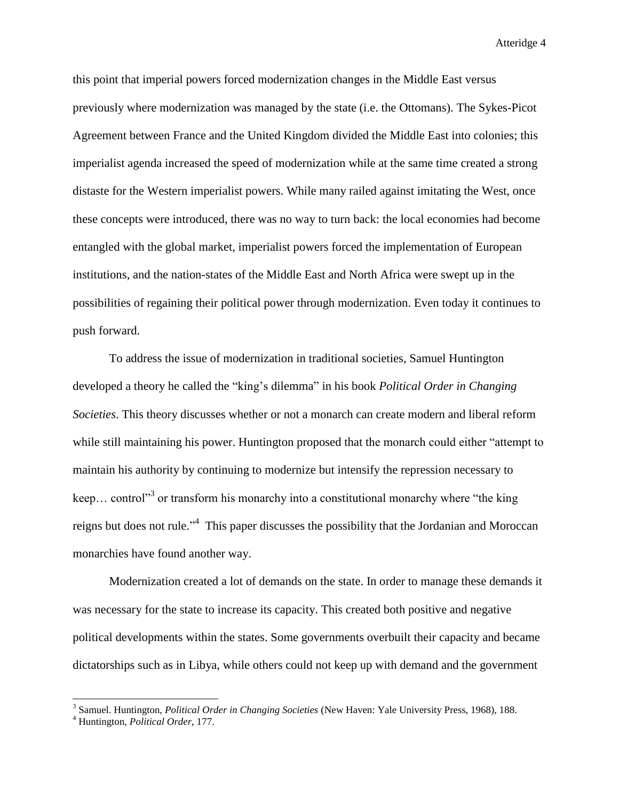this point that imperial powers forced modernization changes in the Middle East versus previously where modernization was managed by the state (i.e. the Ottomans). The Sykes-Picot Agreement between France and the United Kingdom divided the Middle East into colonies; this imperialist agenda increased the speed of modernization while at the same time created a strong distaste for the Western imperialist powers. While many railed against imitating the West, once these concepts were introduced, there was no way to turn back: the local economies had become entangled with the global market, imperialist powers forced the implementation of European institutions, and the nation-states of the Middle East and North Africa were swept up in the possibilities of regaining their political power through modernization. Even today it continues to push forward.

To address the issue of modernization in traditional societies, Samuel Huntington developed a theory he called the "king's dilemma" in his book *Political Order in Changing Societies*. This theory discusses whether or not a monarch can create modern and liberal reform while still maintaining his power. Huntington proposed that the monarch could either "attempt to maintain his authority by continuing to modernize but intensify the repression necessary to keep... control<sup>33</sup> or transform his monarchy into a constitutional monarchy where "the king" reigns but does not rule."<sup>4</sup> This paper discusses the possibility that the Jordanian and Moroccan monarchies have found another way.

Modernization created a lot of demands on the state. In order to manage these demands it was necessary for the state to increase its capacity. This created both positive and negative political developments within the states. Some governments overbuilt their capacity and became dictatorships such as in Libya, while others could not keep up with demand and the government

<sup>3</sup> Samuel. Huntington, *Political Order in Changing Societies* (New Haven: Yale University Press, 1968), 188.

<sup>4</sup> Huntington, *Political Order*, 177.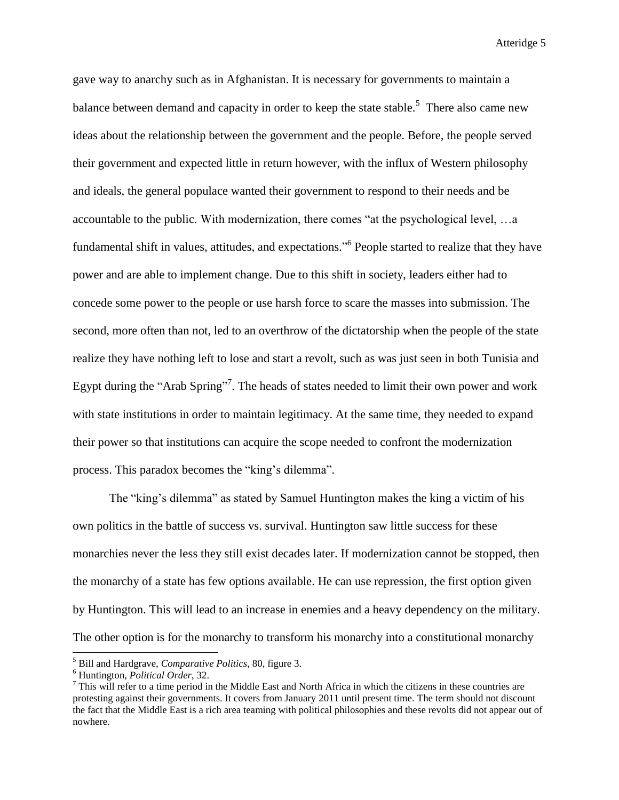gave way to anarchy such as in Afghanistan. It is necessary for governments to maintain a balance between demand and capacity in order to keep the state stable.<sup>5</sup> There also came new ideas about the relationship between the government and the people. Before, the people served their government and expected little in return however, with the influx of Western philosophy and ideals, the general populace wanted their government to respond to their needs and be accountable to the public. With modernization, there comes "at the psychological level, …a fundamental shift in values, attitudes, and expectations."<sup>6</sup> People started to realize that they have power and are able to implement change. Due to this shift in society, leaders either had to concede some power to the people or use harsh force to scare the masses into submission. The second, more often than not, led to an overthrow of the dictatorship when the people of the state realize they have nothing left to lose and start a revolt, such as was just seen in both Tunisia and Egypt during the "Arab Spring"<sup>7</sup>. The heads of states needed to limit their own power and work with state institutions in order to maintain legitimacy. At the same time, they needed to expand their power so that institutions can acquire the scope needed to confront the modernization process. This paradox becomes the "king's dilemma".

The "king's dilemma" as stated by Samuel Huntington makes the king a victim of his own politics in the battle of success vs. survival. Huntington saw little success for these monarchies never the less they still exist decades later. If modernization cannot be stopped, then the monarchy of a state has few options available. He can use repression, the first option given by Huntington. This will lead to an increase in enemies and a heavy dependency on the military. The other option is for the monarchy to transform his monarchy into a constitutional monarchy

<sup>5</sup> Bill and Hardgrave, *Comparative Politics*, 80, figure 3.

<sup>6</sup> Huntington, *Political Order*, 32.

 $<sup>7</sup>$  This will refer to a time period in the Middle East and North Africa in which the citizens in these countries are</sup> protesting against their governments. It covers from January 2011 until present time. The term should not discount the fact that the Middle East is a rich area teaming with political philosophies and these revolts did not appear out of nowhere.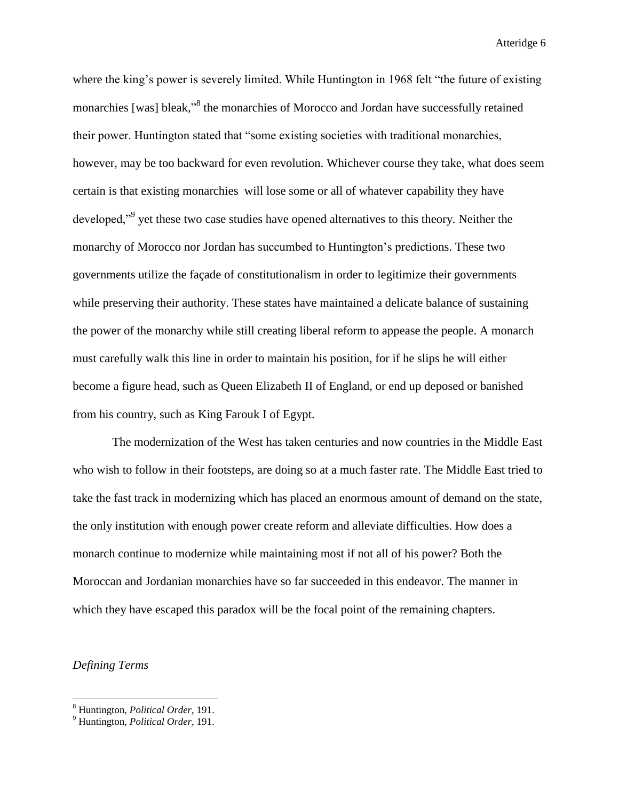where the king's power is severely limited. While Huntington in 1968 felt "the future of existing monarchies [was] bleak,"<sup>8</sup> the monarchies of Morocco and Jordan have successfully retained their power. Huntington stated that "some existing societies with traditional monarchies, however, may be too backward for even revolution. Whichever course they take, what does seem certain is that existing monarchies will lose some or all of whatever capability they have developed,"<sup>9</sup> yet these two case studies have opened alternatives to this theory. Neither the monarchy of Morocco nor Jordan has succumbed to Huntington's predictions. These two governments utilize the façade of constitutionalism in order to legitimize their governments while preserving their authority. These states have maintained a delicate balance of sustaining the power of the monarchy while still creating liberal reform to appease the people. A monarch must carefully walk this line in order to maintain his position, for if he slips he will either become a figure head, such as Queen Elizabeth II of England, or end up deposed or banished from his country, such as King Farouk I of Egypt.

The modernization of the West has taken centuries and now countries in the Middle East who wish to follow in their footsteps, are doing so at a much faster rate. The Middle East tried to take the fast track in modernizing which has placed an enormous amount of demand on the state, the only institution with enough power create reform and alleviate difficulties. How does a monarch continue to modernize while maintaining most if not all of his power? Both the Moroccan and Jordanian monarchies have so far succeeded in this endeavor. The manner in which they have escaped this paradox will be the focal point of the remaining chapters.

*Defining Terms*

<sup>8</sup> Huntington, *Political Order*, 191.

<sup>9</sup> Huntington, *Political Order*, 191.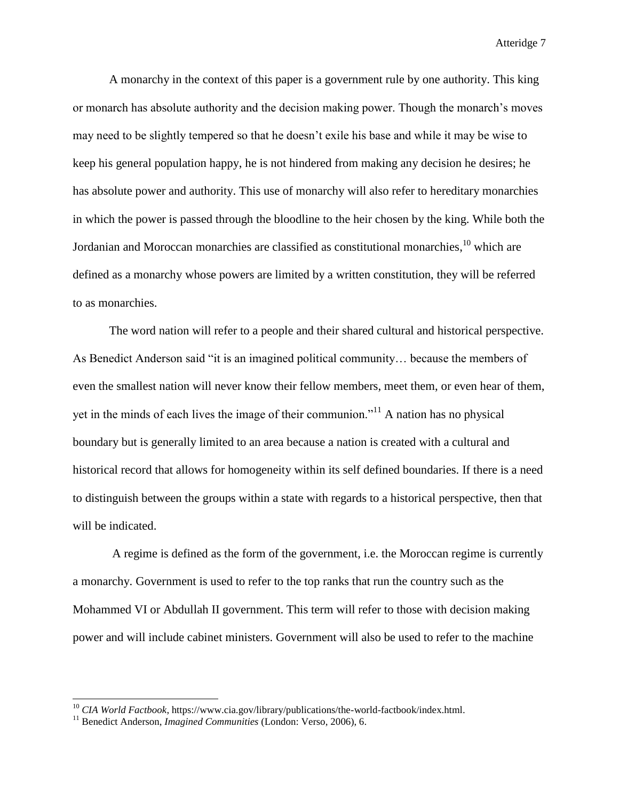A monarchy in the context of this paper is a government rule by one authority. This king or monarch has absolute authority and the decision making power. Though the monarch's moves may need to be slightly tempered so that he doesn't exile his base and while it may be wise to keep his general population happy, he is not hindered from making any decision he desires; he has absolute power and authority. This use of monarchy will also refer to hereditary monarchies in which the power is passed through the bloodline to the heir chosen by the king. While both the Jordanian and Moroccan monarchies are classified as constitutional monarchies,  $^{10}$  which are defined as a monarchy whose powers are limited by a written constitution, they will be referred to as monarchies.

The word nation will refer to a people and their shared cultural and historical perspective. As Benedict Anderson said "it is an imagined political community… because the members of even the smallest nation will never know their fellow members, meet them, or even hear of them, yet in the minds of each lives the image of their communion."<sup>11</sup> A nation has no physical boundary but is generally limited to an area because a nation is created with a cultural and historical record that allows for homogeneity within its self defined boundaries. If there is a need to distinguish between the groups within a state with regards to a historical perspective, then that will be indicated.

A regime is defined as the form of the government, i.e. the Moroccan regime is currently a monarchy. Government is used to refer to the top ranks that run the country such as the Mohammed VI or Abdullah II government. This term will refer to those with decision making power and will include cabinet ministers. Government will also be used to refer to the machine

<sup>10</sup> *CIA World Factbook*, https://www.cia.gov/library/publications/the-world-factbook/index.html.

<sup>&</sup>lt;sup>11</sup> Benedict Anderson, *Imagined Communities* (London: Verso, 2006), 6.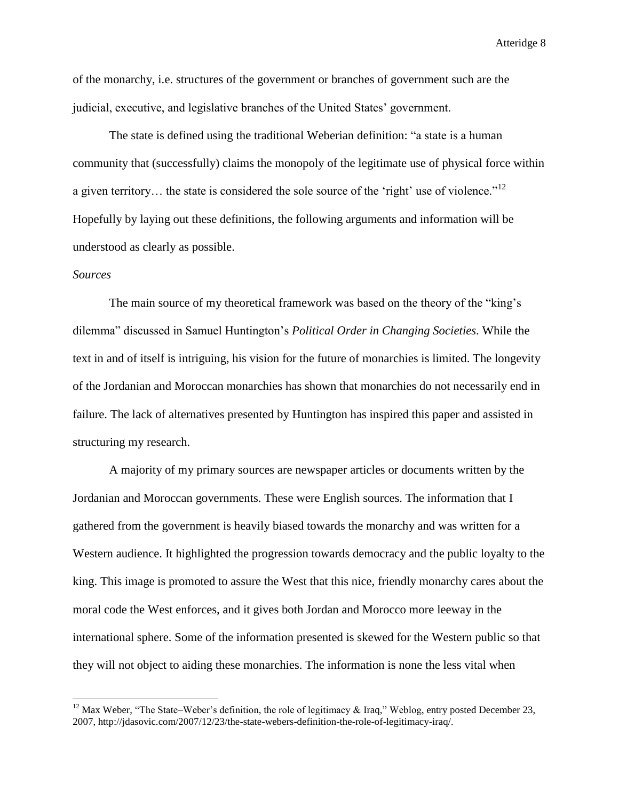of the monarchy, i.e. structures of the government or branches of government such are the judicial, executive, and legislative branches of the United States' government.

The state is defined using the traditional Weberian definition: "a state is a human community that (successfully) claims the monopoly of the legitimate use of physical force within a given territory... the state is considered the sole source of the 'right' use of violence."<sup>12</sup> Hopefully by laying out these definitions, the following arguments and information will be understood as clearly as possible.

# *Sources*

l

The main source of my theoretical framework was based on the theory of the "king's dilemma" discussed in Samuel Huntington's *Political Order in Changing Societies*. While the text in and of itself is intriguing, his vision for the future of monarchies is limited. The longevity of the Jordanian and Moroccan monarchies has shown that monarchies do not necessarily end in failure. The lack of alternatives presented by Huntington has inspired this paper and assisted in structuring my research.

A majority of my primary sources are newspaper articles or documents written by the Jordanian and Moroccan governments. These were English sources. The information that I gathered from the government is heavily biased towards the monarchy and was written for a Western audience. It highlighted the progression towards democracy and the public loyalty to the king. This image is promoted to assure the West that this nice, friendly monarchy cares about the moral code the West enforces, and it gives both Jordan and Morocco more leeway in the international sphere. Some of the information presented is skewed for the Western public so that they will not object to aiding these monarchies. The information is none the less vital when

<sup>&</sup>lt;sup>12</sup> Max Weber, "The State–Weber's definition, the role of legitimacy & Iraq," Weblog, entry posted December 23, 2007, http://jdasovic.com/2007/12/23/the-state-webers-definition-the-role-of-legitimacy-iraq/.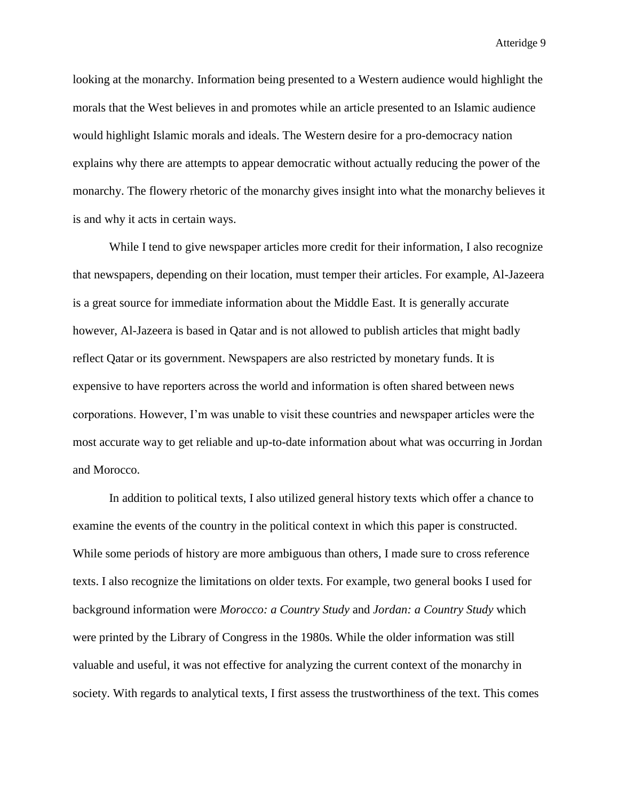looking at the monarchy. Information being presented to a Western audience would highlight the morals that the West believes in and promotes while an article presented to an Islamic audience would highlight Islamic morals and ideals. The Western desire for a pro-democracy nation explains why there are attempts to appear democratic without actually reducing the power of the monarchy. The flowery rhetoric of the monarchy gives insight into what the monarchy believes it is and why it acts in certain ways.

While I tend to give newspaper articles more credit for their information, I also recognize that newspapers, depending on their location, must temper their articles. For example, Al-Jazeera is a great source for immediate information about the Middle East. It is generally accurate however, Al-Jazeera is based in Qatar and is not allowed to publish articles that might badly reflect Qatar or its government. Newspapers are also restricted by monetary funds. It is expensive to have reporters across the world and information is often shared between news corporations. However, I'm was unable to visit these countries and newspaper articles were the most accurate way to get reliable and up-to-date information about what was occurring in Jordan and Morocco.

In addition to political texts, I also utilized general history texts which offer a chance to examine the events of the country in the political context in which this paper is constructed. While some periods of history are more ambiguous than others, I made sure to cross reference texts. I also recognize the limitations on older texts. For example, two general books I used for background information were *Morocco: a Country Study* and *Jordan: a Country Study* which were printed by the Library of Congress in the 1980s. While the older information was still valuable and useful, it was not effective for analyzing the current context of the monarchy in society. With regards to analytical texts, I first assess the trustworthiness of the text. This comes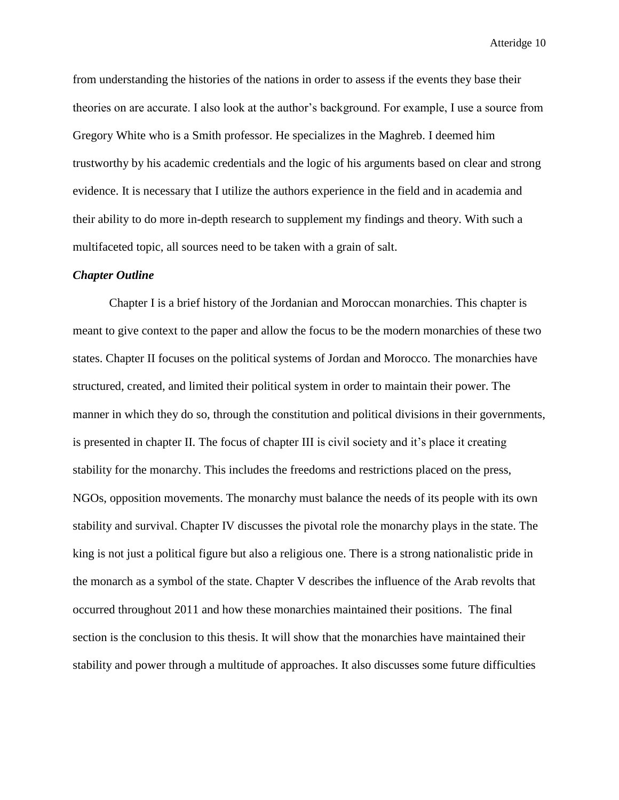from understanding the histories of the nations in order to assess if the events they base their theories on are accurate. I also look at the author's background. For example, I use a source from Gregory White who is a Smith professor. He specializes in the Maghreb. I deemed him trustworthy by his academic credentials and the logic of his arguments based on clear and strong evidence. It is necessary that I utilize the authors experience in the field and in academia and their ability to do more in-depth research to supplement my findings and theory. With such a multifaceted topic, all sources need to be taken with a grain of salt.

#### *Chapter Outline*

Chapter I is a brief history of the Jordanian and Moroccan monarchies. This chapter is meant to give context to the paper and allow the focus to be the modern monarchies of these two states. Chapter II focuses on the political systems of Jordan and Morocco. The monarchies have structured, created, and limited their political system in order to maintain their power. The manner in which they do so, through the constitution and political divisions in their governments, is presented in chapter II. The focus of chapter III is civil society and it's place it creating stability for the monarchy. This includes the freedoms and restrictions placed on the press, NGOs, opposition movements. The monarchy must balance the needs of its people with its own stability and survival. Chapter IV discusses the pivotal role the monarchy plays in the state. The king is not just a political figure but also a religious one. There is a strong nationalistic pride in the monarch as a symbol of the state. Chapter V describes the influence of the Arab revolts that occurred throughout 2011 and how these monarchies maintained their positions. The final section is the conclusion to this thesis. It will show that the monarchies have maintained their stability and power through a multitude of approaches. It also discusses some future difficulties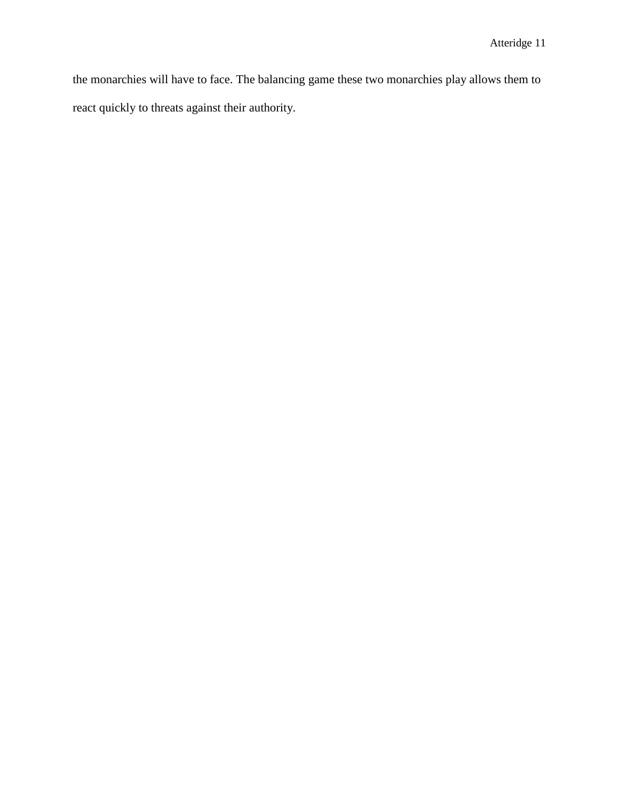the monarchies will have to face. The balancing game these two monarchies play allows them to react quickly to threats against their authority.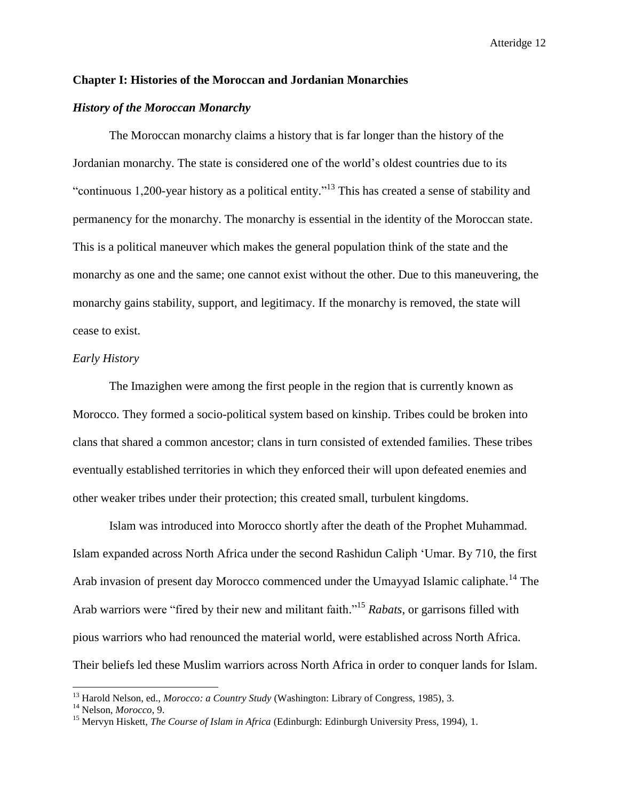# **Chapter I: Histories of the Moroccan and Jordanian Monarchies**

## *History of the Moroccan Monarchy*

The Moroccan monarchy claims a history that is far longer than the history of the Jordanian monarchy. The state is considered one of the world's oldest countries due to its "continuous 1,200-year history as a political entity."<sup>13</sup> This has created a sense of stability and permanency for the monarchy. The monarchy is essential in the identity of the Moroccan state. This is a political maneuver which makes the general population think of the state and the monarchy as one and the same; one cannot exist without the other. Due to this maneuvering, the monarchy gains stability, support, and legitimacy. If the monarchy is removed, the state will cease to exist.

#### *Early History*

The Imazighen were among the first people in the region that is currently known as Morocco. They formed a socio-political system based on kinship. Tribes could be broken into clans that shared a common ancestor; clans in turn consisted of extended families. These tribes eventually established territories in which they enforced their will upon defeated enemies and other weaker tribes under their protection; this created small, turbulent kingdoms.

Islam was introduced into Morocco shortly after the death of the Prophet Muhammad. Islam expanded across North Africa under the second Rashidun Caliph 'Umar. By 710, the first Arab invasion of present day Morocco commenced under the Umayyad Islamic caliphate.<sup>14</sup> The Arab warriors were "fired by their new and militant faith." <sup>15</sup> *Rabats*, or garrisons filled with pious warriors who had renounced the material world, were established across North Africa. Their beliefs led these Muslim warriors across North Africa in order to conquer lands for Islam.

<sup>13</sup> Harold Nelson, ed., *Morocco: a Country Study* (Washington: Library of Congress, 1985), 3.

<sup>14</sup> Nelson, *Morocco*, 9.

<sup>&</sup>lt;sup>15</sup> Mervyn Hiskett, *The Course of Islam in Africa* (Edinburgh: Edinburgh University Press, 1994), 1.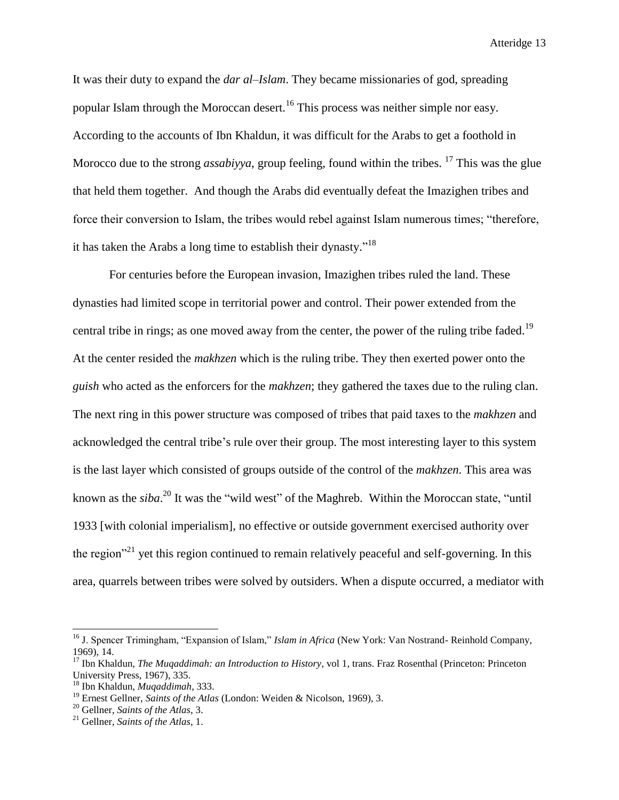It was their duty to expand the *dar al–Islam*. They became missionaries of god, spreading popular Islam through the Moroccan desert.<sup>16</sup> This process was neither simple nor easy. According to the accounts of Ibn Khaldun, it was difficult for the Arabs to get a foothold in Morocco due to the strong *assabiyya*, group feeling, found within the tribes. <sup>17</sup> This was the glue that held them together. And though the Arabs did eventually defeat the Imazighen tribes and force their conversion to Islam, the tribes would rebel against Islam numerous times; "therefore, it has taken the Arabs a long time to establish their dynasty."<sup>18</sup>

For centuries before the European invasion, Imazighen tribes ruled the land. These dynasties had limited scope in territorial power and control. Their power extended from the central tribe in rings; as one moved away from the center, the power of the ruling tribe faded.<sup>19</sup> At the center resided the *makhzen* which is the ruling tribe. They then exerted power onto the *guish* who acted as the enforcers for the *makhzen*; they gathered the taxes due to the ruling clan. The next ring in this power structure was composed of tribes that paid taxes to the *makhzen* and acknowledged the central tribe's rule over their group. The most interesting layer to this system is the last layer which consisted of groups outside of the control of the *makhzen*. This area was known as the *siba*. <sup>20</sup> It was the "wild west" of the Maghreb. Within the Moroccan state, "until 1933 [with colonial imperialism], no effective or outside government exercised authority over the region<sup> $21$ </sup> yet this region continued to remain relatively peaceful and self-governing. In this area, quarrels between tribes were solved by outsiders. When a dispute occurred, a mediator with

<sup>16</sup> J. Spencer Trimingham, "Expansion of Islam," *Islam in Africa* (New York: Van Nostrand- Reinhold Company, 1969), 14.

<sup>17</sup> Ibn Khaldun, *The Muqaddimah: an Introduction to History*, vol 1, trans. Fraz Rosenthal (Princeton: Princeton University Press, 1967), 335.

<sup>18</sup> Ibn Khaldun, *Muqaddimah*, 333.

<sup>19</sup> Ernest Gellner, *Saints of the Atlas* (London: Weiden & Nicolson, 1969), 3.

<sup>20</sup> Gellner, *Saints of the Atlas*, 3.

<sup>21</sup> Gellner, *Saints of the Atlas*, 1.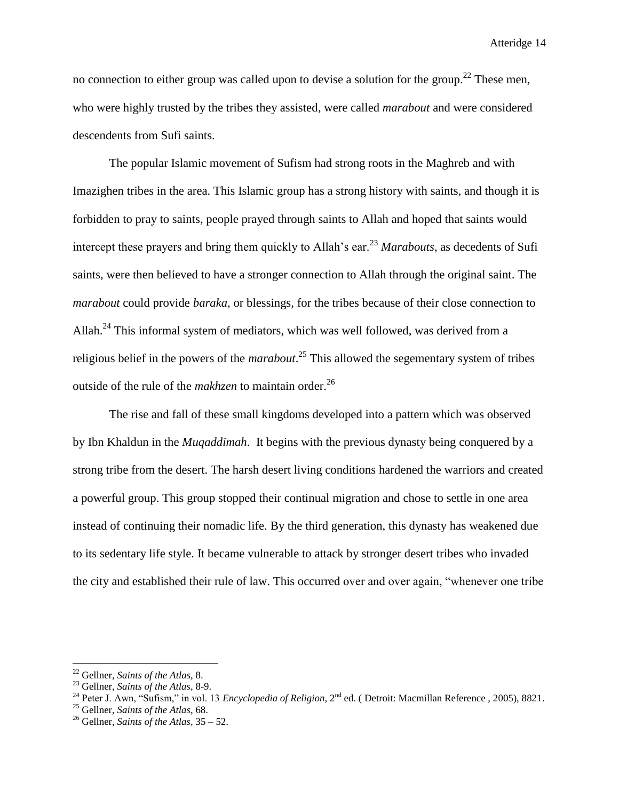no connection to either group was called upon to devise a solution for the group.<sup>22</sup> These men, who were highly trusted by the tribes they assisted, were called *marabout* and were considered descendents from Sufi saints.

The popular Islamic movement of Sufism had strong roots in the Maghreb and with Imazighen tribes in the area. This Islamic group has a strong history with saints, and though it is forbidden to pray to saints, people prayed through saints to Allah and hoped that saints would intercept these prayers and bring them quickly to Allah's ear.<sup>23</sup> *Marabouts*, as decedents of Sufi saints, were then believed to have a stronger connection to Allah through the original saint. The *marabout* could provide *baraka*, or blessings, for the tribes because of their close connection to Allah.<sup>24</sup> This informal system of mediators, which was well followed, was derived from a religious belief in the powers of the *marabout*. <sup>25</sup> This allowed the segementary system of tribes outside of the rule of the *makhzen* to maintain order.<sup>26</sup>

The rise and fall of these small kingdoms developed into a pattern which was observed by Ibn Khaldun in the *Muqaddimah*. It begins with the previous dynasty being conquered by a strong tribe from the desert. The harsh desert living conditions hardened the warriors and created a powerful group. This group stopped their continual migration and chose to settle in one area instead of continuing their nomadic life. By the third generation, this dynasty has weakened due to its sedentary life style. It became vulnerable to attack by stronger desert tribes who invaded the city and established their rule of law. This occurred over and over again, "whenever one tribe

<sup>22</sup> Gellner, *Saints of the Atlas*, 8.

<sup>23</sup> Gellner, *Saints of the Atlas*, 8-9.

<sup>&</sup>lt;sup>24</sup> Peter J. Awn, "Sufism," in vol. 13 *Encyclopedia of Religion*, 2<sup>nd</sup> ed. (Detroit: Macmillan Reference, 2005), 8821.

<sup>25</sup> Gellner, *Saints of the Atlas*, 68.

<sup>26</sup> Gellner, *Saints of the Atlas*, 35 – 52.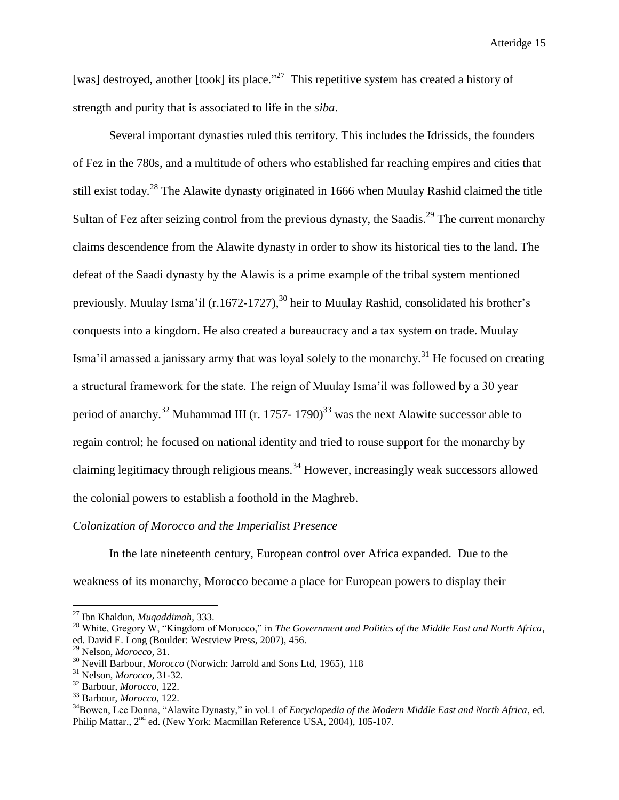[was] destroyed, another [took] its place."<sup>27</sup> This repetitive system has created a history of strength and purity that is associated to life in the *siba*.

Several important dynasties ruled this territory. This includes the Idrissids, the founders of Fez in the 780s, and a multitude of others who established far reaching empires and cities that still exist today.<sup>28</sup> The Alawite dynasty originated in 1666 when Muulay Rashid claimed the title Sultan of Fez after seizing control from the previous dynasty, the Saadis.<sup>29</sup> The current monarchy claims descendence from the Alawite dynasty in order to show its historical ties to the land. The defeat of the Saadi dynasty by the Alawis is a prime example of the tribal system mentioned previously. Muulay Isma'il (r.1672-1727),<sup>30</sup> heir to Muulay Rashid, consolidated his brother's conquests into a kingdom. He also created a bureaucracy and a tax system on trade. Muulay Isma'il amassed a janissary army that was loyal solely to the monarchy.<sup>31</sup> He focused on creating a structural framework for the state. The reign of Muulay Isma'il was followed by a 30 year period of anarchy.<sup>32</sup> Muhammad III (r. 1757- 1790)<sup>33</sup> was the next Alawite successor able to regain control; he focused on national identity and tried to rouse support for the monarchy by claiming legitimacy through religious means.<sup>34</sup> However, increasingly weak successors allowed the colonial powers to establish a foothold in the Maghreb.

# *Colonization of Morocco and the Imperialist Presence*

In the late nineteenth century, European control over Africa expanded. Due to the weakness of its monarchy, Morocco became a place for European powers to display their

 $\overline{a}$ 

<sup>27</sup> Ibn Khaldun, *Muqaddimah*, 333.

<sup>28</sup> White, Gregory W, "Kingdom of Morocco," in *The Government and Politics of the Middle East and North Africa*, ed. David E. Long (Boulder: Westview Press, 2007), 456.

<sup>29</sup> Nelson, *Morocco*, 31.

<sup>30</sup> Nevill Barbour, *Morocco* (Norwich: Jarrold and Sons Ltd, 1965), 118

<sup>31</sup> Nelson, *Morocco*, 31-32.

<sup>32</sup> Barbour, *Morocco*, 122.

<sup>33</sup> Barbour, *Morocco*, 122.

<sup>34</sup>Bowen, Lee Donna, "Alawite Dynasty," in vol.1 of *Encyclopedia of the Modern Middle East and North Africa*, ed. Philip Mattar., 2<sup>nd</sup> ed. (New York: Macmillan Reference USA, 2004), 105-107.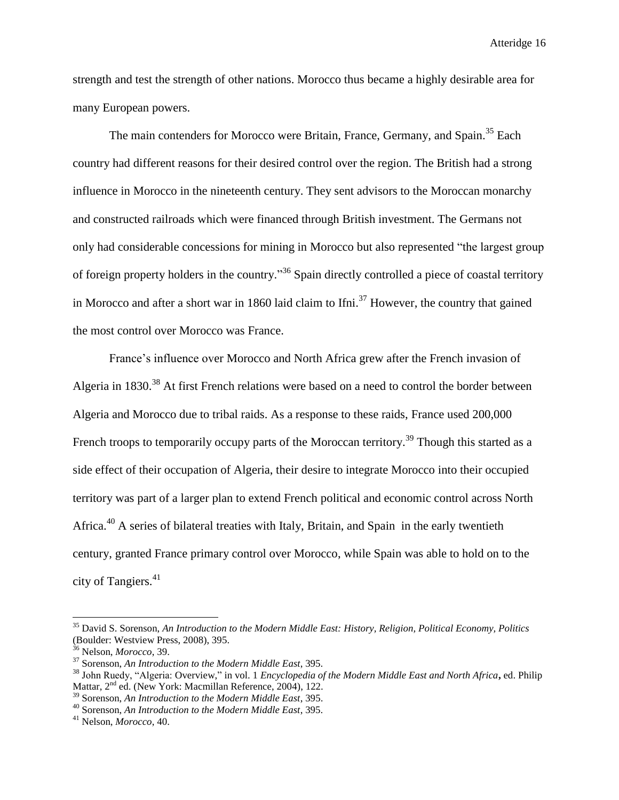strength and test the strength of other nations. Morocco thus became a highly desirable area for many European powers.

The main contenders for Morocco were Britain, France, Germany, and Spain.<sup>35</sup> Each country had different reasons for their desired control over the region. The British had a strong influence in Morocco in the nineteenth century. They sent advisors to the Moroccan monarchy and constructed railroads which were financed through British investment. The Germans not only had considerable concessions for mining in Morocco but also represented "the largest group of foreign property holders in the country."<sup>36</sup> Spain directly controlled a piece of coastal territory in Morocco and after a short war in 1860 laid claim to Ifni.<sup>37</sup> However, the country that gained the most control over Morocco was France.

France's influence over Morocco and North Africa grew after the French invasion of Algeria in 1830.<sup>38</sup> At first French relations were based on a need to control the border between Algeria and Morocco due to tribal raids. As a response to these raids, France used 200,000 French troops to temporarily occupy parts of the Moroccan territory.<sup>39</sup> Though this started as a side effect of their occupation of Algeria, their desire to integrate Morocco into their occupied territory was part of a larger plan to extend French political and economic control across North Africa.<sup>40</sup> A series of bilateral treaties with Italy, Britain, and Spain in the early twentieth century, granted France primary control over Morocco, while Spain was able to hold on to the city of Tangiers.<sup>41</sup>

<sup>35</sup> David S. Sorenson, *An Introduction to the Modern Middle East: History, Religion, Political Economy, Politics* (Boulder: Westview Press, 2008), 395.

<sup>36</sup> Nelson, *Morocco*, 39.

<sup>37</sup> Sorenson, *An Introduction to the Modern Middle East*, 395.

<sup>38</sup> John Ruedy, "Algeria: Overview," in vol. 1 *Encyclopedia of the Modern Middle East and North Africa***,** ed. Philip Mattar, 2<sup>nd</sup> ed. (New York: Macmillan Reference, 2004), 122.

<sup>39</sup> Sorenson, *An Introduction to the Modern Middle East*, 395.

<sup>40</sup> Sorenson, *An Introduction to the Modern Middle East*, 395.

<sup>41</sup> Nelson, *Morocco*, 40.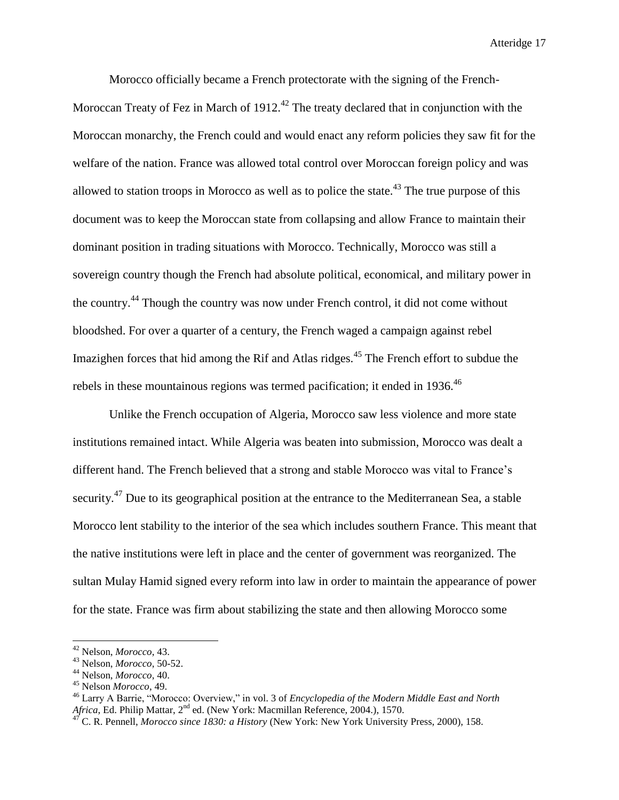Morocco officially became a French protectorate with the signing of the French-Moroccan Treaty of Fez in March of  $1912<sup>42</sup>$  The treaty declared that in conjunction with the Moroccan monarchy, the French could and would enact any reform policies they saw fit for the welfare of the nation. France was allowed total control over Moroccan foreign policy and was allowed to station troops in Morocco as well as to police the state.<sup>43</sup> The true purpose of this document was to keep the Moroccan state from collapsing and allow France to maintain their dominant position in trading situations with Morocco. Technically, Morocco was still a sovereign country though the French had absolute political, economical, and military power in the country.<sup>44</sup> Though the country was now under French control, it did not come without bloodshed. For over a quarter of a century, the French waged a campaign against rebel Imazighen forces that hid among the Rif and Atlas ridges.<sup>45</sup> The French effort to subdue the rebels in these mountainous regions was termed pacification; it ended in  $1936$ .<sup>46</sup>

Unlike the French occupation of Algeria, Morocco saw less violence and more state institutions remained intact. While Algeria was beaten into submission, Morocco was dealt a different hand. The French believed that a strong and stable Morocco was vital to France's security.<sup>47</sup> Due to its geographical position at the entrance to the Mediterranean Sea, a stable Morocco lent stability to the interior of the sea which includes southern France. This meant that the native institutions were left in place and the center of government was reorganized. The sultan Mulay Hamid signed every reform into law in order to maintain the appearance of power for the state. France was firm about stabilizing the state and then allowing Morocco some

<sup>42</sup> Nelson, *Morocco*, 43.

<sup>43</sup> Nelson, *Morocco*, 50-52.

<sup>44</sup> Nelson, *Morocco*, 40.

<sup>45</sup> Nelson *Morocco*, 49.

<sup>46</sup> Larry A Barrie, "Morocco: Overview," in vol. 3 of *[Encyclopedia of the Modern Middle East and North](http://go.galegroup.com/ps/aboutEbook.do?pubDate=120040000&actionString=DO_DISPLAY_ABOUT_PAGE&inPS=true&prodId=GVRL&userGroupName=mlin_w_mounthc&searchType=BasicSearchForm&docId=GALE%7C5BWR)*  [Africa](http://go.galegroup.com/ps/aboutEbook.do?pubDate=120040000&actionString=DO_DISPLAY_ABOUT_PAGE&inPS=true&prodId=GVRL&userGroupName=mlin_w_mounthc&searchType=BasicSearchForm&docId=GALE%7C5BWR), Ed. Philip Mattar, 2<sup>nd</sup> ed. (New York: Macmillan Reference, 2004.), 1570.

<sup>47</sup> C. R. Pennell, *Morocco since 1830: a History* (New York: New York University Press, 2000), 158.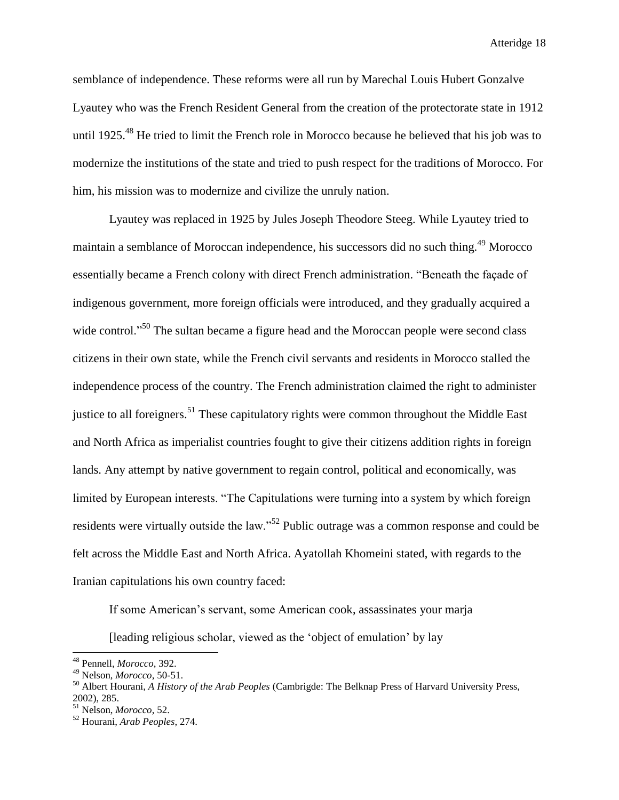semblance of independence. These reforms were all run by Marechal Louis Hubert Gonzalve Lyautey who was the French Resident General from the creation of the protectorate state in 1912 until 1925.<sup>48</sup> He tried to limit the French role in Morocco because he believed that his job was to modernize the institutions of the state and tried to push respect for the traditions of Morocco. For him, his mission was to modernize and civilize the unruly nation.

Lyautey was replaced in 1925 by Jules Joseph Theodore Steeg. While Lyautey tried to maintain a semblance of Moroccan independence, his successors did no such thing.<sup>49</sup> Morocco essentially became a French colony with direct French administration. "Beneath the façade of indigenous government, more foreign officials were introduced, and they gradually acquired a wide control."<sup>50</sup> The sultan became a figure head and the Moroccan people were second class citizens in their own state, while the French civil servants and residents in Morocco stalled the independence process of the country. The French administration claimed the right to administer justice to all foreigners.<sup>51</sup> These capitulatory rights were common throughout the Middle East and North Africa as imperialist countries fought to give their citizens addition rights in foreign lands. Any attempt by native government to regain control, political and economically, was limited by European interests. "The Capitulations were turning into a system by which foreign residents were virtually outside the law."<sup>52</sup> Public outrage was a common response and could be felt across the Middle East and North Africa. Ayatollah Khomeini stated, with regards to the Iranian capitulations his own country faced:

If some American's servant, some American cook, assassinates your marja

[leading religious scholar, viewed as the 'object of emulation' by lay

<sup>48</sup> Pennell, *Morocco*, 392.

<sup>49</sup> Nelson, *Morocco*, 50-51.

<sup>50</sup> Albert Hourani, *A History of the Arab Peoples* (Cambrigde: The Belknap Press of Harvard University Press, 2002), 285.

<sup>51</sup> Nelson, *Morocco*, 52.

<sup>52</sup> Hourani, *Arab Peoples*, 274.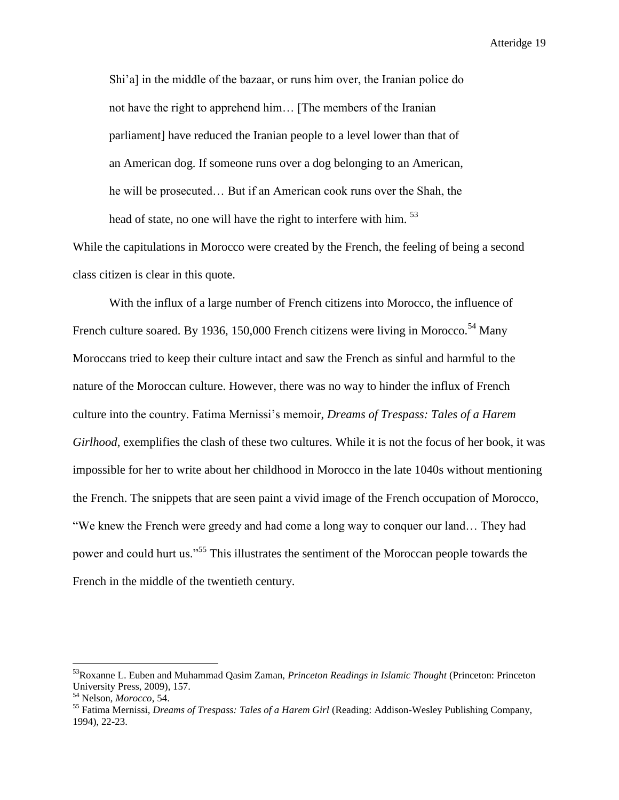Shi'a] in the middle of the bazaar, or runs him over, the Iranian police do not have the right to apprehend him… [The members of the Iranian parliament] have reduced the Iranian people to a level lower than that of an American dog. If someone runs over a dog belonging to an American, he will be prosecuted… But if an American cook runs over the Shah, the head of state, no one will have the right to interfere with him.<sup>53</sup>

While the capitulations in Morocco were created by the French, the feeling of being a second class citizen is clear in this quote.

With the influx of a large number of French citizens into Morocco, the influence of French culture soared. By 1936, 150,000 French citizens were living in Morocco.<sup>54</sup> Many Moroccans tried to keep their culture intact and saw the French as sinful and harmful to the nature of the Moroccan culture. However, there was no way to hinder the influx of French culture into the country. Fatima Mernissi's memoir, *Dreams of Trespass: Tales of a Harem Girlhood*, exemplifies the clash of these two cultures. While it is not the focus of her book, it was impossible for her to write about her childhood in Morocco in the late 1040s without mentioning the French. The snippets that are seen paint a vivid image of the French occupation of Morocco, "We knew the French were greedy and had come a long way to conquer our land… They had power and could hurt us."<sup>55</sup> This illustrates the sentiment of the Moroccan people towards the French in the middle of the twentieth century.

<sup>53</sup>Roxanne L. Euben and Muhammad Qasim Zaman, *Princeton Readings in Islamic Thought* (Princeton: Princeton University Press, 2009), 157.

<sup>54</sup> Nelson, *Morocco*, 54.

<sup>55</sup> Fatima Mernissi, *Dreams of Trespass: Tales of a Harem Girl* (Reading: Addison-Wesley Publishing Company, 1994), 22-23.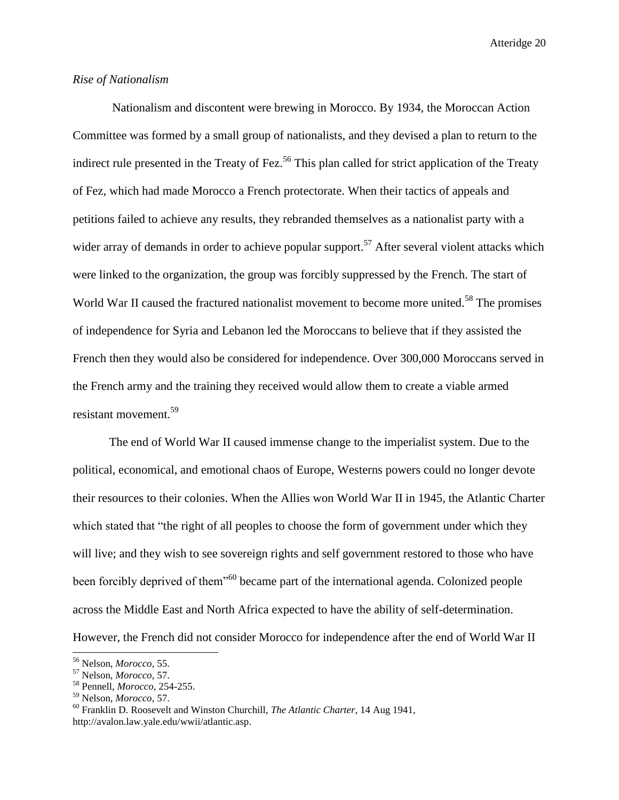# *Rise of Nationalism*

Nationalism and discontent were brewing in Morocco. By 1934, the Moroccan Action Committee was formed by a small group of nationalists, and they devised a plan to return to the indirect rule presented in the Treaty of Fez.<sup>56</sup> This plan called for strict application of the Treaty of Fez, which had made Morocco a French protectorate. When their tactics of appeals and petitions failed to achieve any results, they rebranded themselves as a nationalist party with a wider array of demands in order to achieve popular support.<sup>57</sup> After several violent attacks which were linked to the organization, the group was forcibly suppressed by the French. The start of World War II caused the fractured nationalist movement to become more united.<sup>58</sup> The promises of independence for Syria and Lebanon led the Moroccans to believe that if they assisted the French then they would also be considered for independence. Over 300,000 Moroccans served in the French army and the training they received would allow them to create a viable armed resistant movement.<sup>59</sup>

The end of World War II caused immense change to the imperialist system. Due to the political, economical, and emotional chaos of Europe, Westerns powers could no longer devote their resources to their colonies. When the Allies won World War II in 1945, the Atlantic Charter which stated that "the right of all peoples to choose the form of government under which they will live; and they wish to see sovereign rights and self government restored to those who have been forcibly deprived of them<sup>"60</sup> became part of the international agenda. Colonized people across the Middle East and North Africa expected to have the ability of self-determination. However, the French did not consider Morocco for independence after the end of World War II

<sup>56</sup> Nelson, *Morocco*, 55.

<sup>57</sup> Nelson, *Morocco*, 57.

<sup>58</sup> Pennell, *Morocco*, 254-255.

<sup>59</sup> Nelson, *Morocco*, 57.

<sup>60</sup> Franklin D. Roosevelt and Winston Churchill, *The Atlantic Charter*, 14 Aug 1941, http://avalon.law.yale.edu/wwii/atlantic.asp.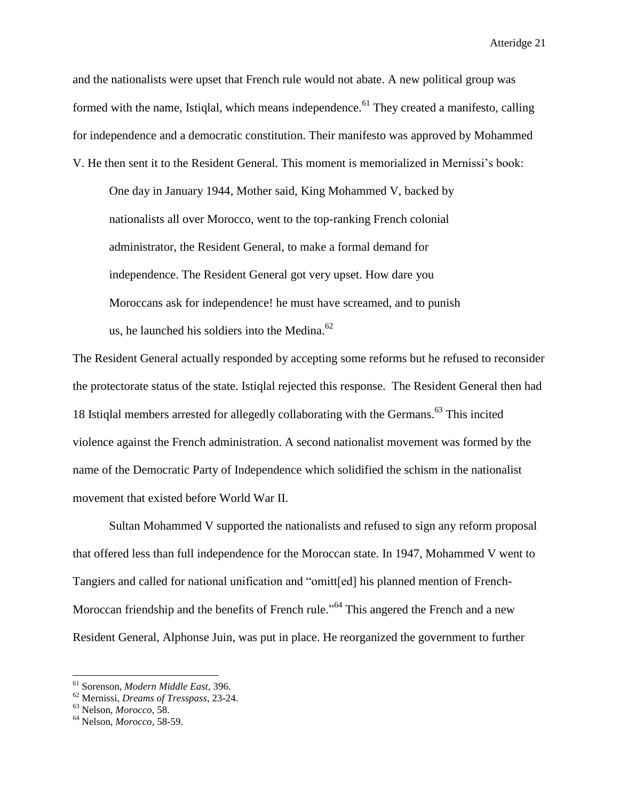and the nationalists were upset that French rule would not abate. A new political group was formed with the name, Istiglal, which means independence.<sup>61</sup> They created a manifesto, calling for independence and a democratic constitution. Their manifesto was approved by Mohammed V. He then sent it to the Resident General. This moment is memorialized in Mernissi's book:

One day in January 1944, Mother said, King Mohammed V, backed by nationalists all over Morocco, went to the top-ranking French colonial administrator, the Resident General, to make a formal demand for independence. The Resident General got very upset. How dare you Moroccans ask for independence! he must have screamed, and to punish us, he launched his soldiers into the Medina. $62$ 

The Resident General actually responded by accepting some reforms but he refused to reconsider the protectorate status of the state. Istiqlal rejected this response. The Resident General then had 18 Istiqlal members arrested for allegedly collaborating with the Germans.<sup>63</sup> This incited violence against the French administration. A second nationalist movement was formed by the name of the Democratic Party of Independence which solidified the schism in the nationalist movement that existed before World War II.

Sultan Mohammed V supported the nationalists and refused to sign any reform proposal that offered less than full independence for the Moroccan state. In 1947, Mohammed V went to Tangiers and called for national unification and "omitt[ed] his planned mention of French-Moroccan friendship and the benefits of French rule."<sup>64</sup> This angered the French and a new Resident General, Alphonse Juin, was put in place. He reorganized the government to further

 $\overline{a}$ 

<sup>61</sup> Sorenson, *Modern Middle East*, 396.

<sup>62</sup> Mernissi, *Dreams of Tresspass*, 23-24.

<sup>63</sup> Nelson, *Morocco*, 58.

<sup>64</sup> Nelson, *Morocco*, 58-59.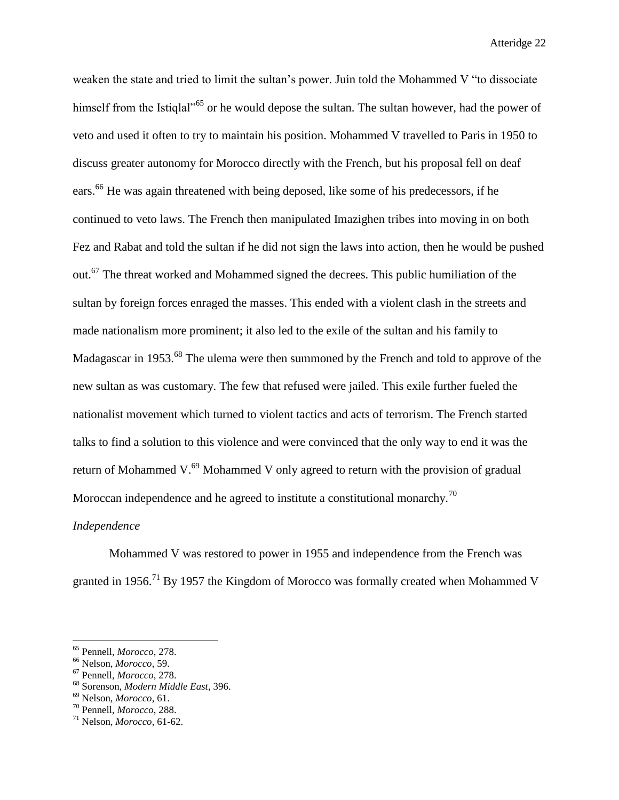weaken the state and tried to limit the sultan's power. Juin told the Mohammed V "to dissociate himself from the Istiglal<sup>565</sup> or he would depose the sultan. The sultan however, had the power of veto and used it often to try to maintain his position. Mohammed V travelled to Paris in 1950 to discuss greater autonomy for Morocco directly with the French, but his proposal fell on deaf ears.<sup>66</sup> He was again threatened with being deposed, like some of his predecessors, if he continued to veto laws. The French then manipulated Imazighen tribes into moving in on both Fez and Rabat and told the sultan if he did not sign the laws into action, then he would be pushed out.<sup>67</sup> The threat worked and Mohammed signed the decrees. This public humiliation of the sultan by foreign forces enraged the masses. This ended with a violent clash in the streets and made nationalism more prominent; it also led to the exile of the sultan and his family to Madagascar in 1953.<sup>68</sup> The ulema were then summoned by the French and told to approve of the new sultan as was customary. The few that refused were jailed. This exile further fueled the nationalist movement which turned to violent tactics and acts of terrorism. The French started talks to find a solution to this violence and were convinced that the only way to end it was the return of Mohammed V.<sup>69</sup> Mohammed V only agreed to return with the provision of gradual Moroccan independence and he agreed to institute a constitutional monarchy.<sup>70</sup>

# *Independence*

Mohammed V was restored to power in 1955 and independence from the French was granted in 1956.<sup>71</sup> By 1957 the Kingdom of Morocco was formally created when Mohammed V

<sup>65</sup> Pennell, *Morocco*, 278.

<sup>66</sup> Nelson, *Morocco*, 59.

<sup>67</sup> Pennell, *Morocco*, 278.

<sup>68</sup> Sorenson, *Modern Middle East*, 396.

<sup>69</sup> Nelson, *Morocco*, 61. <sup>70</sup> Pennell, *Morocco*, 288.

<sup>71</sup> Nelson, *Morocco*, 61-62.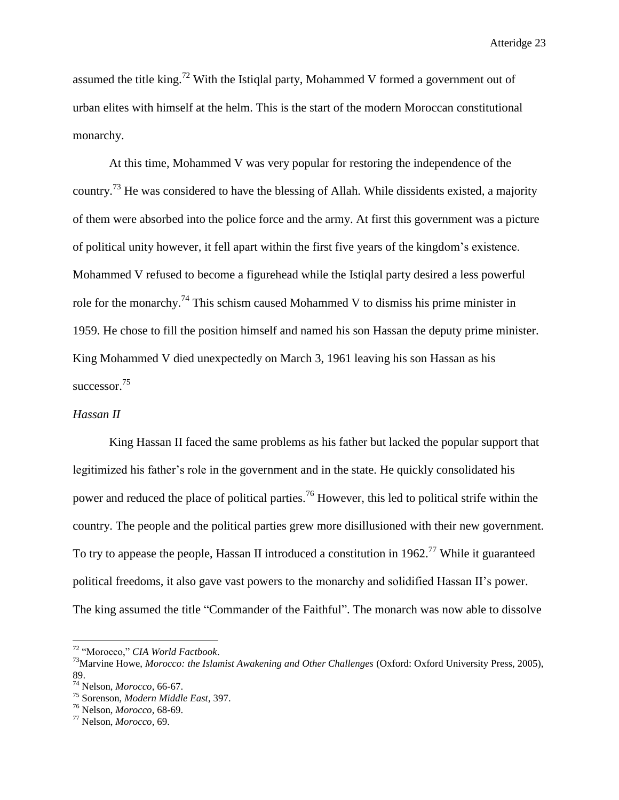assumed the title king.<sup>72</sup> With the Istiqlal party, Mohammed V formed a government out of urban elites with himself at the helm. This is the start of the modern Moroccan constitutional monarchy.

At this time, Mohammed V was very popular for restoring the independence of the country.<sup>73</sup> He was considered to have the blessing of Allah. While dissidents existed, a majority of them were absorbed into the police force and the army. At first this government was a picture of political unity however, it fell apart within the first five years of the kingdom's existence. Mohammed V refused to become a figurehead while the Istiqlal party desired a less powerful role for the monarchy.<sup>74</sup> This schism caused Mohammed V to dismiss his prime minister in 1959. He chose to fill the position himself and named his son Hassan the deputy prime minister. King Mohammed V died unexpectedly on March 3, 1961 leaving his son Hassan as his successor.<sup>75</sup>

# *Hassan II*

King Hassan II faced the same problems as his father but lacked the popular support that legitimized his father's role in the government and in the state. He quickly consolidated his power and reduced the place of political parties.<sup>76</sup> However, this led to political strife within the country. The people and the political parties grew more disillusioned with their new government. To try to appease the people, Hassan II introduced a constitution in 1962.<sup>77</sup> While it guaranteed political freedoms, it also gave vast powers to the monarchy and solidified Hassan II's power. The king assumed the title "Commander of the Faithful". The monarch was now able to dissolve

<sup>72</sup> "Morocco," *CIA World Factbook*.

<sup>73</sup>Marvine Howe, *Morocco: the Islamist Awakening and Other Challenges* (Oxford: Oxford University Press, 2005), 89.

<sup>74</sup> Nelson, *Morocco*, 66-67.

<sup>75</sup> Sorenson, *Modern Middle East*, 397.

<sup>76</sup> Nelson, *Morocco*, 68-69.

<sup>77</sup> Nelson, *Morocco*, 69.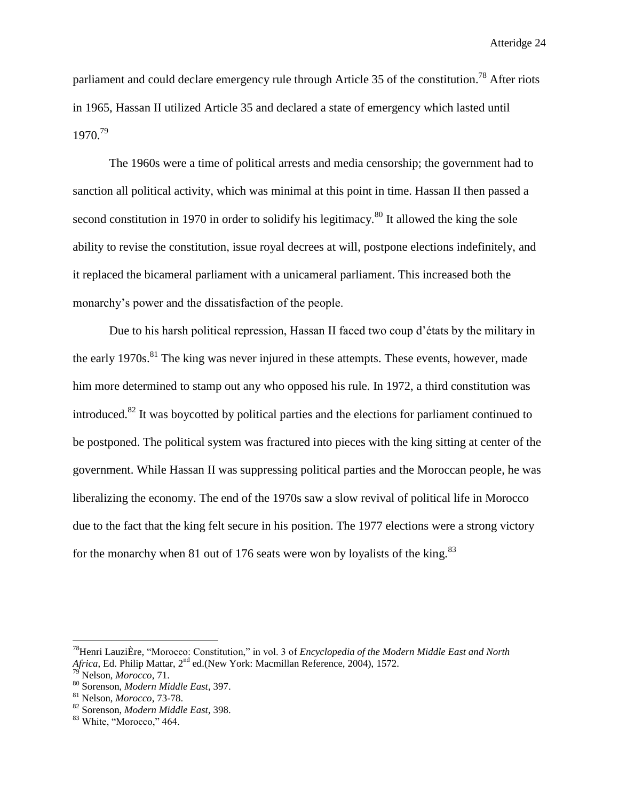parliament and could declare emergency rule through Article 35 of the constitution.<sup>78</sup> After riots in 1965, Hassan II utilized Article 35 and declared a state of emergency which lasted until 1970. 79

The 1960s were a time of political arrests and media censorship; the government had to sanction all political activity, which was minimal at this point in time. Hassan II then passed a second constitution in 1970 in order to solidify his legitimacy.<sup>80</sup> It allowed the king the sole ability to revise the constitution, issue royal decrees at will, postpone elections indefinitely, and it replaced the bicameral parliament with a unicameral parliament. This increased both the monarchy's power and the dissatisfaction of the people.

Due to his harsh political repression, Hassan II faced two coup d'états by the military in the early  $1970s$ <sup>81</sup>. The king was never injured in these attempts. These events, however, made him more determined to stamp out any who opposed his rule. In 1972, a third constitution was introduced.<sup>82</sup> It was boycotted by political parties and the elections for parliament continued to be postponed. The political system was fractured into pieces with the king sitting at center of the government. While Hassan II was suppressing political parties and the Moroccan people, he was liberalizing the economy. The end of the 1970s saw a slow revival of political life in Morocco due to the fact that the king felt secure in his position. The 1977 elections were a strong victory for the monarchy when 81 out of 176 seats were won by loyalists of the king.<sup>83</sup>

<sup>78</sup>Henri [LauziÈre,](http://go.galegroup.com/ps/advancedSearch.do?inputFieldName(0)=AU&prodId=GVRL&userGroupName=mlin_w_mounthc&method=doSearch&inputFieldValue(0)=%22Henri+Lauzi%C3%88re%22&searchType=AdvancedSearchForm) "Morocco: Constitution," in vol. 3 of *Encyclopedia of the Modern Middle East and North*  Africa, Ed. Philip Mattar, 2<sup>nd</sup> ed.(New York: Macmillan Reference, 2004), 1572.

<sup>79</sup> Nelson, *Morocco*, 71.

<sup>80</sup> Sorenson, *Modern Middle East*, 397.

<sup>81</sup> Nelson, *Morocco*, 73-78.

<sup>82</sup> Sorenson, *Modern Middle East*, 398.

<sup>&</sup>lt;sup>83</sup> White, "Morocco," 464.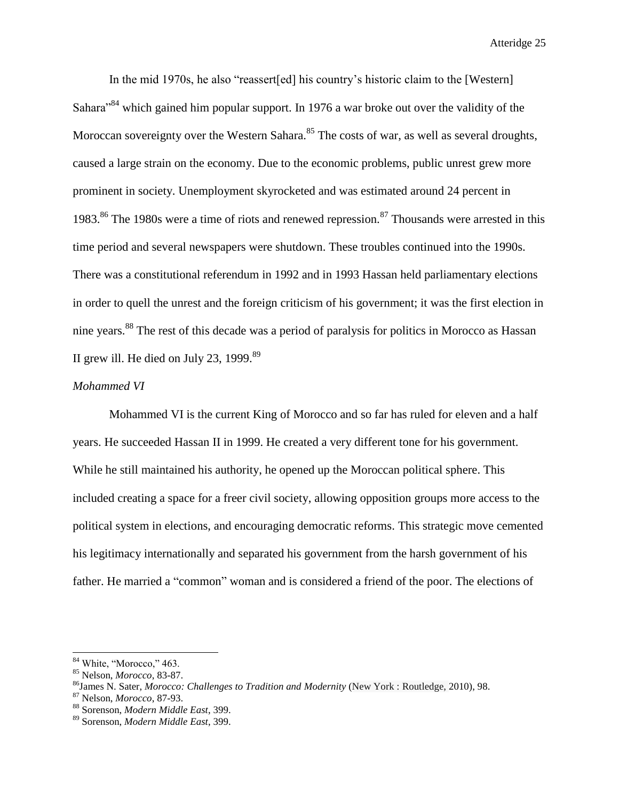In the mid 1970s, he also "reassert[ed] his country's historic claim to the [Western] Sahara<sup>84</sup> which gained him popular support. In 1976 a war broke out over the validity of the Moroccan sovereignty over the Western Sahara.<sup>85</sup> The costs of war, as well as several droughts, caused a large strain on the economy. Due to the economic problems, public unrest grew more prominent in society. Unemployment skyrocketed and was estimated around 24 percent in 1983.<sup>86</sup> The 1980s were a time of riots and renewed repression.<sup>87</sup> Thousands were arrested in this time period and several newspapers were shutdown. These troubles continued into the 1990s. There was a constitutional referendum in 1992 and in 1993 Hassan held parliamentary elections in order to quell the unrest and the foreign criticism of his government; it was the first election in nine years.<sup>88</sup> The rest of this decade was a period of paralysis for politics in Morocco as Hassan II grew ill. He died on July 23, 1999. $89$ 

# *Mohammed VI*

Mohammed VI is the current King of Morocco and so far has ruled for eleven and a half years. He succeeded Hassan II in 1999. He created a very different tone for his government. While he still maintained his authority, he opened up the Moroccan political sphere. This included creating a space for a freer civil society, allowing opposition groups more access to the political system in elections, and encouraging democratic reforms. This strategic move cemented his legitimacy internationally and separated his government from the harsh government of his father. He married a "common" woman and is considered a friend of the poor. The elections of

<sup>&</sup>lt;sup>84</sup> White, "Morocco," 463.

<sup>85</sup> Nelson, *Morocco*, 83-87.

<sup>86</sup>James N. Sater, *Morocco: Challenges to Tradition and Modernity* (New York : Routledge, 2010), 98.

<sup>87</sup> Nelson, *Morocco*, 87-93.

<sup>88</sup> Sorenson, *Modern Middle East*, 399.

<sup>89</sup> Sorenson, *Modern Middle East*, 399.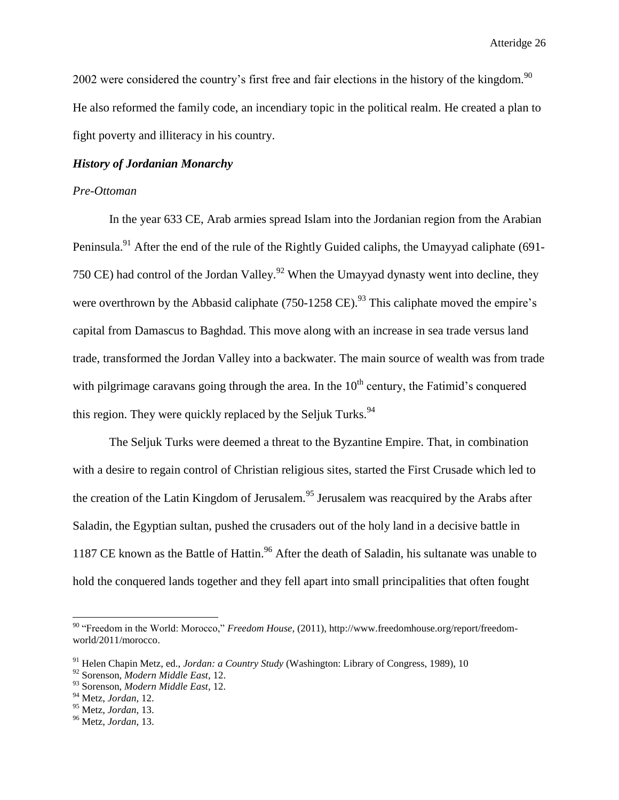2002 were considered the country's first free and fair elections in the history of the kingdom.<sup>90</sup> He also reformed the family code, an incendiary topic in the political realm. He created a plan to fight poverty and illiteracy in his country.

# *History of Jordanian Monarchy*

# *Pre-Ottoman*

In the year 633 CE, Arab armies spread Islam into the Jordanian region from the Arabian Peninsula.<sup>91</sup> After the end of the rule of the Rightly Guided caliphs, the Umayyad caliphate (691-750 CE) had control of the Jordan Valley.<sup>92</sup> When the Umayyad dynasty went into decline, they were overthrown by the Abbasid caliphate  $(750-1258 \text{ CE})^{93}$  This caliphate moved the empire's capital from Damascus to Baghdad. This move along with an increase in sea trade versus land trade, transformed the Jordan Valley into a backwater. The main source of wealth was from trade with pilgrimage caravans going through the area. In the  $10<sup>th</sup>$  century, the Fatimid's conquered this region. They were quickly replaced by the Seljuk Turks.<sup>94</sup>

The Seljuk Turks were deemed a threat to the Byzantine Empire. That, in combination with a desire to regain control of Christian religious sites, started the First Crusade which led to the creation of the Latin Kingdom of Jerusalem.<sup>95</sup> Jerusalem was reacquired by the Arabs after Saladin, the Egyptian sultan, pushed the crusaders out of the holy land in a decisive battle in 1187 CE known as the Battle of Hattin.<sup>96</sup> After the death of Saladin, his sultanate was unable to hold the conquered lands together and they fell apart into small principalities that often fought

<sup>90</sup> "Freedom in the World: Morocco," *Freedom House*, (2011), http://www.freedomhouse.org/report/freedomworld/2011/morocco.

<sup>91</sup> Helen Chapin Metz, ed., *Jordan: a Country Study* (Washington: Library of Congress, 1989), 10

<sup>92</sup> Sorenson, *Modern Middle East*, 12.

<sup>93</sup> Sorenson, *Modern Middle East*, 12.

<sup>94</sup> Metz, *Jordan*, 12.

<sup>95</sup> Metz, *Jordan*, 13.

<sup>96</sup> Metz, *Jordan*, 13.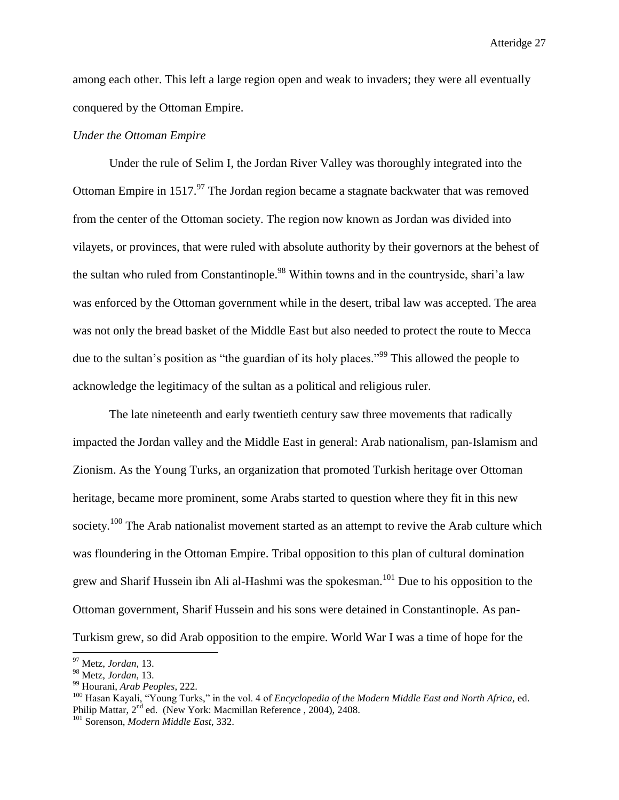among each other. This left a large region open and weak to invaders; they were all eventually conquered by the Ottoman Empire.

#### *Under the Ottoman Empire*

Under the rule of Selim I, the Jordan River Valley was thoroughly integrated into the Ottoman Empire in  $1517<sup>97</sup>$  The Jordan region became a stagnate backwater that was removed from the center of the Ottoman society. The region now known as Jordan was divided into vilayets, or provinces, that were ruled with absolute authority by their governors at the behest of the sultan who ruled from Constantinople.<sup>98</sup> Within towns and in the countryside, shari'a law was enforced by the Ottoman government while in the desert, tribal law was accepted. The area was not only the bread basket of the Middle East but also needed to protect the route to Mecca due to the sultan's position as "the guardian of its holy places."<sup>99</sup> This allowed the people to acknowledge the legitimacy of the sultan as a political and religious ruler.

The late nineteenth and early twentieth century saw three movements that radically impacted the Jordan valley and the Middle East in general: Arab nationalism, pan-Islamism and Zionism. As the Young Turks, an organization that promoted Turkish heritage over Ottoman heritage, became more prominent, some Arabs started to question where they fit in this new society.<sup>100</sup> The Arab nationalist movement started as an attempt to revive the Arab culture which was floundering in the Ottoman Empire. Tribal opposition to this plan of cultural domination grew and Sharif Hussein ibn Ali al-Hashmi was the spokesman.<sup>101</sup> Due to his opposition to the Ottoman government, Sharif Hussein and his sons were detained in Constantinople. As pan-Turkism grew, so did Arab opposition to the empire. World War I was a time of hope for the

<sup>97</sup> Metz, *Jordan*, 13.

<sup>98</sup> Metz, *Jordan*, 13.

<sup>99</sup> Hourani, *Arab Peoples*, 222.

<sup>100</sup> Hasan Kayali, "Young Turks," in the vol. 4 of *Encyclopedia of the Modern Middle East and North Africa,* ed. Philip Mattar, 2<sup>nd</sup> ed. (New York: Macmillan Reference, 2004), 2408.

<sup>101</sup> Sorenson, *Modern Middle East*, 332.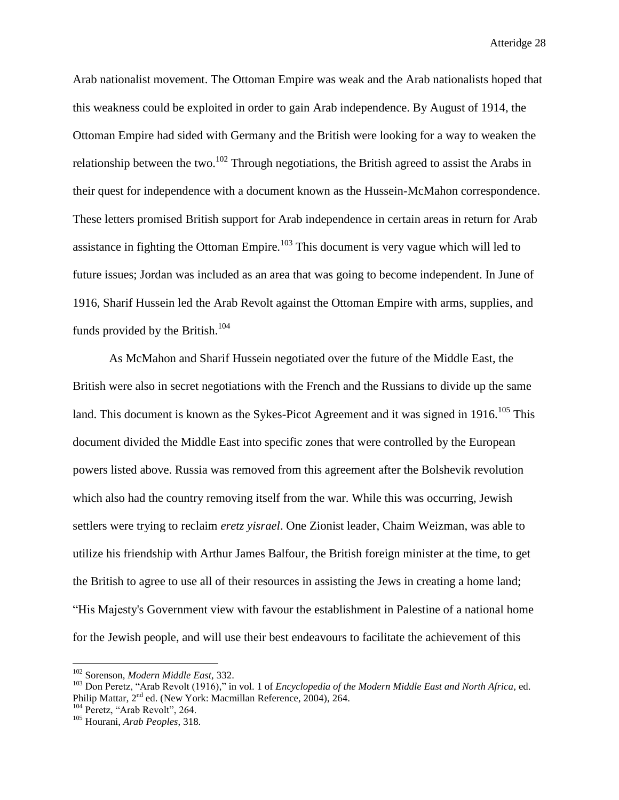Arab nationalist movement. The Ottoman Empire was weak and the Arab nationalists hoped that this weakness could be exploited in order to gain Arab independence. By August of 1914, the Ottoman Empire had sided with Germany and the British were looking for a way to weaken the relationship between the two.<sup>102</sup> Through negotiations, the British agreed to assist the Arabs in their quest for independence with a document known as the Hussein-McMahon correspondence. These letters promised British support for Arab independence in certain areas in return for Arab assistance in fighting the Ottoman Empire.<sup>103</sup> This document is very vague which will led to future issues; Jordan was included as an area that was going to become independent. In June of 1916, Sharif Hussein led the Arab Revolt against the Ottoman Empire with arms, supplies, and funds provided by the British.<sup>104</sup>

As McMahon and Sharif Hussein negotiated over the future of the Middle East, the British were also in secret negotiations with the French and the Russians to divide up the same land. This document is known as the Sykes-Picot Agreement and it was signed in  $1916$ <sup>105</sup> This document divided the Middle East into specific zones that were controlled by the European powers listed above. Russia was removed from this agreement after the Bolshevik revolution which also had the country removing itself from the war. While this was occurring, Jewish settlers were trying to reclaim *eretz yisrael*. One Zionist leader, Chaim Weizman, was able to utilize his friendship with Arthur James Balfour, the British foreign minister at the time, to get the British to agree to use all of their resources in assisting the Jews in creating a home land; "His Majesty's Government view with favour the establishment in Palestine of a national home for the Jewish people, and will use their best endeavours to facilitate the achievement of this

<sup>102</sup> Sorenson, *Modern Middle East*, 332.

<sup>103</sup> Don Peretz, "Arab Revolt (1916)," in vol. 1 of *Encyclopedia of the Modern Middle East and North Africa,* ed. Philip Mattar, 2<sup>nd</sup> ed. (New York: Macmillan Reference, 2004), 264.

<sup>&</sup>lt;sup>104</sup> Peretz, "Arab Revolt", 264.

<sup>105</sup> Hourani, *Arab Peoples*, 318.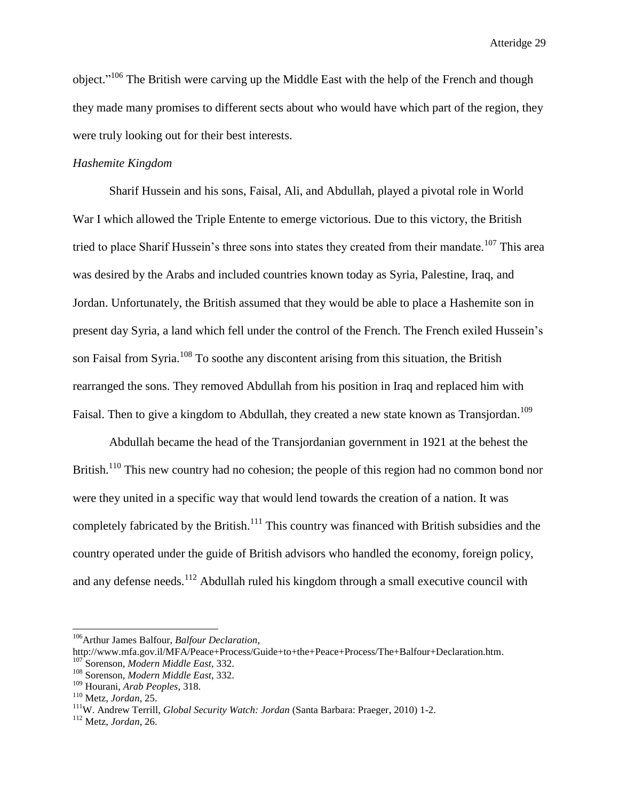object."<sup>106</sup> The British were carving up the Middle East with the help of the French and though they made many promises to different sects about who would have which part of the region, they were truly looking out for their best interests.

# *Hashemite Kingdom*

Sharif Hussein and his sons, Faisal, Ali, and Abdullah, played a pivotal role in World War I which allowed the Triple Entente to emerge victorious. Due to this victory, the British tried to place Sharif Hussein's three sons into states they created from their mandate.<sup>107</sup> This area was desired by the Arabs and included countries known today as Syria, Palestine, Iraq, and Jordan. Unfortunately, the British assumed that they would be able to place a Hashemite son in present day Syria, a land which fell under the control of the French. The French exiled Hussein's son Faisal from Syria.<sup>108</sup> To soothe any discontent arising from this situation, the British rearranged the sons. They removed Abdullah from his position in Iraq and replaced him with Faisal. Then to give a kingdom to Abdullah, they created a new state known as Transjordan.<sup>109</sup>

Abdullah became the head of the Transjordanian government in 1921 at the behest the British.<sup>110</sup> This new country had no cohesion; the people of this region had no common bond nor were they united in a specific way that would lend towards the creation of a nation. It was completely fabricated by the British.<sup>111</sup> This country was financed with British subsidies and the country operated under the guide of British advisors who handled the economy, foreign policy, and any defense needs.<sup>112</sup> Abdullah ruled his kingdom through a small executive council with

<sup>106</sup>Arthur James Balfour, *Balfour Declaration*,

[http://www.mfa.gov.il/MFA/Peace+Process/Guide+to+the+Peace+Process/The+Balfour+Declaration.htm.](http://www.mfa.gov.il/MFA/Peace+Process/Guide+to+the+Peace+Process/The+Balfour+Declaration.htm)

<sup>107</sup> Sorenson, *Modern Middle East*, 332.

<sup>108</sup> Sorenson, *Modern Middle East*, 332.

<sup>109</sup> Hourani, *Arab Peoples*, 318.

<sup>110</sup> Metz, *Jordan*, 25.

<sup>111</sup>W. Andrew Terrill, *Global Security Watch: Jordan* (Santa Barbara: Praeger, 2010) 1-2.

<sup>112</sup> Metz, *Jordan*, 26.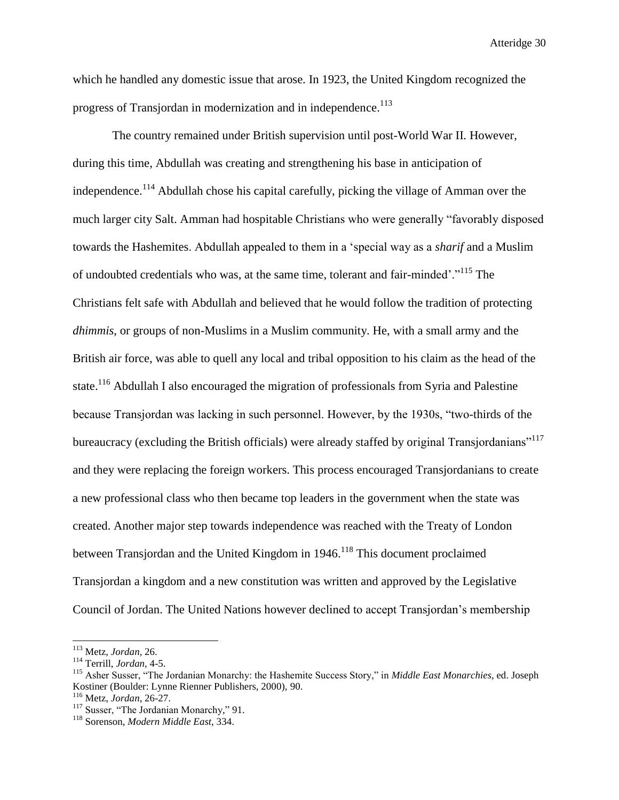which he handled any domestic issue that arose. In 1923, the United Kingdom recognized the progress of Transjordan in modernization and in independence.<sup>113</sup>

The country remained under British supervision until post-World War II. However, during this time, Abdullah was creating and strengthening his base in anticipation of independence.<sup>114</sup> Abdullah chose his capital carefully, picking the village of Amman over the much larger city Salt. Amman had hospitable Christians who were generally "favorably disposed towards the Hashemites. Abdullah appealed to them in a 'special way as a *sharif* and a Muslim of undoubted credentials who was, at the same time, tolerant and fair-minded'."<sup>115</sup> The Christians felt safe with Abdullah and believed that he would follow the tradition of protecting *dhimmis*, or groups of non-Muslims in a Muslim community. He, with a small army and the British air force, was able to quell any local and tribal opposition to his claim as the head of the state.<sup>116</sup> Abdullah I also encouraged the migration of professionals from Syria and Palestine because Transjordan was lacking in such personnel. However, by the 1930s, "two-thirds of the bureaucracy (excluding the British officials) were already staffed by original Transjordanians<sup>"117</sup> and they were replacing the foreign workers. This process encouraged Transjordanians to create a new professional class who then became top leaders in the government when the state was created. Another major step towards independence was reached with the Treaty of London between Transjordan and the United Kingdom in 1946.<sup>118</sup> This document proclaimed Transjordan a kingdom and a new constitution was written and approved by the Legislative Council of Jordan. The United Nations however declined to accept Transjordan's membership

<sup>113</sup> Metz, *Jordan*, 26.

<sup>114</sup> Terrill, *Jordan*, 4-5.

<sup>115</sup> Asher Susser, "The Jordanian Monarchy: the Hashemite Success Story," in *Middle East Monarchies*, ed. Joseph Kostiner (Boulder: Lynne Rienner Publishers, 2000), 90.

<sup>116</sup> Metz, *Jordan*, 26-27.

<sup>&</sup>lt;sup>117</sup> Susser, "The Jordanian Monarchy," 91.

<sup>118</sup> Sorenson, *Modern Middle East*, 334.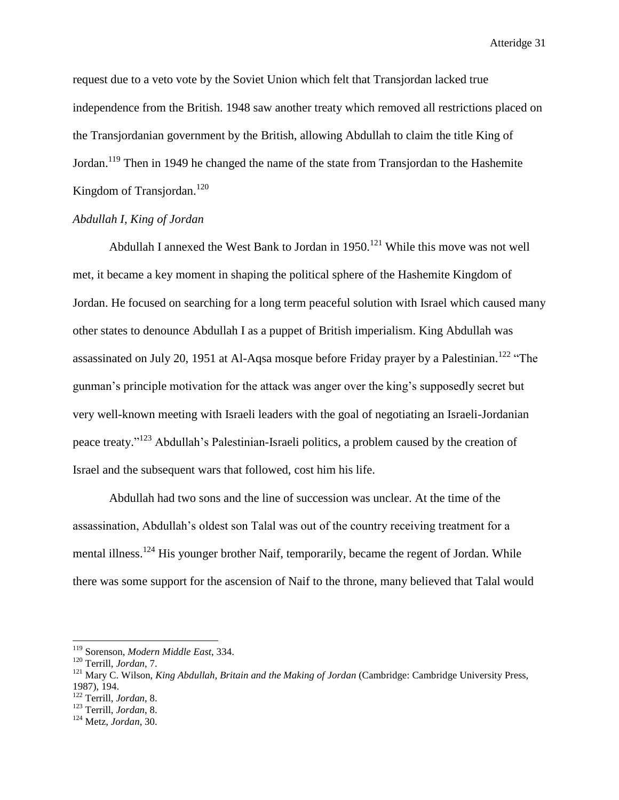request due to a veto vote by the Soviet Union which felt that Transjordan lacked true independence from the British. 1948 saw another treaty which removed all restrictions placed on the Transjordanian government by the British, allowing Abdullah to claim the title King of Jordan.<sup>119</sup> Then in 1949 he changed the name of the state from Transjordan to the Hashemite Kingdom of Transjordan.<sup>120</sup>

# *Abdullah I, King of Jordan*

Abdullah I annexed the West Bank to Jordan in  $1950$ .<sup>121</sup> While this move was not well met, it became a key moment in shaping the political sphere of the Hashemite Kingdom of Jordan. He focused on searching for a long term peaceful solution with Israel which caused many other states to denounce Abdullah I as a puppet of British imperialism. King Abdullah was assassinated on July 20, 1951 at Al-Aqsa mosque before Friday prayer by a Palestinian.<sup>122</sup> "The gunman's principle motivation for the attack was anger over the king's supposedly secret but very well-known meeting with Israeli leaders with the goal of negotiating an Israeli-Jordanian peace treaty."<sup>123</sup> Abdullah's Palestinian-Israeli politics, a problem caused by the creation of Israel and the subsequent wars that followed, cost him his life.

Abdullah had two sons and the line of succession was unclear. At the time of the assassination, Abdullah's oldest son Talal was out of the country receiving treatment for a mental illness.<sup>124</sup> His younger brother Naif, temporarily, became the regent of Jordan. While there was some support for the ascension of Naif to the throne, many believed that Talal would

l

<sup>122</sup> Terrill, *Jordan*, 8.

<sup>119</sup> Sorenson, *Modern Middle East*, 334.

<sup>120</sup> Terrill, *Jordan*, 7.

<sup>121</sup> Mary C. Wilson, *King Abdullah, Britain and the Making of Jordan* (Cambridge: Cambridge University Press, 1987), 194.

<sup>123</sup> Terrill, *Jordan*, 8.

<sup>124</sup> Metz, *Jordan*, 30.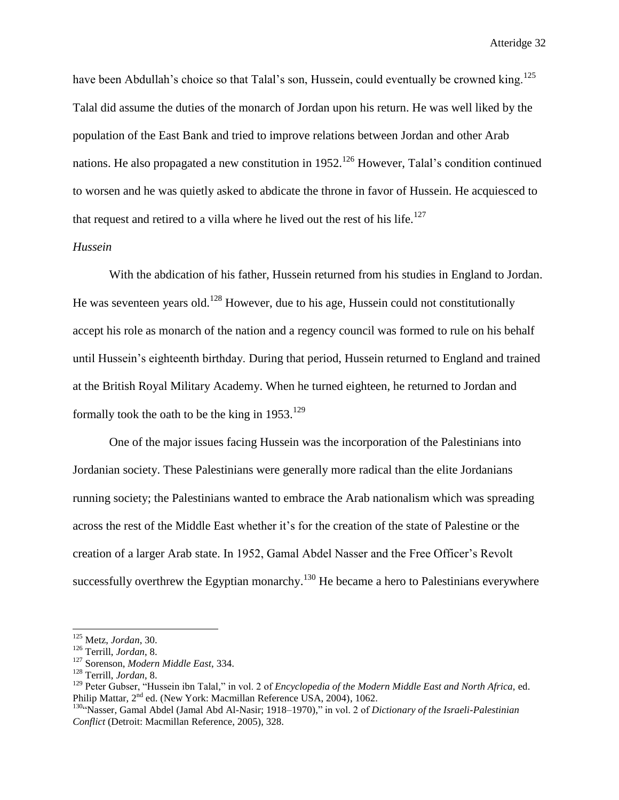have been Abdullah's choice so that Talal's son, Hussein, could eventually be crowned king.<sup>125</sup> Talal did assume the duties of the monarch of Jordan upon his return. He was well liked by the population of the East Bank and tried to improve relations between Jordan and other Arab nations. He also propagated a new constitution in  $1952$ .<sup>126</sup> However, Talal's condition continued to worsen and he was quietly asked to abdicate the throne in favor of Hussein. He acquiesced to that request and retired to a villa where he lived out the rest of his life.<sup>127</sup>

# *Hussein*

With the abdication of his father, Hussein returned from his studies in England to Jordan. He was seventeen years old.<sup>128</sup> However, due to his age, Hussein could not constitutionally accept his role as monarch of the nation and a regency council was formed to rule on his behalf until Hussein's eighteenth birthday. During that period, Hussein returned to England and trained at the British Royal Military Academy. When he turned eighteen, he returned to Jordan and formally took the oath to be the king in  $1953$ <sup>129</sup>

One of the major issues facing Hussein was the incorporation of the Palestinians into Jordanian society. These Palestinians were generally more radical than the elite Jordanians running society; the Palestinians wanted to embrace the Arab nationalism which was spreading across the rest of the Middle East whether it's for the creation of the state of Palestine or the creation of a larger Arab state. In 1952, Gamal Abdel Nasser and the Free Officer's Revolt successfully overthrew the Egyptian monarchy.<sup>130</sup> He became a hero to Palestinians everywhere

<sup>125</sup> Metz, *Jordan*, 30.

<sup>126</sup> Terrill, *Jordan*, 8.

<sup>127</sup> Sorenson, *Modern Middle East*, 334.

<sup>128</sup> Terrill, *Jordan*, 8.

<sup>129</sup> Peter Gubser, "Hussein ibn Talal," in vol. 2 of *Encyclopedia of the Modern Middle East and North Africa,* ed. Philip Mattar, 2<sup>nd</sup> ed. (New York: Macmillan Reference USA, 2004), 1062.

<sup>130</sup>"Nasser, Gamal Abdel (Jamal Abd Al-Nasir; 1918–1970)," in vol. 2 of *Dictionary of the Israeli-Palestinian Conflict* (Detroit: Macmillan Reference, 2005), 328.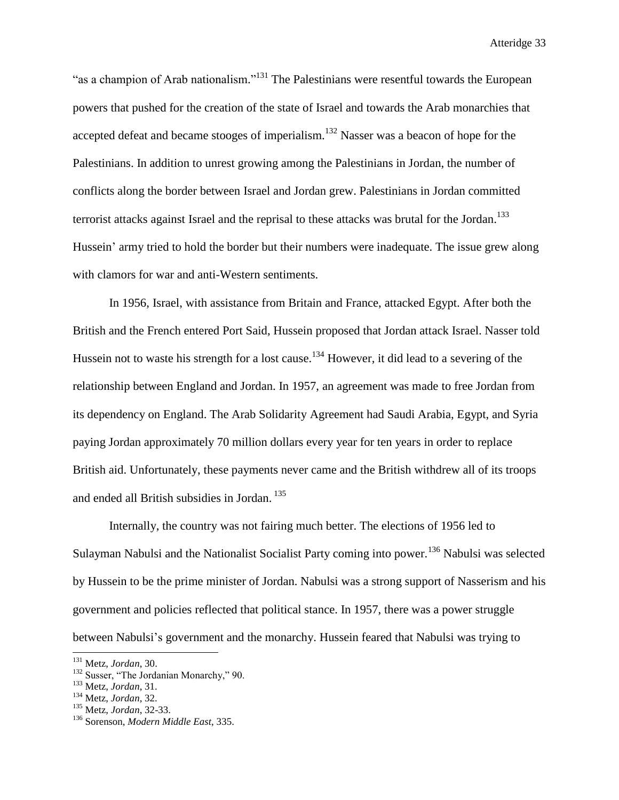"as a champion of Arab nationalism."<sup>131</sup> The Palestinians were resentful towards the European powers that pushed for the creation of the state of Israel and towards the Arab monarchies that accepted defeat and became stooges of imperialism.<sup>132</sup> Nasser was a beacon of hope for the Palestinians. In addition to unrest growing among the Palestinians in Jordan, the number of conflicts along the border between Israel and Jordan grew. Palestinians in Jordan committed terrorist attacks against Israel and the reprisal to these attacks was brutal for the Jordan.<sup>133</sup> Hussein' army tried to hold the border but their numbers were inadequate. The issue grew along with clamors for war and anti-Western sentiments.

In 1956, Israel, with assistance from Britain and France, attacked Egypt. After both the British and the French entered Port Said, Hussein proposed that Jordan attack Israel. Nasser told Hussein not to waste his strength for a lost cause.<sup>134</sup> However, it did lead to a severing of the relationship between England and Jordan. In 1957, an agreement was made to free Jordan from its dependency on England. The Arab Solidarity Agreement had Saudi Arabia, Egypt, and Syria paying Jordan approximately 70 million dollars every year for ten years in order to replace British aid. Unfortunately, these payments never came and the British withdrew all of its troops and ended all British subsidies in Jordan. <sup>135</sup>

Internally, the country was not fairing much better. The elections of 1956 led to Sulayman Nabulsi and the Nationalist Socialist Party coming into power.<sup>136</sup> Nabulsi was selected by Hussein to be the prime minister of Jordan. Nabulsi was a strong support of Nasserism and his government and policies reflected that political stance. In 1957, there was a power struggle between Nabulsi's government and the monarchy. Hussein feared that Nabulsi was trying to

<sup>131</sup> Metz, *Jordan*, 30.

<sup>&</sup>lt;sup>132</sup> Susser, "The Jordanian Monarchy," 90.

<sup>133</sup> Metz, *Jordan*, 31.

<sup>134</sup> Metz, *Jordan*, 32.

<sup>135</sup> Metz, *Jordan*, 32-33.

<sup>136</sup> Sorenson, *Modern Middle East*, 335.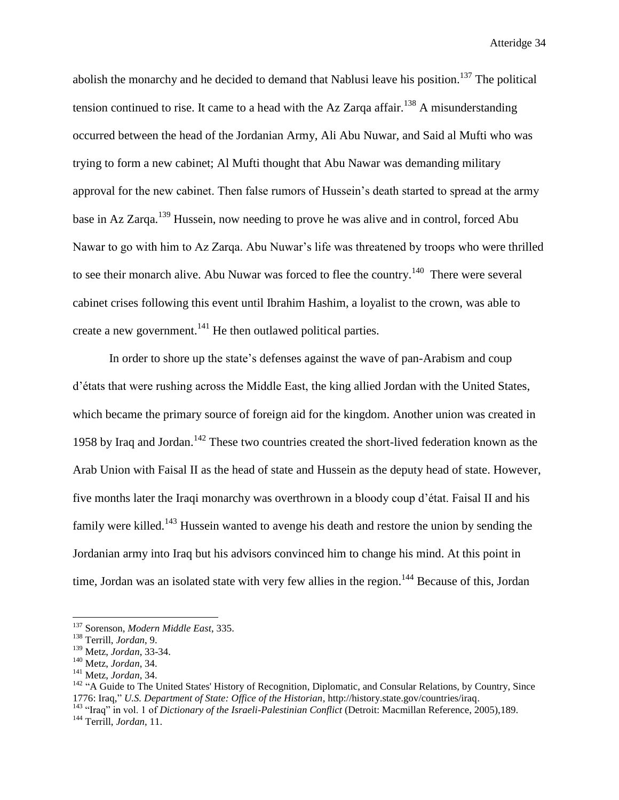abolish the monarchy and he decided to demand that Nablusi leave his position.<sup>137</sup> The political tension continued to rise. It came to a head with the Az Zarqa affair.<sup>138</sup> A misunderstanding occurred between the head of the Jordanian Army, Ali Abu Nuwar, and Said al Mufti who was trying to form a new cabinet; Al Mufti thought that Abu Nawar was demanding military approval for the new cabinet. Then false rumors of Hussein's death started to spread at the army base in Az Zarga.<sup>139</sup> Hussein, now needing to prove he was alive and in control, forced Abu Nawar to go with him to Az Zarqa. Abu Nuwar's life was threatened by troops who were thrilled to see their monarch alive. Abu Nuwar was forced to flee the country.<sup>140</sup> There were several cabinet crises following this event until Ibrahim Hashim, a loyalist to the crown, was able to create a new government.<sup>141</sup> He then outlawed political parties.

In order to shore up the state's defenses against the wave of pan-Arabism and coup d'états that were rushing across the Middle East, the king allied Jordan with the United States, which became the primary source of foreign aid for the kingdom. Another union was created in 1958 by Iraq and Jordan.<sup>142</sup> These two countries created the short-lived federation known as the Arab Union with Faisal II as the head of state and Hussein as the deputy head of state. However, five months later the Iraqi monarchy was overthrown in a bloody coup d'état. Faisal II and his family were killed.<sup>143</sup> Hussein wanted to avenge his death and restore the union by sending the Jordanian army into Iraq but his advisors convinced him to change his mind. At this point in time, Jordan was an isolated state with very few allies in the region.<sup>144</sup> Because of this, Jordan

<sup>137</sup> Sorenson, *Modern Middle East*, 335.

<sup>138</sup> Terrill, *Jordan*, 9.

<sup>139</sup> Metz, *Jordan*, 33-34.

<sup>140</sup> Metz, *Jordan*, 34.

<sup>141</sup> Metz, *Jordan*, 34.

<sup>&</sup>lt;sup>142</sup> "A Guide to The United States' History of Recognition, Diplomatic, and Consular Relations, by Country, Since 1776: Iraq," *U.S. Department of State: Office of the Historian*, http://history.state.gov/countries/iraq.

<sup>&</sup>lt;sup>143</sup> "Iraq" in vol. 1 of *Dictionary of the Israeli-Palestinian Conflict* (Detroit: Macmillan Reference, 2005),189. <sup>144</sup> Terrill, *Jordan*, 11.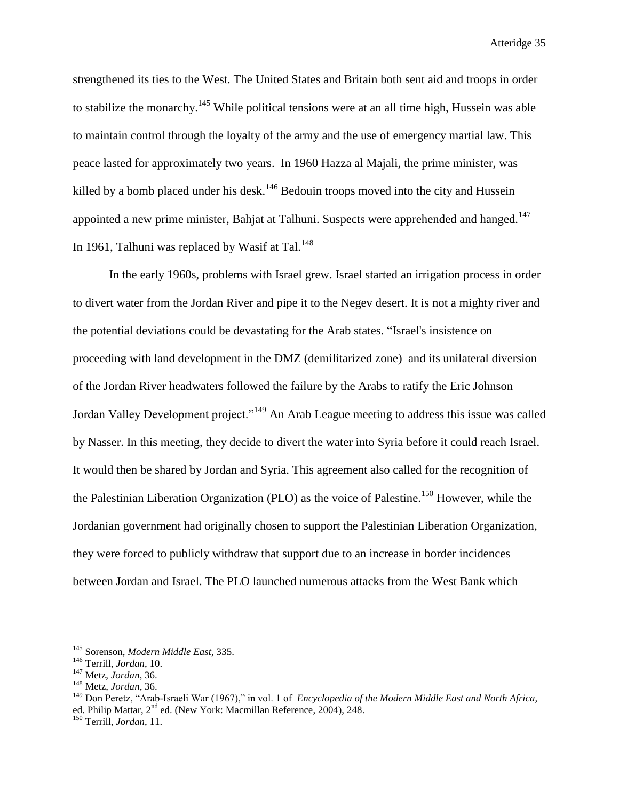strengthened its ties to the West. The United States and Britain both sent aid and troops in order to stabilize the monarchy.<sup>145</sup> While political tensions were at an all time high, Hussein was able to maintain control through the loyalty of the army and the use of emergency martial law. This peace lasted for approximately two years. In 1960 Hazza al Majali, the prime minister, was killed by a bomb placed under his desk.<sup>146</sup> Bedouin troops moved into the city and Hussein appointed a new prime minister, Bahjat at Talhuni. Suspects were apprehended and hanged.<sup>147</sup> In 1961, Talhuni was replaced by Wasif at Tal. $148$ 

In the early 1960s, problems with Israel grew. Israel started an irrigation process in order to divert water from the Jordan River and pipe it to the Negev desert. It is not a mighty river and the potential deviations could be devastating for the Arab states. "Israel's insistence on proceeding with land development in the DMZ (demilitarized zone) and its unilateral diversion of the Jordan River headwaters followed the failure by the Arabs to ratify the Eric Johnson Jordan Valley Development project."<sup>149</sup> An Arab League meeting to address this issue was called by Nasser. In this meeting, they decide to divert the water into Syria before it could reach Israel. It would then be shared by Jordan and Syria. This agreement also called for the recognition of the Palestinian Liberation Organization (PLO) as the voice of Palestine.<sup>150</sup> However, while the Jordanian government had originally chosen to support the Palestinian Liberation Organization, they were forced to publicly withdraw that support due to an increase in border incidences between Jordan and Israel. The PLO launched numerous attacks from the West Bank which

<sup>145</sup> Sorenson, *Modern Middle East*, 335.

<sup>146</sup> Terrill, *Jordan*, 10.

<sup>147</sup> Metz, *Jordan*, 36.

<sup>148</sup> Metz, *Jordan*, 36.

<sup>149</sup> Don Peretz, "Arab-Israeli War (1967)," in vol. 1 of *Encyclopedia of the Modern Middle East and North Africa,*  ed. Philip Mattar, 2nd ed. (New York: Macmillan Reference, 2004), 248.

<sup>150</sup> Terrill, *Jordan*, 11.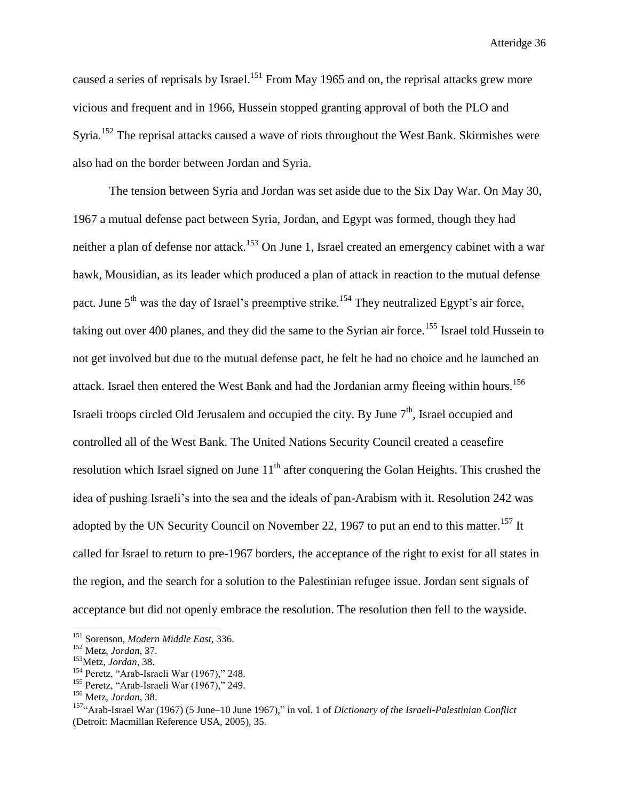caused a series of reprisals by Israel.<sup>151</sup> From May 1965 and on, the reprisal attacks grew more vicious and frequent and in 1966, Hussein stopped granting approval of both the PLO and Syria.<sup>152</sup> The reprisal attacks caused a wave of riots throughout the West Bank. Skirmishes were also had on the border between Jordan and Syria.

The tension between Syria and Jordan was set aside due to the Six Day War. On May 30, 1967 a mutual defense pact between Syria, Jordan, and Egypt was formed, though they had neither a plan of defense nor attack.<sup>153</sup> On June 1, Israel created an emergency cabinet with a war hawk, Mousidian, as its leader which produced a plan of attack in reaction to the mutual defense pact. June  $5<sup>th</sup>$  was the day of Israel's preemptive strike.<sup>154</sup> They neutralized Egypt's air force, taking out over 400 planes, and they did the same to the Syrian air force.<sup>155</sup> Israel told Hussein to not get involved but due to the mutual defense pact, he felt he had no choice and he launched an attack. Israel then entered the West Bank and had the Jordanian army fleeing within hours.<sup>156</sup> Israeli troops circled Old Jerusalem and occupied the city. By June  $7<sup>th</sup>$ , Israel occupied and controlled all of the West Bank. The United Nations Security Council created a ceasefire resolution which Israel signed on June  $11<sup>th</sup>$  after conquering the Golan Heights. This crushed the idea of pushing Israeli's into the sea and the ideals of pan-Arabism with it. Resolution 242 was adopted by the UN Security Council on November 22, 1967 to put an end to this matter.<sup>157</sup> It called for Israel to return to pre-1967 borders, the acceptance of the right to exist for all states in the region, and the search for a solution to the Palestinian refugee issue. Jordan sent signals of acceptance but did not openly embrace the resolution. The resolution then fell to the wayside.

<sup>151</sup> Sorenson, *Modern Middle East*, 336.

<sup>152</sup> Metz, *Jordan*, 37.

<sup>153</sup>Metz, *Jordan*, 38.

<sup>&</sup>lt;sup>154</sup> Peretz, "Arab-Israeli War (1967)," 248.

<sup>&</sup>lt;sup>155</sup> Peretz, "Arab-Israeli War (1967)," 249.

<sup>156</sup> Metz, *Jordan*, 38.

<sup>&</sup>lt;sup>157</sup>"Arab-Israel War (1967) (5 June–10 June 1967)," in vol. 1 of *Dictionary of the Israeli-Palestinian Conflict* (Detroit: Macmillan Reference USA, 2005), 35.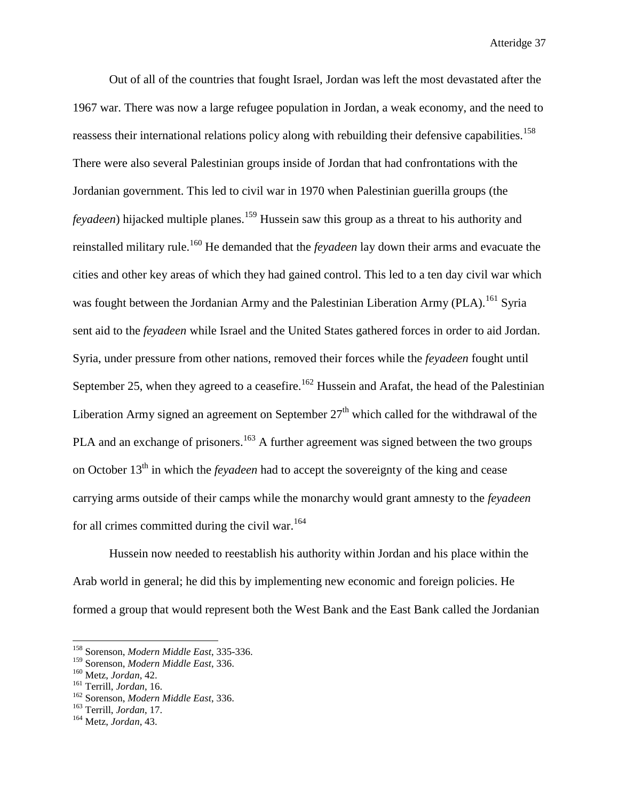Out of all of the countries that fought Israel, Jordan was left the most devastated after the 1967 war. There was now a large refugee population in Jordan, a weak economy, and the need to reassess their international relations policy along with rebuilding their defensive capabilities.<sup>158</sup> There were also several Palestinian groups inside of Jordan that had confrontations with the Jordanian government. This led to civil war in 1970 when Palestinian guerilla groups (the *feyadeen*) hijacked multiple planes.<sup>159</sup> Hussein saw this group as a threat to his authority and reinstalled military rule.<sup>160</sup> He demanded that the *feyadeen* lay down their arms and evacuate the cities and other key areas of which they had gained control. This led to a ten day civil war which was fought between the Jordanian Army and the Palestinian Liberation Army (PLA).<sup>161</sup> Syria sent aid to the *feyadeen* while Israel and the United States gathered forces in order to aid Jordan. Syria, under pressure from other nations, removed their forces while the *feyadeen* fought until September 25, when they agreed to a ceasefire.<sup>162</sup> Hussein and Arafat, the head of the Palestinian Liberation Army signed an agreement on September  $27<sup>th</sup>$  which called for the withdrawal of the PLA and an exchange of prisoners.<sup>163</sup> A further agreement was signed between the two groups on October 13<sup>th</sup> in which the *feyadeen* had to accept the sovereignty of the king and cease carrying arms outside of their camps while the monarchy would grant amnesty to the *feyadeen* for all crimes committed during the civil war.<sup>164</sup>

Hussein now needed to reestablish his authority within Jordan and his place within the Arab world in general; he did this by implementing new economic and foreign policies. He formed a group that would represent both the West Bank and the East Bank called the Jordanian

<sup>158</sup> Sorenson, *Modern Middle East*, 335-336.

<sup>159</sup> Sorenson, *Modern Middle East*, 336.

<sup>160</sup> Metz, *Jordan*, 42.

<sup>161</sup> Terrill, *Jordan*, 16.

<sup>162</sup> Sorenson, *Modern Middle East*, 336.

<sup>163</sup> Terrill, *Jordan*, 17.

<sup>164</sup> Metz, *Jordan*, 43.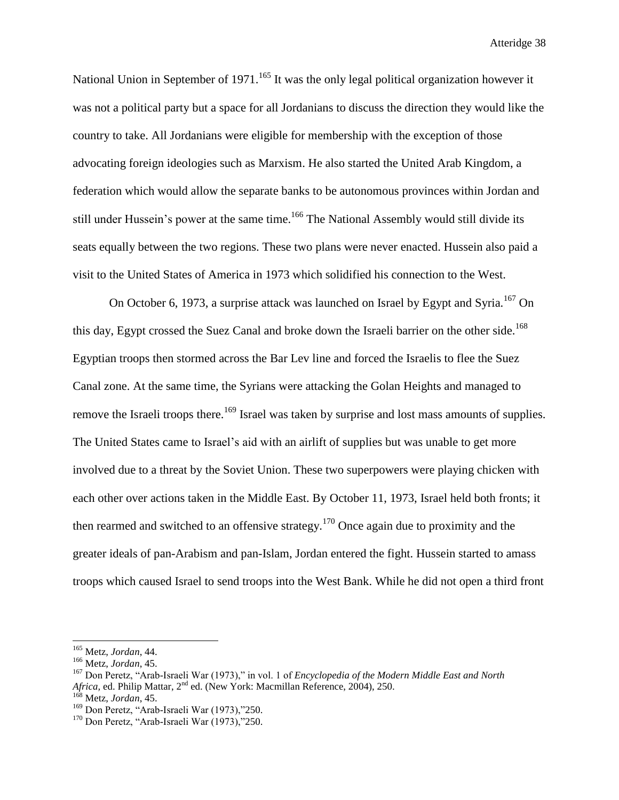National Union in September of 1971.<sup>165</sup> It was the only legal political organization however it was not a political party but a space for all Jordanians to discuss the direction they would like the country to take. All Jordanians were eligible for membership with the exception of those advocating foreign ideologies such as Marxism. He also started the United Arab Kingdom, a federation which would allow the separate banks to be autonomous provinces within Jordan and still under Hussein's power at the same time.<sup>166</sup> The National Assembly would still divide its seats equally between the two regions. These two plans were never enacted. Hussein also paid a visit to the United States of America in 1973 which solidified his connection to the West.

On October 6, 1973, a surprise attack was launched on Israel by Egypt and Syria.<sup>167</sup> On this day, Egypt crossed the Suez Canal and broke down the Israeli barrier on the other side.<sup>168</sup> Egyptian troops then stormed across the Bar Lev line and forced the Israelis to flee the Suez Canal zone. At the same time, the Syrians were attacking the Golan Heights and managed to remove the Israeli troops there.<sup>169</sup> Israel was taken by surprise and lost mass amounts of supplies. The United States came to Israel's aid with an airlift of supplies but was unable to get more involved due to a threat by the Soviet Union. These two superpowers were playing chicken with each other over actions taken in the Middle East. By October 11, 1973, Israel held both fronts; it then rearmed and switched to an offensive strategy.<sup>170</sup> Once again due to proximity and the greater ideals of pan-Arabism and pan-Islam, Jordan entered the fight. Hussein started to amass troops which caused Israel to send troops into the West Bank. While he did not open a third front

<sup>165</sup> Metz, *Jordan*, 44.

<sup>166</sup> Metz, *Jordan*, 45.

<sup>167</sup> Don Peretz, "Arab-Israeli War (1973)," in vol. 1 of *Encyclopedia of the Modern Middle East and North*  Africa, ed. Philip Mattar, 2<sup>nd</sup> ed. (New York: Macmillan Reference, 2004), 250.

<sup>168</sup> Metz, *Jordan*, 45.

<sup>169</sup> Don Peretz, "Arab-Israeli War (1973),"250.

 $170$  Don Peretz, "Arab-Israeli War (1973),"250.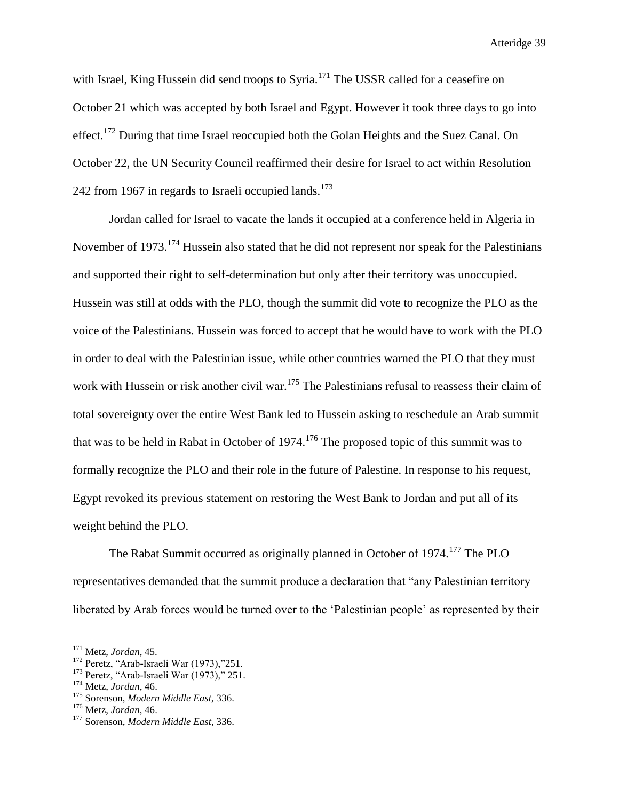with Israel, King Hussein did send troops to Syria.<sup>171</sup> The USSR called for a ceasefire on October 21 which was accepted by both Israel and Egypt. However it took three days to go into effect.<sup>172</sup> During that time Israel reoccupied both the Golan Heights and the Suez Canal. On October 22, the UN Security Council reaffirmed their desire for Israel to act within Resolution 242 from 1967 in regards to Israeli occupied lands.<sup>173</sup>

Jordan called for Israel to vacate the lands it occupied at a conference held in Algeria in November of 1973.<sup>174</sup> Hussein also stated that he did not represent nor speak for the Palestinians and supported their right to self-determination but only after their territory was unoccupied. Hussein was still at odds with the PLO, though the summit did vote to recognize the PLO as the voice of the Palestinians. Hussein was forced to accept that he would have to work with the PLO in order to deal with the Palestinian issue, while other countries warned the PLO that they must work with Hussein or risk another civil war.<sup>175</sup> The Palestinians refusal to reassess their claim of total sovereignty over the entire West Bank led to Hussein asking to reschedule an Arab summit that was to be held in Rabat in October of 1974.<sup>176</sup> The proposed topic of this summit was to formally recognize the PLO and their role in the future of Palestine. In response to his request, Egypt revoked its previous statement on restoring the West Bank to Jordan and put all of its weight behind the PLO.

The Rabat Summit occurred as originally planned in October of 1974.<sup>177</sup> The PLO representatives demanded that the summit produce a declaration that "any Palestinian territory liberated by Arab forces would be turned over to the 'Palestinian people' as represented by their

<sup>171</sup> Metz, *Jordan*, 45.

<sup>&</sup>lt;sup>172</sup> Peretz, "Arab-Israeli War (1973),"251.

<sup>&</sup>lt;sup>173</sup> Peretz, "Arab-Israeli War (1973)," 251.

<sup>174</sup> Metz, *Jordan*, 46.

<sup>175</sup> Sorenson, *Modern Middle East*, 336.

<sup>176</sup> Metz, *Jordan*, 46.

<sup>177</sup> Sorenson, *Modern Middle East*, 336.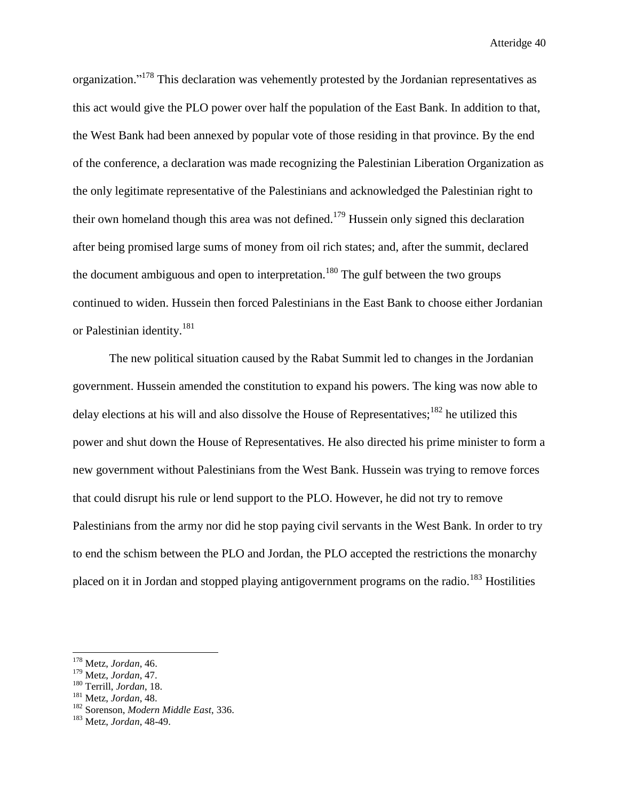organization."<sup>178</sup> This declaration was vehemently protested by the Jordanian representatives as this act would give the PLO power over half the population of the East Bank. In addition to that, the West Bank had been annexed by popular vote of those residing in that province. By the end of the conference, a declaration was made recognizing the Palestinian Liberation Organization as the only legitimate representative of the Palestinians and acknowledged the Palestinian right to their own homeland though this area was not defined.<sup>179</sup> Hussein only signed this declaration after being promised large sums of money from oil rich states; and, after the summit, declared the document ambiguous and open to interpretation.<sup>180</sup> The gulf between the two groups continued to widen. Hussein then forced Palestinians in the East Bank to choose either Jordanian or Palestinian identity.<sup>181</sup>

The new political situation caused by the Rabat Summit led to changes in the Jordanian government. Hussein amended the constitution to expand his powers. The king was now able to delay elections at his will and also dissolve the House of Representatives;<sup>182</sup> he utilized this power and shut down the House of Representatives. He also directed his prime minister to form a new government without Palestinians from the West Bank. Hussein was trying to remove forces that could disrupt his rule or lend support to the PLO. However, he did not try to remove Palestinians from the army nor did he stop paying civil servants in the West Bank. In order to try to end the schism between the PLO and Jordan, the PLO accepted the restrictions the monarchy placed on it in Jordan and stopped playing antigovernment programs on the radio.<sup>183</sup> Hostilities

<sup>178</sup> Metz, *Jordan*, 46.

<sup>179</sup> Metz, *Jordan*, 47.

<sup>180</sup> Terrill, *Jordan*, 18.

<sup>181</sup> Metz, *Jordan*, 48.

<sup>182</sup> Sorenson, *Modern Middle East*, 336.

<sup>183</sup> Metz, *Jordan*, 48-49.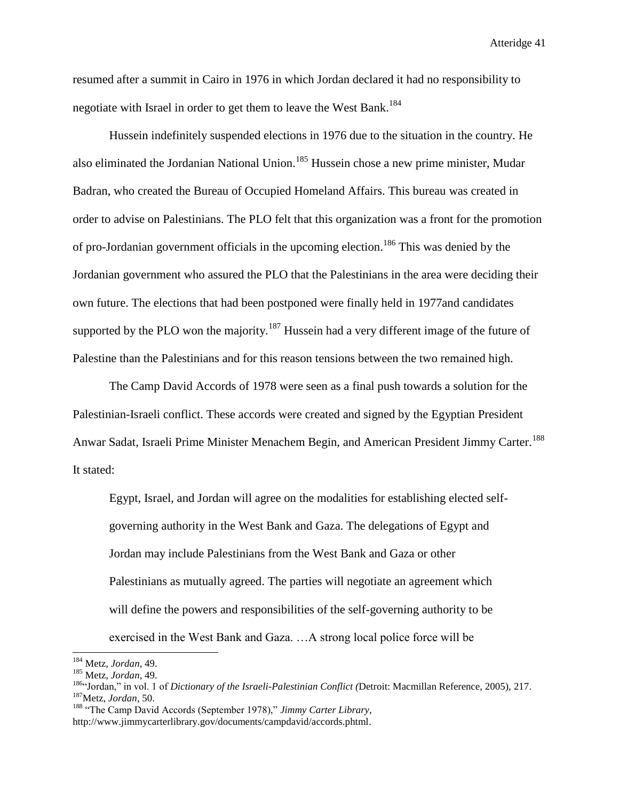resumed after a summit in Cairo in 1976 in which Jordan declared it had no responsibility to negotiate with Israel in order to get them to leave the West Bank.<sup>184</sup>

Hussein indefinitely suspended elections in 1976 due to the situation in the country. He also eliminated the Jordanian National Union.<sup>185</sup> Hussein chose a new prime minister, Mudar Badran, who created the Bureau of Occupied Homeland Affairs. This bureau was created in order to advise on Palestinians. The PLO felt that this organization was a front for the promotion of pro-Jordanian government officials in the upcoming election.<sup>186</sup> This was denied by the Jordanian government who assured the PLO that the Palestinians in the area were deciding their own future. The elections that had been postponed were finally held in 1977and candidates supported by the PLO won the majority.<sup>187</sup> Hussein had a very different image of the future of Palestine than the Palestinians and for this reason tensions between the two remained high.

The Camp David Accords of 1978 were seen as a final push towards a solution for the Palestinian-Israeli conflict. These accords were created and signed by the Egyptian President Anwar Sadat, Israeli Prime Minister Menachem Begin, and American President Jimmy Carter.<sup>188</sup> It stated:

Egypt, Israel, and Jordan will agree on the modalities for establishing elected selfgoverning authority in the West Bank and Gaza. The delegations of Egypt and Jordan may include Palestinians from the West Bank and Gaza or other Palestinians as mutually agreed. The parties will negotiate an agreement which will define the powers and responsibilities of the self-governing authority to be exercised in the West Bank and Gaza. …A strong local police force will be

<sup>184</sup> Metz, *Jordan*, 49.

<sup>185</sup> Metz, *Jordan*, 49.

<sup>186</sup>"Jordan," in vol. 1 of *Dictionary of the Israeli-Palestinian Conflict (*Detroit: Macmillan Reference, 2005), 217. <sup>187</sup>Metz, *Jordan*, 50.

<sup>188</sup> "The Camp David Accords (September 1978)," *Jimmy Carter Library,*  http://www.jimmycarterlibrary.gov/documents/campdavid/accords.phtml.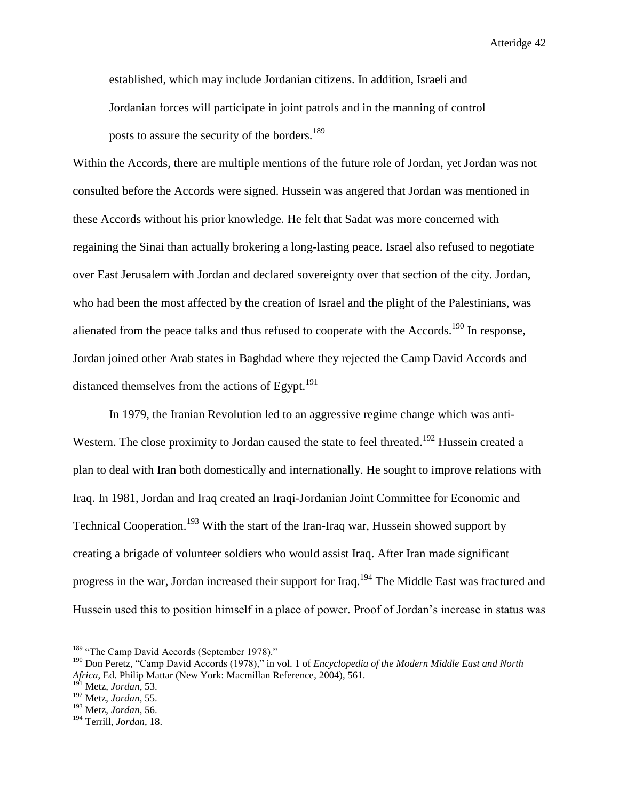established, which may include Jordanian citizens. In addition, Israeli and Jordanian forces will participate in joint patrols and in the manning of control posts to assure the security of the borders.<sup>189</sup>

Within the Accords, there are multiple mentions of the future role of Jordan, yet Jordan was not consulted before the Accords were signed. Hussein was angered that Jordan was mentioned in these Accords without his prior knowledge. He felt that Sadat was more concerned with regaining the Sinai than actually brokering a long-lasting peace. Israel also refused to negotiate over East Jerusalem with Jordan and declared sovereignty over that section of the city. Jordan, who had been the most affected by the creation of Israel and the plight of the Palestinians, was alienated from the peace talks and thus refused to cooperate with the Accords.<sup>190</sup> In response, Jordan joined other Arab states in Baghdad where they rejected the Camp David Accords and distanced themselves from the actions of Egypt. $^{191}$ 

In 1979, the Iranian Revolution led to an aggressive regime change which was anti-Western. The close proximity to Jordan caused the state to feel threated.<sup>192</sup> Hussein created a plan to deal with Iran both domestically and internationally. He sought to improve relations with Iraq. In 1981, Jordan and Iraq created an Iraqi-Jordanian Joint Committee for Economic and Technical Cooperation.<sup>193</sup> With the start of the Iran-Iraq war, Hussein showed support by creating a brigade of volunteer soldiers who would assist Iraq. After Iran made significant progress in the war, Jordan increased their support for Iraq.<sup>194</sup> The Middle East was fractured and Hussein used this to position himself in a place of power. Proof of Jordan's increase in status was

<sup>&</sup>lt;sup>189</sup> "The Camp David Accords (September 1978)."

<sup>190</sup> Don Peretz, "Camp David Accords (1978)," in vol. 1 of *Encyclopedia of the Modern Middle East and North Africa*, Ed. Philip Mattar (New York: Macmillan Reference, 2004), 561.

<sup>191</sup> Metz, *Jordan*, 53.

<sup>192</sup> Metz, *Jordan*, 55.

<sup>193</sup> Metz, *Jordan*, 56.

<sup>194</sup> Terrill, *Jordan*, 18.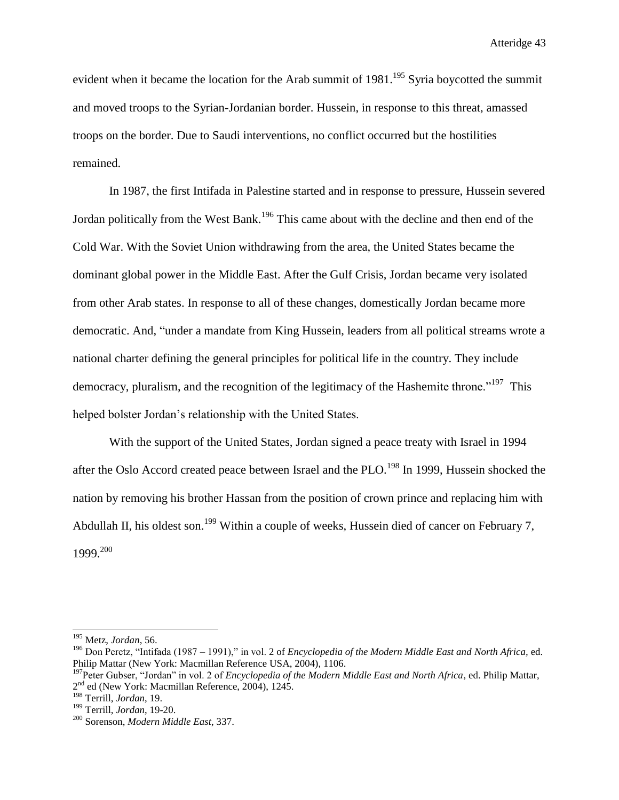evident when it became the location for the Arab summit of  $1981$ .<sup>195</sup> Syria boycotted the summit and moved troops to the Syrian-Jordanian border. Hussein, in response to this threat, amassed troops on the border. Due to Saudi interventions, no conflict occurred but the hostilities remained.

In 1987, the first Intifada in Palestine started and in response to pressure, Hussein severed Jordan politically from the West Bank.<sup>196</sup> This came about with the decline and then end of the Cold War. With the Soviet Union withdrawing from the area, the United States became the dominant global power in the Middle East. After the Gulf Crisis, Jordan became very isolated from other Arab states. In response to all of these changes, domestically Jordan became more democratic. And, "under a mandate from King Hussein, leaders from all political streams wrote a national charter defining the general principles for political life in the country. They include democracy, pluralism, and the recognition of the legitimacy of the Hashemite throne.<sup> $197$ </sup> This helped bolster Jordan's relationship with the United States.

With the support of the United States, Jordan signed a peace treaty with Israel in 1994 after the Oslo Accord created peace between Israel and the PLO.<sup>198</sup> In 1999, Hussein shocked the nation by removing his brother Hassan from the position of crown prince and replacing him with Abdullah II, his oldest son.<sup>199</sup> Within a couple of weeks, Hussein died of cancer on February 7, 1999.<sup>200</sup>

<sup>195</sup> Metz, *Jordan*, 56.

<sup>196</sup> Don Peretz, "Intifada (1987 – 1991)," in vol. 2 of *Encyclopedia of the Modern Middle East and North Africa,* ed. Philip Mattar (New York: Macmillan Reference USA, 2004), 1106.

<sup>197</sup>Peter Gubser, "Jordan" in vol. 2 of *[Encyclopedia of the Modern Middle East and North Africa](http://go.galegroup.com/ps/aboutEbook.do?pubDate=120040000&actionString=DO_DISPLAY_ABOUT_PAGE&inPS=true&prodId=GVRL&userGroupName=mlin_w_mounthc&searchType=BasicSearchForm&docId=GALE%7C5BWQ)*, ed. Philip Mattar, 2<sup>nd</sup> ed (New York: Macmillan Reference, 2004), 1245.

<sup>198</sup> Terrill, *Jordan*, 19.

<sup>199</sup> Terrill, *Jordan*, 19-20.

<sup>200</sup> Sorenson, *Modern Middle East*, 337.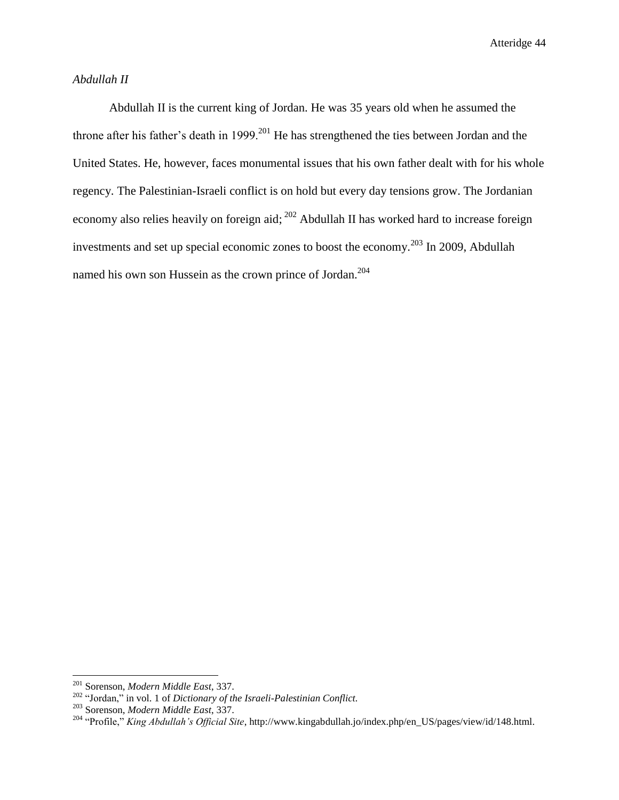# *Abdullah II*

Abdullah II is the current king of Jordan. He was 35 years old when he assumed the throne after his father's death in 1999.<sup>201</sup> He has strengthened the ties between Jordan and the United States. He, however, faces monumental issues that his own father dealt with for his whole regency. The Palestinian-Israeli conflict is on hold but every day tensions grow. The Jordanian economy also relies heavily on foreign aid; <sup>202</sup> Abdullah II has worked hard to increase foreign investments and set up special economic zones to boost the economy.<sup>203</sup> In 2009, Abdullah named his own son Hussein as the crown prince of Jordan.<sup>204</sup>

<sup>201</sup> Sorenson, *Modern Middle East*, 337.

<sup>202</sup> "Jordan," in vol. 1 of *Dictionary of the Israeli-Palestinian Conflict.*

<sup>203</sup> Sorenson, *Modern Middle East*, 337.

<sup>204</sup> "Profile," *King Abdullah's Official Site*, http://www.kingabdullah.jo/index.php/en\_US/pages/view/id/148.html.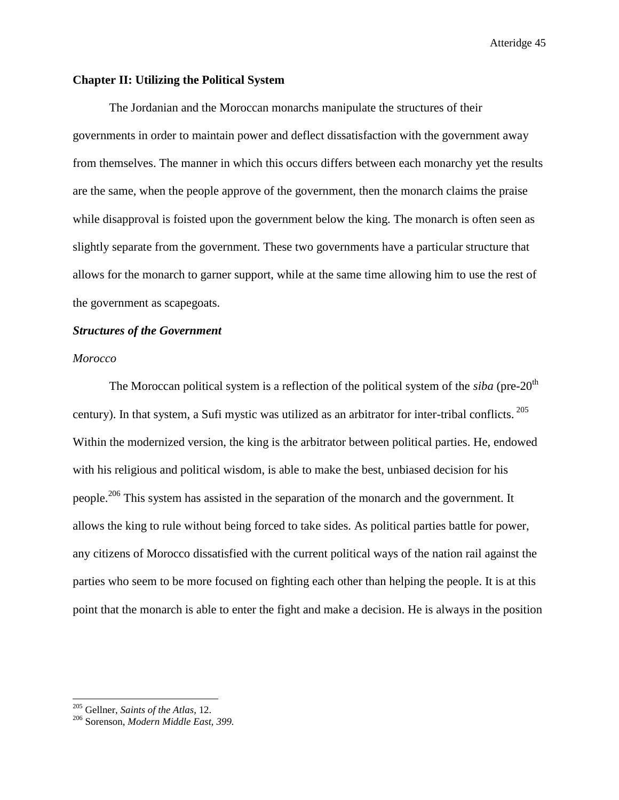## **Chapter II: Utilizing the Political System**

The Jordanian and the Moroccan monarchs manipulate the structures of their governments in order to maintain power and deflect dissatisfaction with the government away from themselves. The manner in which this occurs differs between each monarchy yet the results are the same, when the people approve of the government, then the monarch claims the praise while disapproval is foisted upon the government below the king. The monarch is often seen as slightly separate from the government. These two governments have a particular structure that allows for the monarch to garner support, while at the same time allowing him to use the rest of the government as scapegoats.

## *Structures of the Government*

## *Morocco*

The Moroccan political system is a reflection of the political system of the *siba* (pre-20<sup>th</sup>) century). In that system, a Sufi mystic was utilized as an arbitrator for inter-tribal conflicts.  $^{205}$ Within the modernized version, the king is the arbitrator between political parties. He, endowed with his religious and political wisdom, is able to make the best, unbiased decision for his people.<sup>206</sup> This system has assisted in the separation of the monarch and the government. It allows the king to rule without being forced to take sides. As political parties battle for power, any citizens of Morocco dissatisfied with the current political ways of the nation rail against the parties who seem to be more focused on fighting each other than helping the people. It is at this point that the monarch is able to enter the fight and make a decision. He is always in the position

<sup>205</sup> Gellner, *Saints of the Atlas*, 12.

<sup>206</sup> Sorenson, *Modern Middle East, 399.*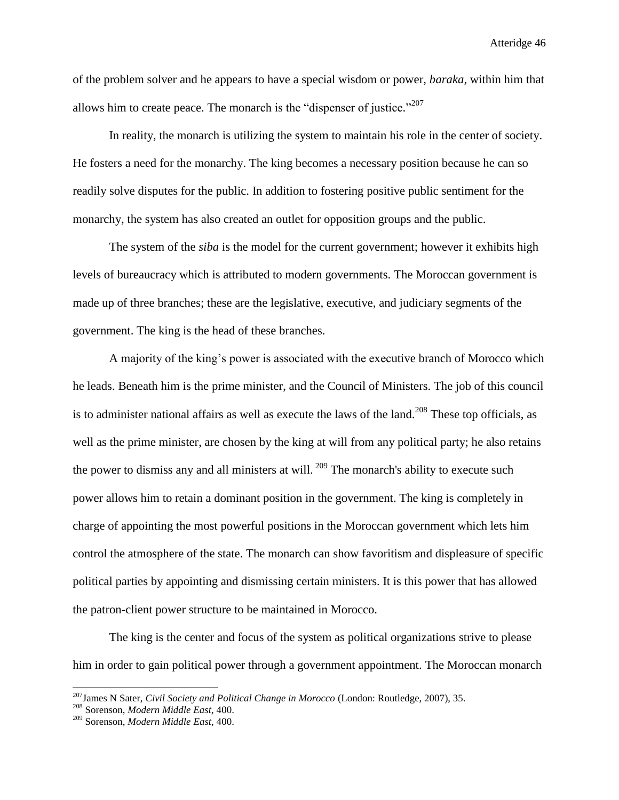of the problem solver and he appears to have a special wisdom or power, *baraka*, within him that allows him to create peace. The monarch is the "dispenser of justice."<sup>207</sup>

In reality, the monarch is utilizing the system to maintain his role in the center of society. He fosters a need for the monarchy. The king becomes a necessary position because he can so readily solve disputes for the public. In addition to fostering positive public sentiment for the monarchy, the system has also created an outlet for opposition groups and the public.

The system of the *siba* is the model for the current government; however it exhibits high levels of bureaucracy which is attributed to modern governments. The Moroccan government is made up of three branches; these are the legislative, executive, and judiciary segments of the government. The king is the head of these branches.

A majority of the king's power is associated with the executive branch of Morocco which he leads. Beneath him is the prime minister, and the Council of Ministers. The job of this council is to administer national affairs as well as execute the laws of the land.<sup>208</sup> These top officials, as well as the prime minister, are chosen by the king at will from any political party; he also retains the power to dismiss any and all ministers at will.  $209$  The monarch's ability to execute such power allows him to retain a dominant position in the government. The king is completely in charge of appointing the most powerful positions in the Moroccan government which lets him control the atmosphere of the state. The monarch can show favoritism and displeasure of specific political parties by appointing and dismissing certain ministers. It is this power that has allowed the patron-client power structure to be maintained in Morocco.

The king is the center and focus of the system as political organizations strive to please him in order to gain political power through a government appointment. The Moroccan monarch

<sup>207</sup>James N Sater, *Civil Society and Political Change in Morocco* (London: Routledge, 2007), 35.

<sup>208</sup> Sorenson, *Modern Middle East*, 400.

<sup>209</sup> Sorenson, *Modern Middle East*, 400.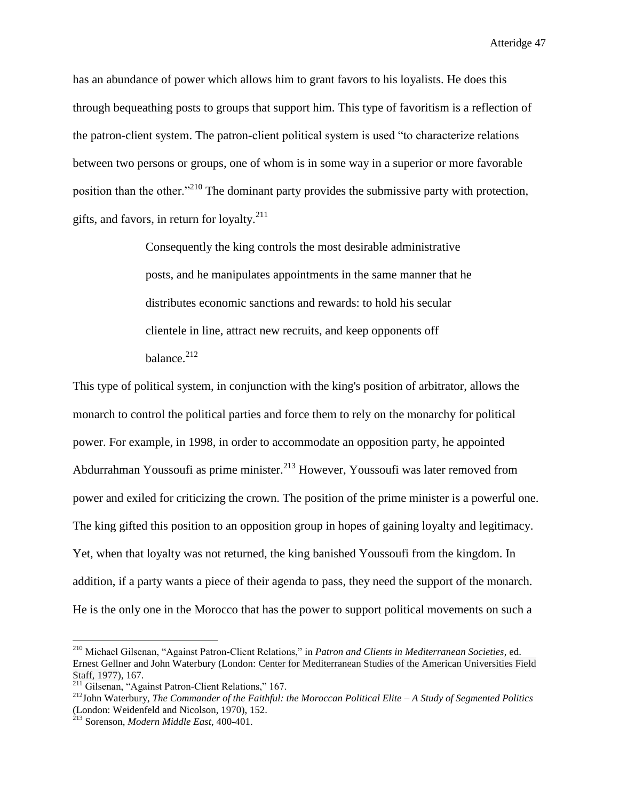has an abundance of power which allows him to grant favors to his loyalists. He does this through bequeathing posts to groups that support him. This type of favoritism is a reflection of the patron-client system. The patron-client political system is used "to characterize relations between two persons or groups, one of whom is in some way in a superior or more favorable position than the other."<sup>210</sup> The dominant party provides the submissive party with protection, gifts, and favors, in return for loyalty. $^{211}$ 

> Consequently the king controls the most desirable administrative posts, and he manipulates appointments in the same manner that he distributes economic sanctions and rewards: to hold his secular clientele in line, attract new recruits, and keep opponents off balance.<sup>212</sup>

This type of political system, in conjunction with the king's position of arbitrator, allows the monarch to control the political parties and force them to rely on the monarchy for political power. For example, in 1998, in order to accommodate an opposition party, he appointed Abdurrahman Youssoufi as prime minister.<sup>213</sup> However, Youssoufi was later removed from power and exiled for criticizing the crown. The position of the prime minister is a powerful one. The king gifted this position to an opposition group in hopes of gaining loyalty and legitimacy. Yet, when that loyalty was not returned, the king banished Youssoufi from the kingdom. In addition, if a party wants a piece of their agenda to pass, they need the support of the monarch. He is the only one in the Morocco that has the power to support political movements on such a

<sup>210</sup> Michael Gilsenan, "Against Patron-Client Relations," in *Patron and Clients in Mediterranean Societies*, ed. Ernest Gellner and John Waterbury (London: Center for Mediterranean Studies of the American Universities Field Staff, 1977), 167.

<sup>&</sup>lt;sup>211</sup> Gilsenan, "Against Patron-Client Relations," 167.

<sup>212</sup>John Waterbury, *The Commander of the Faithful: the Moroccan Political Elite – A Study of Segmented Politics* (London: Weidenfeld and Nicolson, 1970), 152.

<sup>213</sup> Sorenson, *Modern Middle East*, 400-401.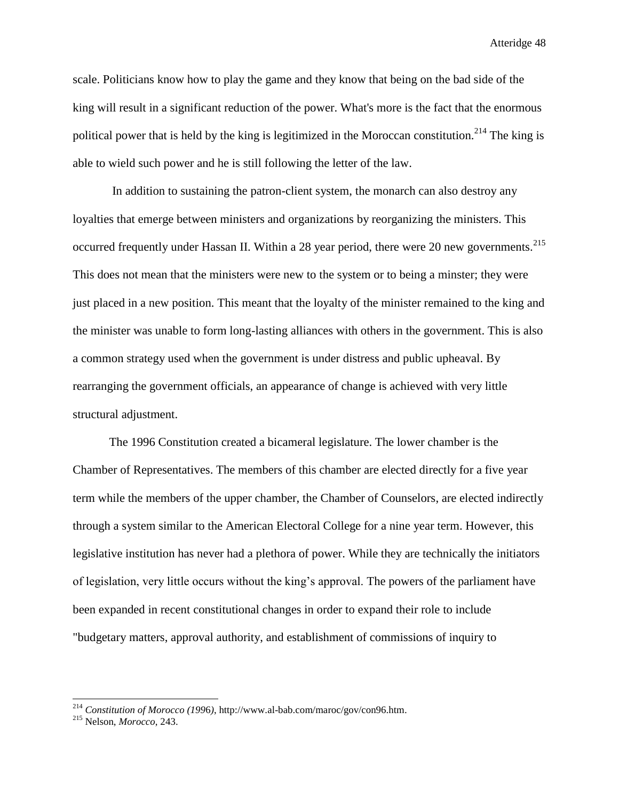scale. Politicians know how to play the game and they know that being on the bad side of the king will result in a significant reduction of the power. What's more is the fact that the enormous political power that is held by the king is legitimized in the Moroccan constitution.<sup>214</sup> The king is able to wield such power and he is still following the letter of the law.

In addition to sustaining the patron-client system, the monarch can also destroy any loyalties that emerge between ministers and organizations by reorganizing the ministers. This occurred frequently under Hassan II. Within a 28 year period, there were 20 new governments.<sup>215</sup> This does not mean that the ministers were new to the system or to being a minster; they were just placed in a new position. This meant that the loyalty of the minister remained to the king and the minister was unable to form long-lasting alliances with others in the government. This is also a common strategy used when the government is under distress and public upheaval. By rearranging the government officials, an appearance of change is achieved with very little structural adjustment.

The 1996 Constitution created a bicameral legislature. The lower chamber is the Chamber of Representatives. The members of this chamber are elected directly for a five year term while the members of the upper chamber, the Chamber of Counselors, are elected indirectly through a system similar to the American Electoral College for a nine year term. However, this legislative institution has never had a plethora of power. While they are technically the initiators of legislation, very little occurs without the king's approval. The powers of the parliament have been expanded in recent constitutional changes in order to expand their role to include "budgetary matters, approval authority, and establishment of commissions of inquiry to

<sup>214</sup> *Constitution of Morocco (199*6*)*, http://www.al-bab.com/maroc/gov/con96.htm.

<sup>215</sup> Nelson, *Morocco*, 243.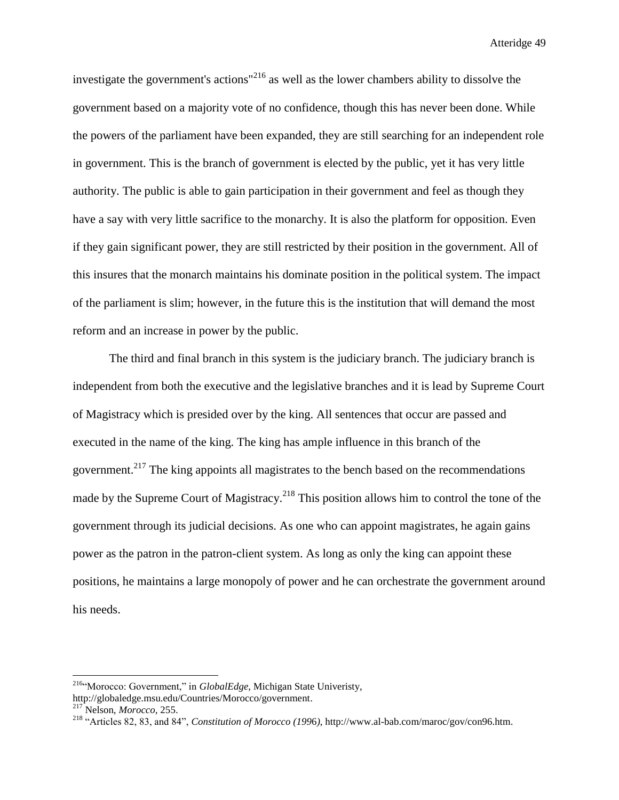investigate the government's actions"<sup>216</sup> as well as the lower chambers ability to dissolve the government based on a majority vote of no confidence, though this has never been done. While the powers of the parliament have been expanded, they are still searching for an independent role in government. This is the branch of government is elected by the public, yet it has very little authority. The public is able to gain participation in their government and feel as though they have a say with very little sacrifice to the monarchy. It is also the platform for opposition. Even if they gain significant power, they are still restricted by their position in the government. All of this insures that the monarch maintains his dominate position in the political system. The impact of the parliament is slim; however, in the future this is the institution that will demand the most reform and an increase in power by the public.

The third and final branch in this system is the judiciary branch. The judiciary branch is independent from both the executive and the legislative branches and it is lead by Supreme Court of Magistracy which is presided over by the king. All sentences that occur are passed and executed in the name of the king. The king has ample influence in this branch of the government.<sup>217</sup> The king appoints all magistrates to the bench based on the recommendations made by the Supreme Court of Magistracy.<sup>218</sup> This position allows him to control the tone of the government through its judicial decisions. As one who can appoint magistrates, he again gains power as the patron in the patron-client system. As long as only the king can appoint these positions, he maintains a large monopoly of power and he can orchestrate the government around his needs.

<sup>216</sup>"Morocco: Government," in *GlobalEdge*, Michigan State Univeristy,

http://globaledge.msu.edu/Countries/Morocco/government.

<sup>217</sup> Nelson, *Morocco*, 255.

<sup>218</sup> "Articles 82, 83, and 84", *Constitution of Morocco (199*6*)*, http://www.al-bab.com/maroc/gov/con96.htm.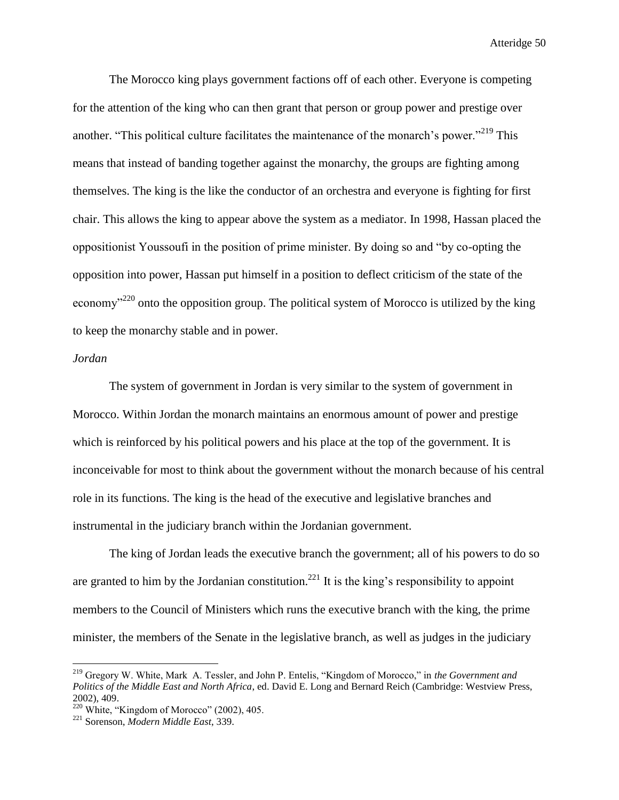The Morocco king plays government factions off of each other. Everyone is competing for the attention of the king who can then grant that person or group power and prestige over another. "This political culture facilitates the maintenance of the monarch's power."<sup>219</sup> This means that instead of banding together against the monarchy, the groups are fighting among themselves. The king is the like the conductor of an orchestra and everyone is fighting for first chair. This allows the king to appear above the system as a mediator. In 1998, Hassan placed the oppositionist Youssoufi in the position of prime minister. By doing so and "by co-opting the opposition into power, Hassan put himself in a position to deflect criticism of the state of the economy<sup> $220$ </sup> onto the opposition group. The political system of Morocco is utilized by the king to keep the monarchy stable and in power.

## *Jordan*

 $\overline{\phantom{a}}$ 

The system of government in Jordan is very similar to the system of government in Morocco. Within Jordan the monarch maintains an enormous amount of power and prestige which is reinforced by his political powers and his place at the top of the government. It is inconceivable for most to think about the government without the monarch because of his central role in its functions. The king is the head of the executive and legislative branches and instrumental in the judiciary branch within the Jordanian government.

The king of Jordan leads the executive branch the government; all of his powers to do so are granted to him by the Jordanian constitution.<sup>221</sup> It is the king's responsibility to appoint members to the Council of Ministers which runs the executive branch with the king, the prime minister, the members of the Senate in the legislative branch, as well as judges in the judiciary

<sup>219</sup> Gregory W. White, Mark A. Tessler, and John P. Entelis, "Kingdom of Morocco," in *the Government and Politics of the Middle East and North Africa*, ed. David E. Long and Bernard Reich (Cambridge: Westview Press, 2002), 409.

 $220$  White, "Kingdom of Morocco" (2002), 405.

<sup>221</sup> Sorenson, *Modern Middle East*, 339.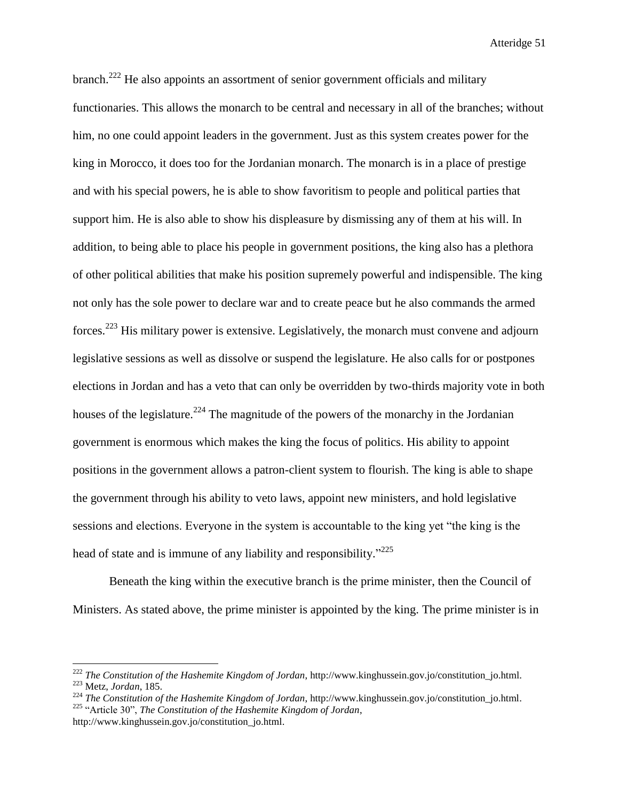branch.<sup>222</sup> He also appoints an assortment of senior government officials and military functionaries. This allows the monarch to be central and necessary in all of the branches; without him, no one could appoint leaders in the government. Just as this system creates power for the king in Morocco, it does too for the Jordanian monarch. The monarch is in a place of prestige and with his special powers, he is able to show favoritism to people and political parties that support him. He is also able to show his displeasure by dismissing any of them at his will. In addition, to being able to place his people in government positions, the king also has a plethora of other political abilities that make his position supremely powerful and indispensible. The king not only has the sole power to declare war and to create peace but he also commands the armed forces.<sup>223</sup> His military power is extensive. Legislatively, the monarch must convene and adjourn legislative sessions as well as dissolve or suspend the legislature. He also calls for or postpones elections in Jordan and has a veto that can only be overridden by two-thirds majority vote in both houses of the legislature.<sup>224</sup> The magnitude of the powers of the monarchy in the Jordanian government is enormous which makes the king the focus of politics. His ability to appoint positions in the government allows a patron-client system to flourish. The king is able to shape the government through his ability to veto laws, appoint new ministers, and hold legislative sessions and elections. Everyone in the system is accountable to the king yet "the king is the head of state and is immune of any liability and responsibility."<sup>225</sup>

Beneath the king within the executive branch is the prime minister, then the Council of Ministers. As stated above, the prime minister is appointed by the king. The prime minister is in

 $\overline{\phantom{a}}$ 

<sup>222</sup> *The Constitution of the Hashemite Kingdom of Jordan*, http://www.kinghussein.gov.jo/constitution\_jo.html. <sup>223</sup> Metz, *Jordan*, 185.

<sup>&</sup>lt;sup>224</sup> *The Constitution of the Hashemite Kingdom of Jordan*, http://www.kinghussein.gov.jo/constitution jo.html. <sup>225</sup> "Article 30", *The Constitution of the Hashemite Kingdom of Jordan*,

http://www.kinghussein.gov.jo/constitution\_jo.html.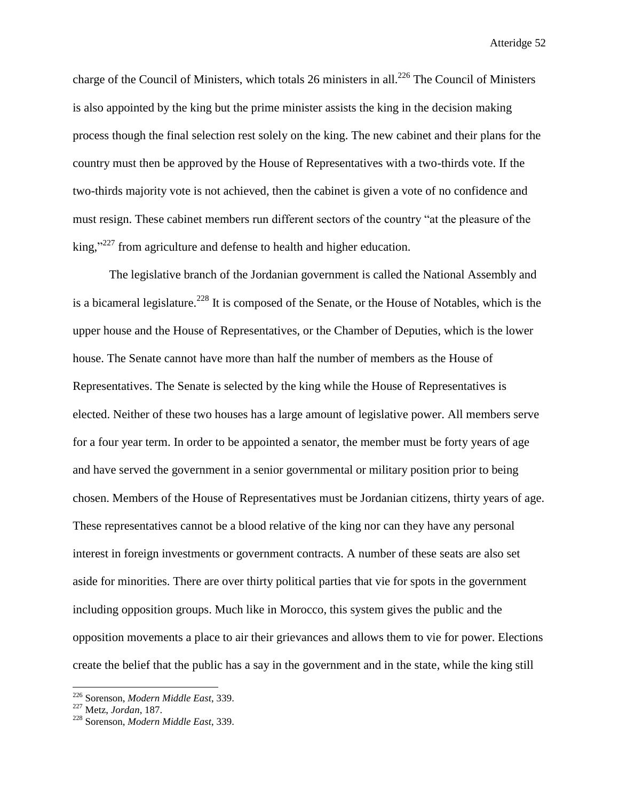charge of the Council of Ministers, which totals 26 ministers in all.<sup>226</sup> The Council of Ministers is also appointed by the king but the prime minister assists the king in the decision making process though the final selection rest solely on the king. The new cabinet and their plans for the country must then be approved by the House of Representatives with a two-thirds vote. If the two-thirds majority vote is not achieved, then the cabinet is given a vote of no confidence and must resign. These cabinet members run different sectors of the country "at the pleasure of the  $king,$ <sup>227</sup> from agriculture and defense to health and higher education.

The legislative branch of the Jordanian government is called the National Assembly and is a bicameral legislature.<sup>228</sup> It is composed of the Senate, or the House of Notables, which is the upper house and the House of Representatives, or the Chamber of Deputies, which is the lower house. The Senate cannot have more than half the number of members as the House of Representatives. The Senate is selected by the king while the House of Representatives is elected. Neither of these two houses has a large amount of legislative power. All members serve for a four year term. In order to be appointed a senator, the member must be forty years of age and have served the government in a senior governmental or military position prior to being chosen. Members of the House of Representatives must be Jordanian citizens, thirty years of age. These representatives cannot be a blood relative of the king nor can they have any personal interest in foreign investments or government contracts. A number of these seats are also set aside for minorities. There are over thirty political parties that vie for spots in the government including opposition groups. Much like in Morocco, this system gives the public and the opposition movements a place to air their grievances and allows them to vie for power. Elections create the belief that the public has a say in the government and in the state, while the king still

<sup>226</sup> Sorenson, *Modern Middle East*, 339.

<sup>227</sup> Metz, *Jordan*, 187.

<sup>228</sup> Sorenson, *Modern Middle East*, 339.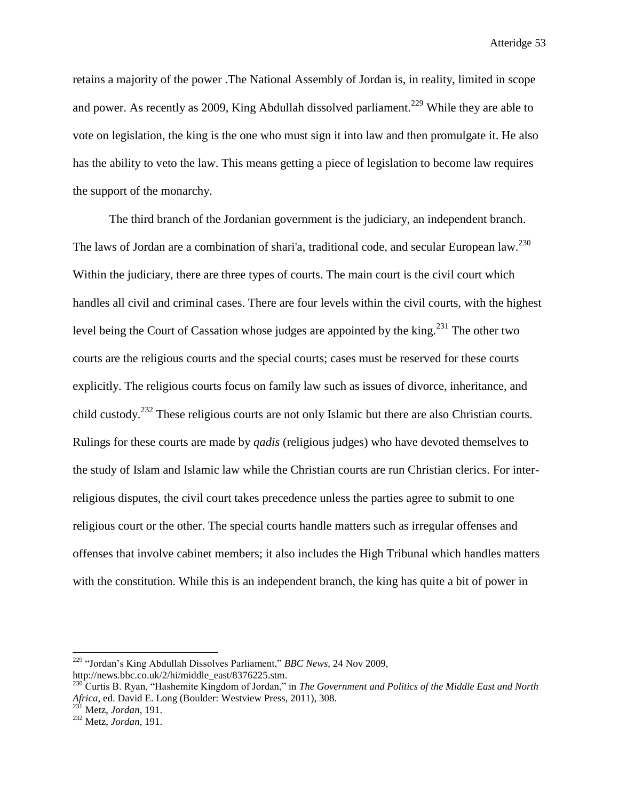retains a majority of the power .The National Assembly of Jordan is, in reality, limited in scope and power. As recently as 2009, King Abdullah dissolved parliament.<sup>229</sup> While they are able to vote on legislation, the king is the one who must sign it into law and then promulgate it. He also has the ability to veto the law. This means getting a piece of legislation to become law requires the support of the monarchy.

The third branch of the Jordanian government is the judiciary, an independent branch. The laws of Jordan are a combination of shari'a, traditional code, and secular European law.<sup>230</sup> Within the judiciary, there are three types of courts. The main court is the civil court which handles all civil and criminal cases. There are four levels within the civil courts, with the highest level being the Court of Cassation whose judges are appointed by the king.<sup>231</sup> The other two courts are the religious courts and the special courts; cases must be reserved for these courts explicitly. The religious courts focus on family law such as issues of divorce, inheritance, and child custody.<sup>232</sup> These religious courts are not only Islamic but there are also Christian courts. Rulings for these courts are made by *qadis* (religious judges) who have devoted themselves to the study of Islam and Islamic law while the Christian courts are run Christian clerics. For interreligious disputes, the civil court takes precedence unless the parties agree to submit to one religious court or the other. The special courts handle matters such as irregular offenses and offenses that involve cabinet members; it also includes the High Tribunal which handles matters with the constitution. While this is an independent branch, the king has quite a bit of power in

<sup>229</sup> "Jordan's King Abdullah Dissolves Parliament," *BBC News,* 24 Nov 2009, http://news.bbc.co.uk/2/hi/middle\_east/8376225.stm.

<sup>&</sup>lt;sup>230</sup> Curtis B. Ryan, "Hashemite Kingdom of Jordan," in *The Government and Politics of the Middle East and North Africa*, ed. David E. Long (Boulder: Westview Press, 2011), 308.

<sup>231</sup> Metz, *Jordan*, 191.

<sup>232</sup> Metz, *Jordan*, 191.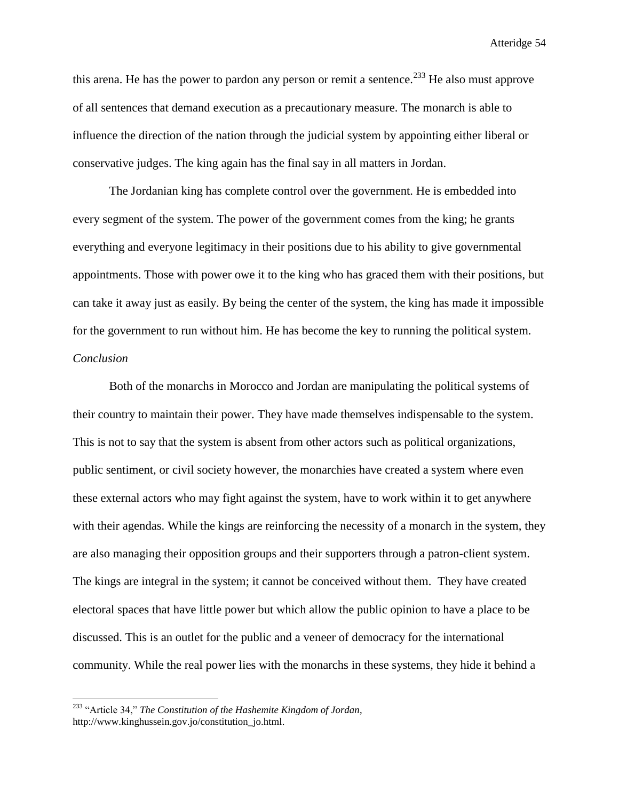this arena. He has the power to pardon any person or remit a sentence.<sup>233</sup> He also must approve of all sentences that demand execution as a precautionary measure. The monarch is able to influence the direction of the nation through the judicial system by appointing either liberal or conservative judges. The king again has the final say in all matters in Jordan.

The Jordanian king has complete control over the government. He is embedded into every segment of the system. The power of the government comes from the king; he grants everything and everyone legitimacy in their positions due to his ability to give governmental appointments. Those with power owe it to the king who has graced them with their positions, but can take it away just as easily. By being the center of the system, the king has made it impossible for the government to run without him. He has become the key to running the political system. *Conclusion*

Both of the monarchs in Morocco and Jordan are manipulating the political systems of their country to maintain their power. They have made themselves indispensable to the system. This is not to say that the system is absent from other actors such as political organizations, public sentiment, or civil society however, the monarchies have created a system where even these external actors who may fight against the system, have to work within it to get anywhere with their agendas. While the kings are reinforcing the necessity of a monarch in the system, they are also managing their opposition groups and their supporters through a patron-client system. The kings are integral in the system; it cannot be conceived without them. They have created electoral spaces that have little power but which allow the public opinion to have a place to be discussed. This is an outlet for the public and a veneer of democracy for the international community. While the real power lies with the monarchs in these systems, they hide it behind a

<sup>233</sup> "Article 34," *The Constitution of the Hashemite Kingdom of Jordan*, http://www.kinghussein.gov.jo/constitution\_jo.html.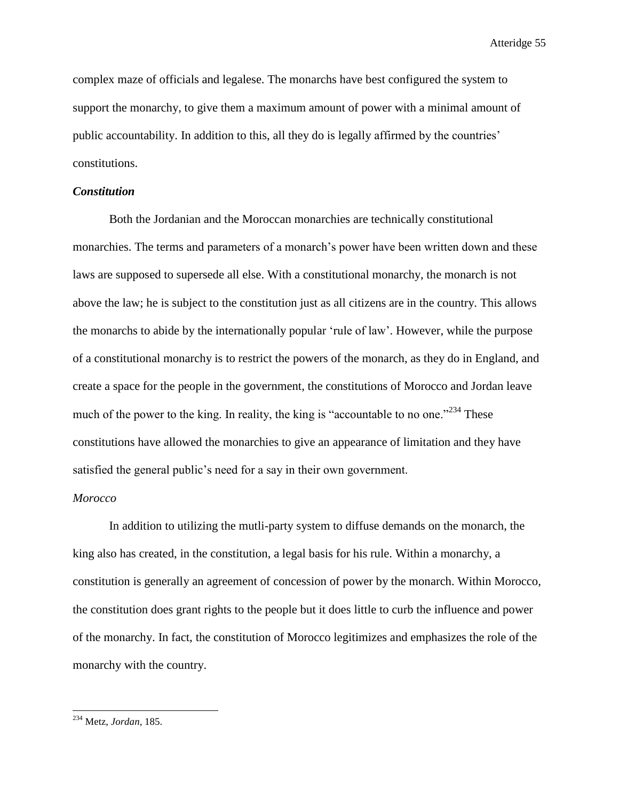complex maze of officials and legalese. The monarchs have best configured the system to support the monarchy, to give them a maximum amount of power with a minimal amount of public accountability. In addition to this, all they do is legally affirmed by the countries' constitutions.

## *Constitution*

Both the Jordanian and the Moroccan monarchies are technically constitutional monarchies. The terms and parameters of a monarch's power have been written down and these laws are supposed to supersede all else. With a constitutional monarchy, the monarch is not above the law; he is subject to the constitution just as all citizens are in the country. This allows the monarchs to abide by the internationally popular 'rule of law'. However, while the purpose of a constitutional monarchy is to restrict the powers of the monarch, as they do in England, and create a space for the people in the government, the constitutions of Morocco and Jordan leave much of the power to the king. In reality, the king is "accountable to no one."<sup>234</sup> These constitutions have allowed the monarchies to give an appearance of limitation and they have satisfied the general public's need for a say in their own government.

## *Morocco*

In addition to utilizing the mutli-party system to diffuse demands on the monarch, the king also has created, in the constitution, a legal basis for his rule. Within a monarchy, a constitution is generally an agreement of concession of power by the monarch. Within Morocco, the constitution does grant rights to the people but it does little to curb the influence and power of the monarchy. In fact, the constitution of Morocco legitimizes and emphasizes the role of the monarchy with the country.

 $\overline{\phantom{a}}$ 

<sup>234</sup> Metz, *Jordan*, 185.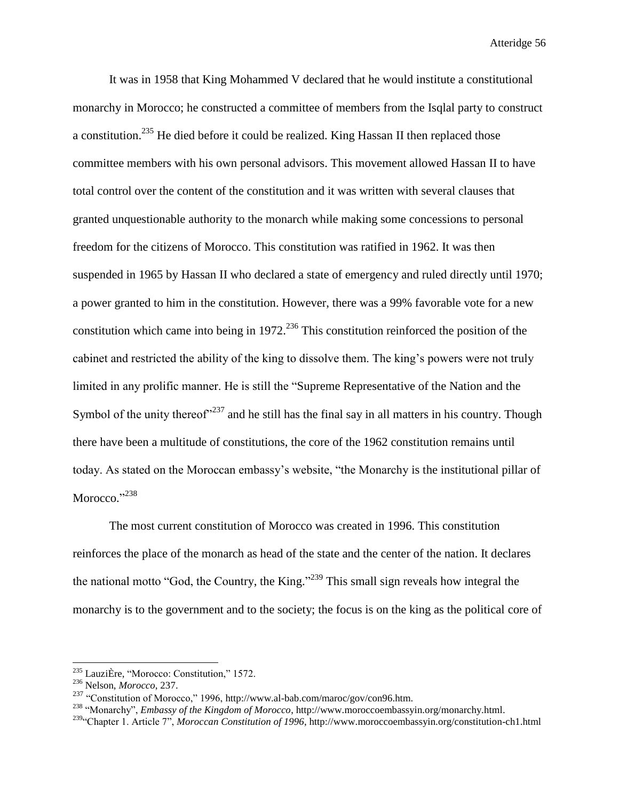It was in 1958 that King Mohammed V declared that he would institute a constitutional monarchy in Morocco; he constructed a committee of members from the Isqlal party to construct a constitution.<sup>235</sup> He died before it could be realized. King Hassan II then replaced those committee members with his own personal advisors. This movement allowed Hassan II to have total control over the content of the constitution and it was written with several clauses that granted unquestionable authority to the monarch while making some concessions to personal freedom for the citizens of Morocco. This constitution was ratified in 1962. It was then suspended in 1965 by Hassan II who declared a state of emergency and ruled directly until 1970; a power granted to him in the constitution. However, there was a 99% favorable vote for a new constitution which came into being in  $1972$ <sup>236</sup> This constitution reinforced the position of the cabinet and restricted the ability of the king to dissolve them. The king's powers were not truly limited in any prolific manner. He is still the "Supreme Representative of the Nation and the Symbol of the unity thereof $237$  and he still has the final say in all matters in his country. Though there have been a multitude of constitutions, the core of the 1962 constitution remains until today. As stated on the Moroccan embassy's website, "the Monarchy is the institutional pillar of Morocco."<sup>238</sup>

The most current constitution of Morocco was created in 1996. This constitution reinforces the place of the monarch as head of the state and the center of the nation. It declares the national motto "God, the Country, the King."<sup>239</sup> This small sign reveals how integral the monarchy is to the government and to the society; the focus is on the king as the political core of

<sup>235</sup> [LauziÈre,](http://go.galegroup.com/ps/advancedSearch.do?inputFieldName(0)=AU&prodId=GVRL&userGroupName=mlin_w_mounthc&method=doSearch&inputFieldValue(0)=%22Henri+Lauzi%C3%88re%22&searchType=AdvancedSearchForm) "Morocco: Constitution," 1572.

<sup>236</sup> Nelson, *Morocco*, 237.

<sup>237</sup> "Constitution of Morocco," 1996, http://www.al-bab.com/maroc/gov/con96.htm.

<sup>238</sup> "Monarchy", *Embassy of the Kingdom of Morocco*, http://www.moroccoembassyin.org/monarchy.html.

<sup>239</sup>"Chapter 1. Article 7", *Moroccan Constitution of 1996*, http://www.moroccoembassyin.org/constitution-ch1.html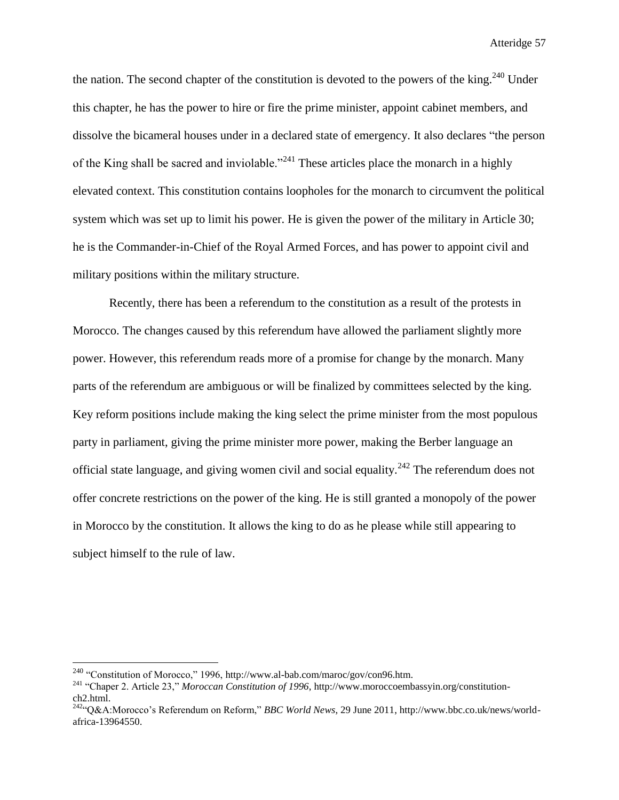the nation. The second chapter of the constitution is devoted to the powers of the king.<sup>240</sup> Under this chapter, he has the power to hire or fire the prime minister, appoint cabinet members, and dissolve the bicameral houses under in a declared state of emergency. It also declares "the person of the King shall be sacred and inviolable."<sup>241</sup> These articles place the monarch in a highly elevated context. This constitution contains loopholes for the monarch to circumvent the political system which was set up to limit his power. He is given the power of the military in Article 30; he is the Commander-in-Chief of the Royal Armed Forces, and has power to appoint civil and military positions within the military structure.

Recently, there has been a referendum to the constitution as a result of the protests in Morocco. The changes caused by this referendum have allowed the parliament slightly more power. However, this referendum reads more of a promise for change by the monarch. Many parts of the referendum are ambiguous or will be finalized by committees selected by the king. Key reform positions include making the king select the prime minister from the most populous party in parliament, giving the prime minister more power, making the Berber language an official state language, and giving women civil and social equality.<sup>242</sup> The referendum does not offer concrete restrictions on the power of the king. He is still granted a monopoly of the power in Morocco by the constitution. It allows the king to do as he please while still appearing to subject himself to the rule of law.

<sup>&</sup>lt;sup>240</sup> "Constitution of Morocco," 1996, http://www.al-bab.com/maroc/gov/con96.htm.

<sup>241</sup> "Chaper 2. Article 23," *Moroccan Constitution of 1996*, http://www.moroccoembassyin.org/constitutionch2.html.

<sup>242</sup>"Q&A:Morocco's Referendum on Reform," *BBC World News*, 29 June 2011, http://www.bbc.co.uk/news/worldafrica-13964550.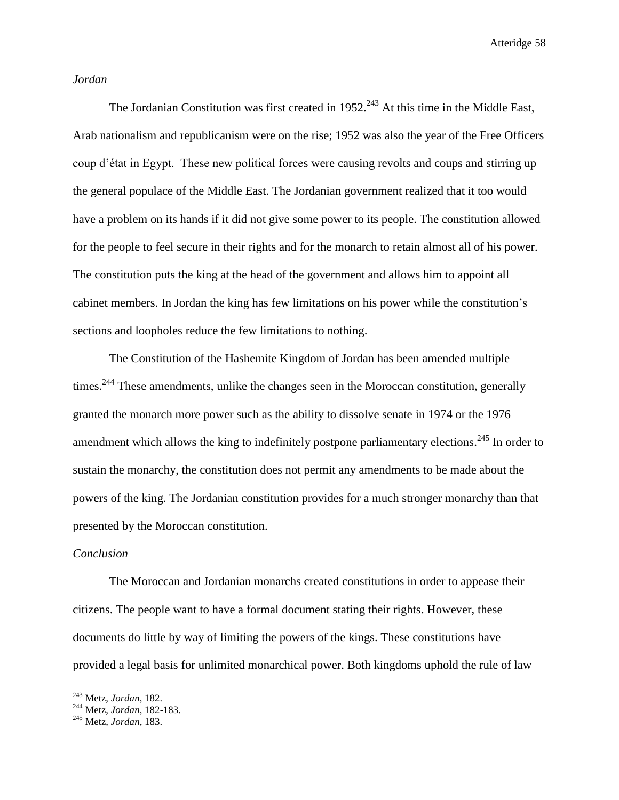## *Jordan*

The Jordanian Constitution was first created in  $1952.<sup>243</sup>$  At this time in the Middle East, Arab nationalism and republicanism were on the rise; 1952 was also the year of the Free Officers coup d'état in Egypt. These new political forces were causing revolts and coups and stirring up the general populace of the Middle East. The Jordanian government realized that it too would have a problem on its hands if it did not give some power to its people. The constitution allowed for the people to feel secure in their rights and for the monarch to retain almost all of his power. The constitution puts the king at the head of the government and allows him to appoint all cabinet members. In Jordan the king has few limitations on his power while the constitution's sections and loopholes reduce the few limitations to nothing.

The Constitution of the Hashemite Kingdom of Jordan has been amended multiple times.<sup>244</sup> These amendments, unlike the changes seen in the Moroccan constitution, generally granted the monarch more power such as the ability to dissolve senate in 1974 or the 1976 amendment which allows the king to indefinitely postpone parliamentary elections.<sup>245</sup> In order to sustain the monarchy, the constitution does not permit any amendments to be made about the powers of the king. The Jordanian constitution provides for a much stronger monarchy than that presented by the Moroccan constitution.

## *Conclusion*

The Moroccan and Jordanian monarchs created constitutions in order to appease their citizens. The people want to have a formal document stating their rights. However, these documents do little by way of limiting the powers of the kings. These constitutions have provided a legal basis for unlimited monarchical power. Both kingdoms uphold the rule of law

<sup>243</sup> Metz, *Jordan*, 182.

<sup>244</sup> Metz, *Jordan*, 182-183.

<sup>245</sup> Metz, *Jordan*, 183.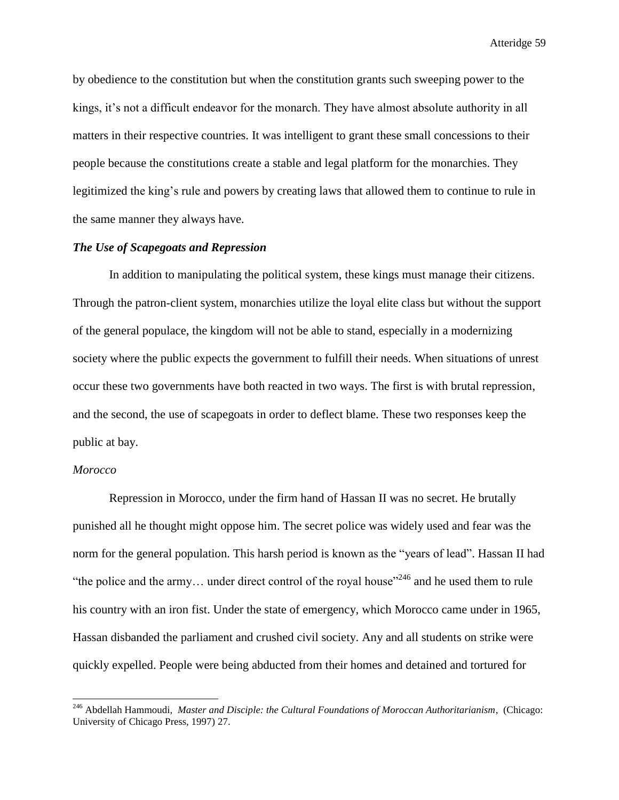by obedience to the constitution but when the constitution grants such sweeping power to the kings, it's not a difficult endeavor for the monarch. They have almost absolute authority in all matters in their respective countries. It was intelligent to grant these small concessions to their people because the constitutions create a stable and legal platform for the monarchies. They legitimized the king's rule and powers by creating laws that allowed them to continue to rule in the same manner they always have.

## *The Use of Scapegoats and Repression*

In addition to manipulating the political system, these kings must manage their citizens. Through the patron-client system, monarchies utilize the loyal elite class but without the support of the general populace, the kingdom will not be able to stand, especially in a modernizing society where the public expects the government to fulfill their needs. When situations of unrest occur these two governments have both reacted in two ways. The first is with brutal repression, and the second, the use of scapegoats in order to deflect blame. These two responses keep the public at bay.

## *Morocco*

l

Repression in Morocco, under the firm hand of Hassan II was no secret. He brutally punished all he thought might oppose him. The secret police was widely used and fear was the norm for the general population. This harsh period is known as the "years of lead". Hassan II had "the police and the army... under direct control of the royal house"<sup>246</sup> and he used them to rule his country with an iron fist. Under the state of emergency, which Morocco came under in 1965, Hassan disbanded the parliament and crushed civil society. Any and all students on strike were quickly expelled. People were being abducted from their homes and detained and tortured for

<sup>246</sup> Abdellah Hammoudi, *Master and Disciple: the Cultural Foundations of Moroccan Authoritarianism*, (Chicago: University of Chicago Press, 1997) 27.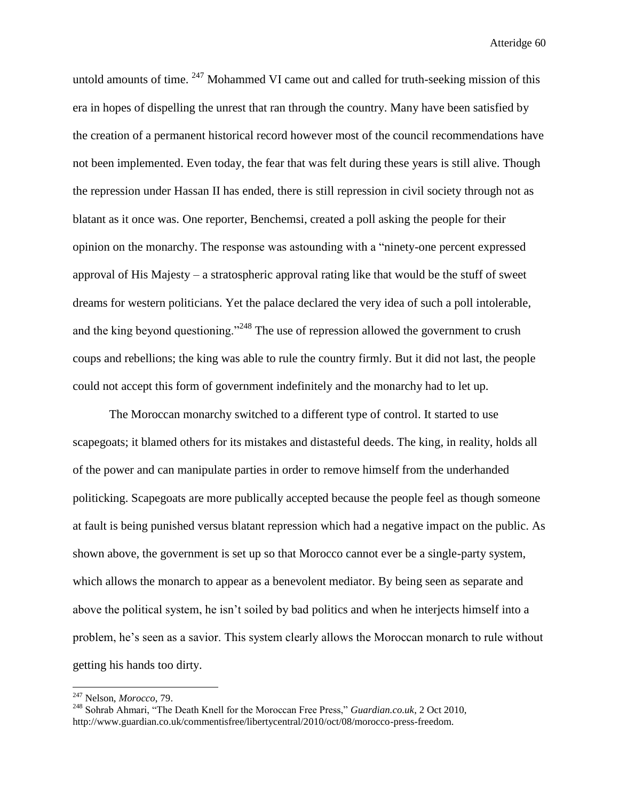untold amounts of time. <sup>247</sup> Mohammed VI came out and called for truth-seeking mission of this era in hopes of dispelling the unrest that ran through the country. Many have been satisfied by the creation of a permanent historical record however most of the council recommendations have not been implemented. Even today, the fear that was felt during these years is still alive. Though the repression under Hassan II has ended, there is still repression in civil society through not as blatant as it once was. One reporter, Benchemsi, created a poll asking the people for their opinion on the monarchy. The response was astounding with a "ninety-one percent expressed approval of His Majesty – a stratospheric approval rating like that would be the stuff of sweet dreams for western politicians. Yet the palace declared the very idea of such a poll intolerable, and the king beyond questioning."<sup>248</sup> The use of repression allowed the government to crush coups and rebellions; the king was able to rule the country firmly. But it did not last, the people could not accept this form of government indefinitely and the monarchy had to let up.

The Moroccan monarchy switched to a different type of control. It started to use scapegoats; it blamed others for its mistakes and distasteful deeds. The king, in reality, holds all of the power and can manipulate parties in order to remove himself from the underhanded politicking. Scapegoats are more publically accepted because the people feel as though someone at fault is being punished versus blatant repression which had a negative impact on the public. As shown above, the government is set up so that Morocco cannot ever be a single-party system, which allows the monarch to appear as a benevolent mediator. By being seen as separate and above the political system, he isn't soiled by bad politics and when he interjects himself into a problem, he's seen as a savior. This system clearly allows the Moroccan monarch to rule without getting his hands too dirty.

<sup>247</sup> Nelson, *Morocco*, 79.

<sup>248</sup> Sohrab Ahmari, "The Death Knell for the Moroccan Free Press," *Guardian.co.uk*, 2 Oct 2010, http://www.guardian.co.uk/commentisfree/libertycentral/2010/oct/08/morocco-press-freedom.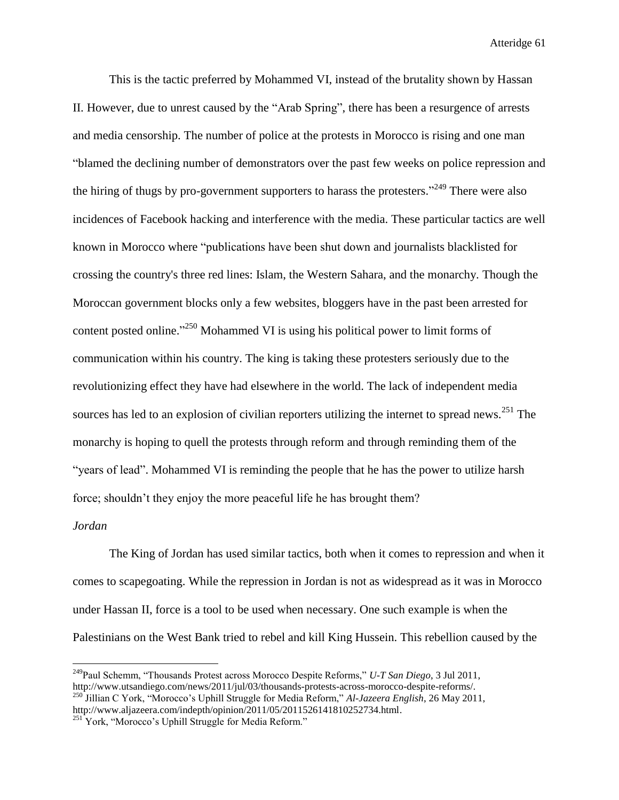This is the tactic preferred by Mohammed VI, instead of the brutality shown by Hassan II. However, due to unrest caused by the "Arab Spring", there has been a resurgence of arrests and media censorship. The number of police at the protests in Morocco is rising and one man "blamed the declining number of demonstrators over the past few weeks on police repression and the hiring of thugs by pro-government supporters to harass the protesters."<sup>249</sup> There were also incidences of Facebook hacking and interference with the media. These particular tactics are well known in Morocco where "publications have been shut down and journalists blacklisted for crossing the country's three red lines: Islam, the Western Sahara, and the monarchy. Though the Moroccan government blocks only a few websites, bloggers have in the past been arrested for content posted online."<sup>250</sup> Mohammed VI is using his political power to limit forms of communication within his country. The king is taking these protesters seriously due to the revolutionizing effect they have had elsewhere in the world. The lack of independent media sources has led to an explosion of civilian reporters utilizing the internet to spread news.<sup>251</sup> The monarchy is hoping to quell the protests through reform and through reminding them of the "years of lead". Mohammed VI is reminding the people that he has the power to utilize harsh force; shouldn't they enjoy the more peaceful life he has brought them?

#### *Jordan*

 $\overline{\phantom{a}}$ 

The King of Jordan has used similar tactics, both when it comes to repression and when it comes to scapegoating. While the repression in Jordan is not as widespread as it was in Morocco under Hassan II, force is a tool to be used when necessary. One such example is when the Palestinians on the West Bank tried to rebel and kill King Hussein. This rebellion caused by the

<sup>249</sup>Paul Schemm, "Thousands Protest across Morocco Despite Reforms," *U-T San Diego*, 3 Jul 2011, http://www.utsandiego.com/news/2011/jul/03/thousands-protests-across-morocco-despite-reforms/. <sup>250</sup> Jillian C York, "Morocco's Uphill Struggle for Media Reform," *Al-Jazeera English*, 26 May 2011,

http://www.aljazeera.com/indepth/opinion/2011/05/2011526141810252734.html.

<sup>&</sup>lt;sup>251</sup> York, "Morocco's Uphill Struggle for Media Reform."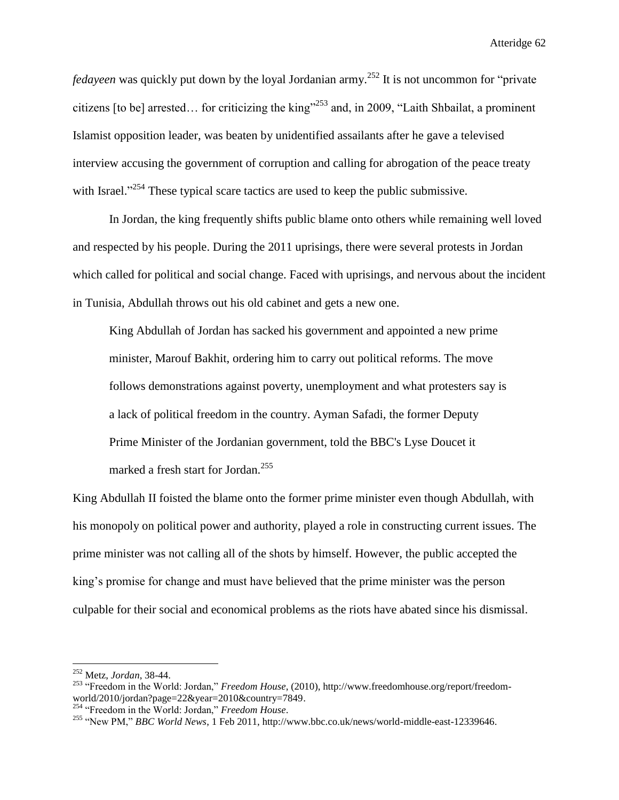*fedayeen* was quickly put down by the loyal Jordanian army.<sup>252</sup> It is not uncommon for "private" citizens [to be] arrested... for criticizing the king"<sup>253</sup> and, in 2009, "Laith Shbailat, a prominent Islamist opposition leader, was beaten by unidentified assailants after he gave a televised interview accusing the government of corruption and calling for abrogation of the peace treaty with Israel."<sup>254</sup> These typical scare tactics are used to keep the public submissive.

In Jordan, the king frequently shifts public blame onto others while remaining well loved and respected by his people. During the 2011 uprisings, there were several protests in Jordan which called for political and social change. Faced with uprisings, and nervous about the incident in Tunisia, Abdullah throws out his old cabinet and gets a new one.

King Abdullah of Jordan has sacked his government and appointed a new prime minister, Marouf Bakhit, ordering him to carry out political reforms. The move follows demonstrations against poverty, unemployment and what protesters say is a lack of political freedom in the country. Ayman Safadi, the former Deputy Prime Minister of the Jordanian government, told the BBC's Lyse Doucet it marked a fresh start for Jordan.<sup>255</sup>

King Abdullah II foisted the blame onto the former prime minister even though Abdullah, with his monopoly on political power and authority, played a role in constructing current issues. The prime minister was not calling all of the shots by himself. However, the public accepted the king's promise for change and must have believed that the prime minister was the person culpable for their social and economical problems as the riots have abated since his dismissal.

 $\overline{\phantom{a}}$ 

<sup>252</sup> Metz, *Jordan*, 38-44.

<sup>253</sup> "Freedom in the World: Jordan," *Freedom House*, (2010), http://www.freedomhouse.org/report/freedomworld/2010/jordan?page=22&year=2010&country=7849.

<sup>254</sup> "Freedom in the World: Jordan," *Freedom House*.

<sup>255</sup> "New PM," *BBC World News*, 1 Feb 2011, http://www.bbc.co.uk/news/world-middle-east-12339646.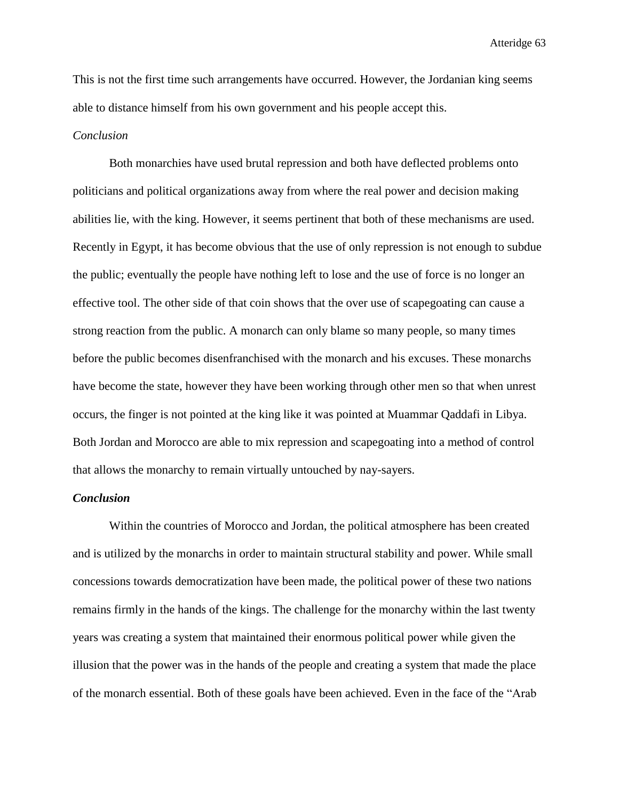This is not the first time such arrangements have occurred. However, the Jordanian king seems able to distance himself from his own government and his people accept this.

## *Conclusion*

Both monarchies have used brutal repression and both have deflected problems onto politicians and political organizations away from where the real power and decision making abilities lie, with the king. However, it seems pertinent that both of these mechanisms are used. Recently in Egypt, it has become obvious that the use of only repression is not enough to subdue the public; eventually the people have nothing left to lose and the use of force is no longer an effective tool. The other side of that coin shows that the over use of scapegoating can cause a strong reaction from the public. A monarch can only blame so many people, so many times before the public becomes disenfranchised with the monarch and his excuses. These monarchs have become the state, however they have been working through other men so that when unrest occurs, the finger is not pointed at the king like it was pointed at Muammar Qaddafi in Libya. Both Jordan and Morocco are able to mix repression and scapegoating into a method of control that allows the monarchy to remain virtually untouched by nay-sayers.

## *Conclusion*

Within the countries of Morocco and Jordan, the political atmosphere has been created and is utilized by the monarchs in order to maintain structural stability and power. While small concessions towards democratization have been made, the political power of these two nations remains firmly in the hands of the kings. The challenge for the monarchy within the last twenty years was creating a system that maintained their enormous political power while given the illusion that the power was in the hands of the people and creating a system that made the place of the monarch essential. Both of these goals have been achieved. Even in the face of the "Arab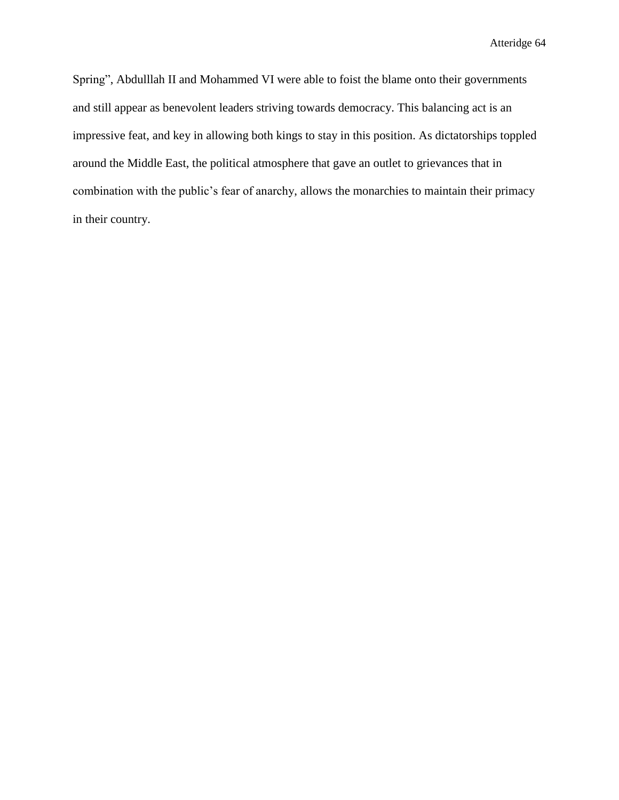Spring", Abdulllah II and Mohammed VI were able to foist the blame onto their governments and still appear as benevolent leaders striving towards democracy. This balancing act is an impressive feat, and key in allowing both kings to stay in this position. As dictatorships toppled around the Middle East, the political atmosphere that gave an outlet to grievances that in combination with the public's fear of anarchy, allows the monarchies to maintain their primacy in their country.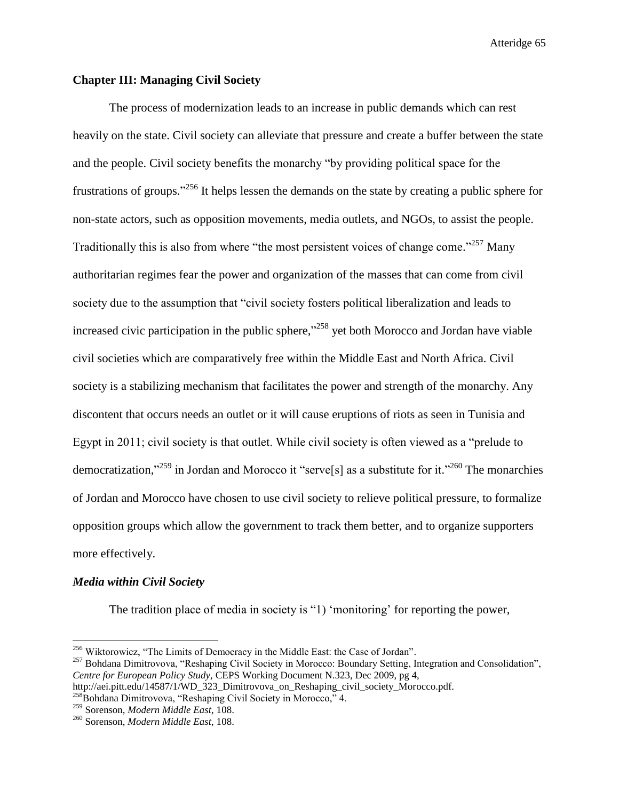## **Chapter III: Managing Civil Society**

The process of modernization leads to an increase in public demands which can rest heavily on the state. Civil society can alleviate that pressure and create a buffer between the state and the people. Civil society benefits the monarchy "by providing political space for the frustrations of groups."<sup>256</sup> It helps lessen the demands on the state by creating a public sphere for non-state actors, such as opposition movements, media outlets, and NGOs, to assist the people. Traditionally this is also from where "the most persistent voices of change come."<sup>257</sup> Many authoritarian regimes fear the power and organization of the masses that can come from civil society due to the assumption that "civil society fosters political liberalization and leads to increased civic participation in the public sphere,"<sup>258</sup> yet both Morocco and Jordan have viable civil societies which are comparatively free within the Middle East and North Africa. Civil society is a stabilizing mechanism that facilitates the power and strength of the monarchy. Any discontent that occurs needs an outlet or it will cause eruptions of riots as seen in Tunisia and Egypt in 2011; civil society is that outlet. While civil society is often viewed as a "prelude to democratization,"<sup>259</sup> in Jordan and Morocco it "serve<sup>[5]</sup> as a substitute for it."<sup>260</sup> The monarchies of Jordan and Morocco have chosen to use civil society to relieve political pressure, to formalize opposition groups which allow the government to track them better, and to organize supporters more effectively.

## *Media within Civil Society*

 $\overline{\phantom{a}}$ 

The tradition place of media in society is "1) 'monitoring' for reporting the power,

<sup>&</sup>lt;sup>256</sup> Wiktorowicz, "The Limits of Democracy in the Middle East: the Case of Jordan".

<sup>&</sup>lt;sup>257</sup> Bohdana Dimitrovova, "Reshaping Civil Society in Morocco: Boundary Setting, Integration and Consolidation", *Centre for European Policy Study,* CEPS Working Document N.323, Dec 2009, pg 4,

http://aei.pitt.edu/14587/1/WD\_323\_Dimitrovova\_on\_Reshaping\_civil\_society\_Morocco.pdf.

 $^{258}$ Bohdana Dimitrovova, "Reshaping Civil Society in Morocco," 4.

<sup>259</sup> Sorenson, *Modern Middle East*, 108.

<sup>260</sup> Sorenson, *Modern Middle East*, 108.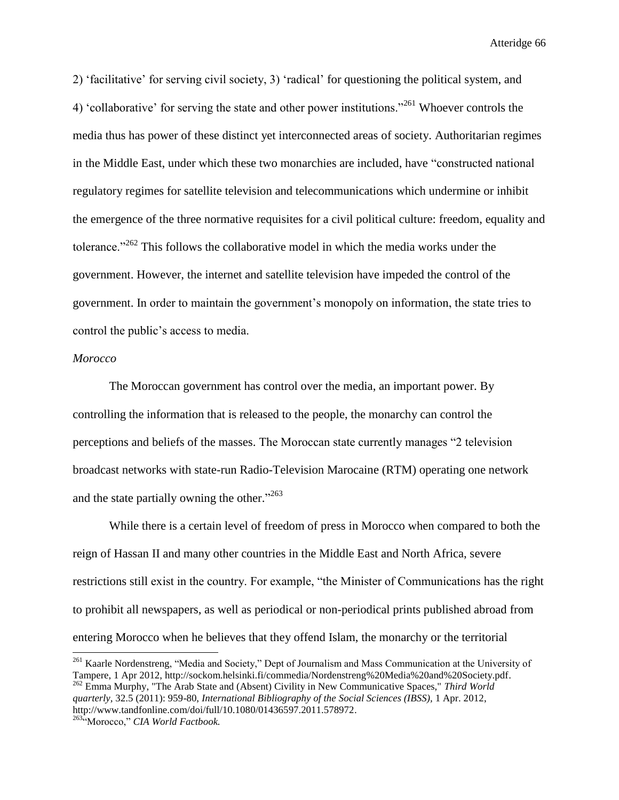2) 'facilitative' for serving civil society, 3) 'radical' for questioning the political system, and 4) 'collaborative' for serving the state and other power institutions."<sup>261</sup> Whoever controls the media thus has power of these distinct yet interconnected areas of society. Authoritarian regimes in the Middle East, under which these two monarchies are included, have "constructed national regulatory regimes for satellite television and telecommunications which undermine or inhibit the emergence of the three normative requisites for a civil political culture: freedom, equality and tolerance." $262$  This follows the collaborative model in which the media works under the government. However, the internet and satellite television have impeded the control of the government. In order to maintain the government's monopoly on information, the state tries to control the public's access to media.

## *Morocco*

l

The Moroccan government has control over the media, an important power. By controlling the information that is released to the people, the monarchy can control the perceptions and beliefs of the masses. The Moroccan state currently manages "2 television broadcast networks with state-run Radio-Television Marocaine (RTM) operating one network and the state partially owning the other."<sup>263</sup>

While there is a certain level of freedom of press in Morocco when compared to both the reign of Hassan II and many other countries in the Middle East and North Africa, severe restrictions still exist in the country. For example, "the Minister of Communications has the right to prohibit all newspapers, as well as periodical or non-periodical prints published abroad from entering Morocco when he believes that they offend Islam, the monarchy or the territorial

<sup>&</sup>lt;sup>261</sup> Kaarle Nordenstreng, "Media and Society," Dept of Journalism and Mass Communication at the University of Tampere, 1 Apr 2012, http://sockom.helsinki.fi/commedia/Nordenstreng%20Media%20and%20Society.pdf. <sup>262</sup> Emma Murphy, "The Arab State and (Absent) Civility in New Communicative Spaces," *Third World quarterly,* 32.5 (2011): 959-80, *International Bibliography of the Social Sciences (IBSS),* 1 Apr. 2012, http://www.tandfonline.com/doi/full/10.1080/01436597.2011.578972. <sup>263</sup>"Morocco," *CIA World Factbook.*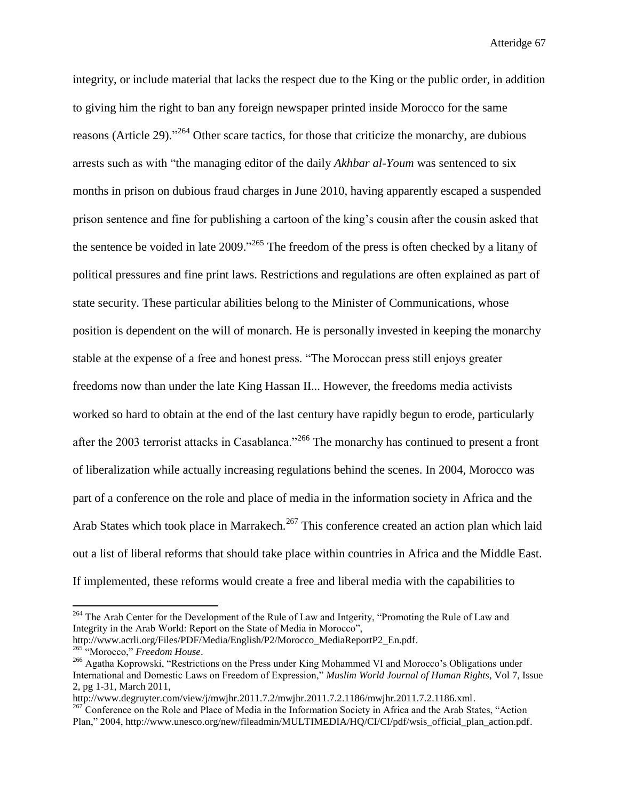integrity, or include material that lacks the respect due to the King or the public order, in addition to giving him the right to ban any foreign newspaper printed inside Morocco for the same reasons (Article 29).<sup>264</sup> Other scare tactics, for those that criticize the monarchy, are dubious arrests such as with "the managing editor of the daily *Akhbar al-Youm* was sentenced to six months in prison on dubious fraud charges in June 2010, having apparently escaped a suspended prison sentence and fine for publishing a cartoon of the king's cousin after the cousin asked that the sentence be voided in late  $2009$ ."<sup>265</sup> The freedom of the press is often checked by a litany of political pressures and fine print laws. Restrictions and regulations are often explained as part of state security. These particular abilities belong to the Minister of Communications, whose position is dependent on the will of monarch. He is personally invested in keeping the monarchy stable at the expense of a free and honest press. "The Moroccan press still enjoys greater freedoms now than under the late King Hassan II... However, the freedoms media activists worked so hard to obtain at the end of the last century have rapidly begun to erode, particularly after the 2003 terrorist attacks in Casablanca."<sup>266</sup> The monarchy has continued to present a front of liberalization while actually increasing regulations behind the scenes. In 2004, Morocco was part of a conference on the role and place of media in the information society in Africa and the Arab States which took place in Marrakech.<sup>267</sup> This conference created an action plan which laid out a list of liberal reforms that should take place within countries in Africa and the Middle East. If implemented, these reforms would create a free and liberal media with the capabilities to

<sup>&</sup>lt;sup>264</sup> The Arab Center for the Development of the Rule of Law and Intgerity, "Promoting the Rule of Law and Integrity in the Arab World: Report on the State of Media in Morocco", http://www.acrli.org/Files/PDF/Media/English/P2/Morocco\_MediaReportP2\_En.pdf.

<sup>265</sup> "Morocco," *Freedom House*.

<sup>&</sup>lt;sup>266</sup> Agatha Koprowski, "Restrictions on the Press under King Mohammed VI and Morocco's Obligations under International and Domestic Laws on Freedom of Expression," *Muslim World Journal of Human Rights*, Vol 7, Issue 2, pg 1-31, March 2011,

http://www.degruyter.com/view/j/mwjhr.2011.7.2/mwjhr.2011.7.2.1186/mwjhr.2011.7.2.1186.xml.

<sup>&</sup>lt;sup>267</sup> Conference on the Role and Place of Media in the Information Society in Africa and the Arab States, "Action Plan," 2004, http://www.unesco.org/new/fileadmin/MULTIMEDIA/HQ/CI/CI/pdf/wsis\_official\_plan\_action.pdf.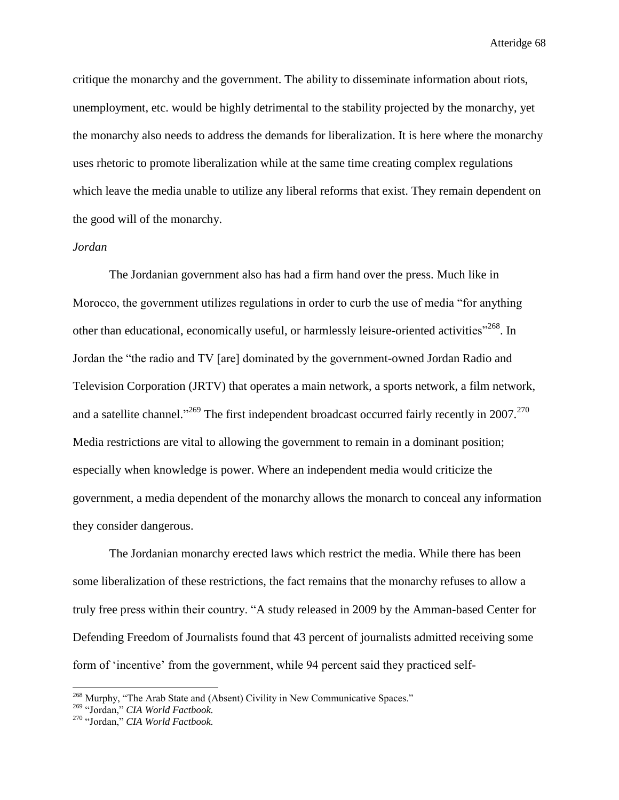critique the monarchy and the government. The ability to disseminate information about riots, unemployment, etc. would be highly detrimental to the stability projected by the monarchy, yet the monarchy also needs to address the demands for liberalization. It is here where the monarchy uses rhetoric to promote liberalization while at the same time creating complex regulations which leave the media unable to utilize any liberal reforms that exist. They remain dependent on the good will of the monarchy.

## *Jordan*

The Jordanian government also has had a firm hand over the press. Much like in Morocco, the government utilizes regulations in order to curb the use of media "for anything other than educational, economically useful, or harmlessly leisure-oriented activities"<sup>268</sup>. In Jordan the "the radio and TV [are] dominated by the government-owned Jordan Radio and Television Corporation (JRTV) that operates a main network, a sports network, a film network, and a satellite channel."<sup>269</sup> The first independent broadcast occurred fairly recently in 2007.<sup>270</sup> Media restrictions are vital to allowing the government to remain in a dominant position; especially when knowledge is power. Where an independent media would criticize the government, a media dependent of the monarchy allows the monarch to conceal any information they consider dangerous.

The Jordanian monarchy erected laws which restrict the media. While there has been some liberalization of these restrictions, the fact remains that the monarchy refuses to allow a truly free press within their country. "A study released in 2009 by the Amman-based Center for Defending Freedom of Journalists found that 43 percent of journalists admitted receiving some form of 'incentive' from the government, while 94 percent said they practiced self-

<sup>&</sup>lt;sup>268</sup> Murphy, "The Arab State and (Absent) Civility in New Communicative Spaces."

<sup>269</sup> "Jordan," *CIA World Factbook.*

<sup>270</sup> "Jordan," *CIA World Factbook.*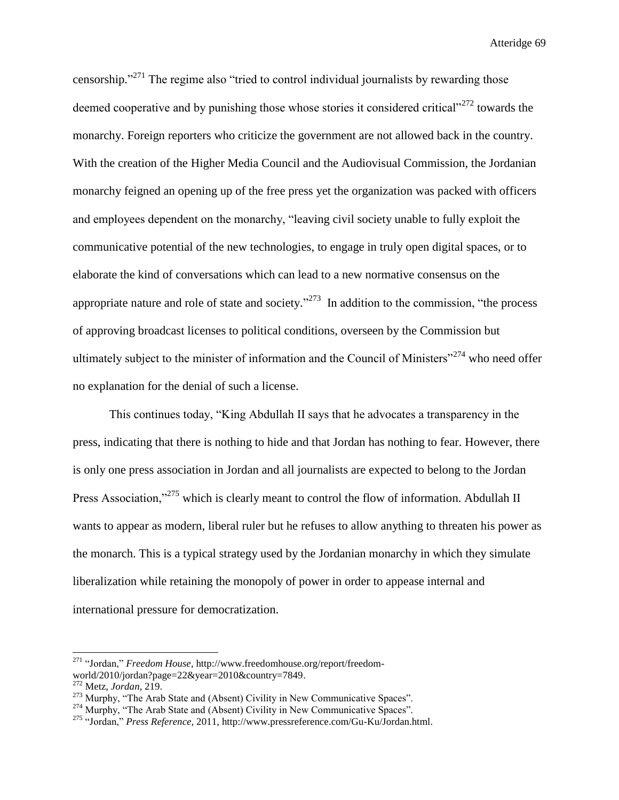censorship."<sup>271</sup> The regime also "tried to control individual journalists by rewarding those deemed cooperative and by punishing those whose stories it considered critical $12272$  towards the monarchy. Foreign reporters who criticize the government are not allowed back in the country. With the creation of the Higher Media Council and the Audiovisual Commission, the Jordanian monarchy feigned an opening up of the free press yet the organization was packed with officers and employees dependent on the monarchy, "leaving civil society unable to fully exploit the communicative potential of the new technologies, to engage in truly open digital spaces, or to elaborate the kind of conversations which can lead to a new normative consensus on the appropriate nature and role of state and society."<sup>273</sup> In addition to the commission, "the process" of approving broadcast licenses to political conditions, overseen by the Commission but ultimately subject to the minister of information and the Council of Ministers"<sup>274</sup> who need offer no explanation for the denial of such a license.

This continues today, "King Abdullah II says that he advocates a transparency in the press, indicating that there is nothing to hide and that Jordan has nothing to fear. However, there is only one press association in Jordan and all journalists are expected to belong to the Jordan Press Association,"<sup>275</sup> which is clearly meant to control the flow of information. Abdullah II wants to appear as modern, liberal ruler but he refuses to allow anything to threaten his power as the monarch. This is a typical strategy used by the Jordanian monarchy in which they simulate liberalization while retaining the monopoly of power in order to appease internal and international pressure for democratization.

<sup>271</sup> "Jordan," *Freedom House*, http://www.freedomhouse.org/report/freedomworld/2010/jordan?page=22&year=2010&country=7849.

<sup>272</sup> Metz, *Jordan*, 219.

 $273$  Murphy, "The Arab State and (Absent) Civility in New Communicative Spaces".

<sup>&</sup>lt;sup>274</sup> Murphy, "The Arab State and (Absent) Civility in New Communicative Spaces".

<sup>275</sup> "Jordan," *Press Reference*, 2011, http://www.pressreference.com/Gu-Ku/Jordan.html.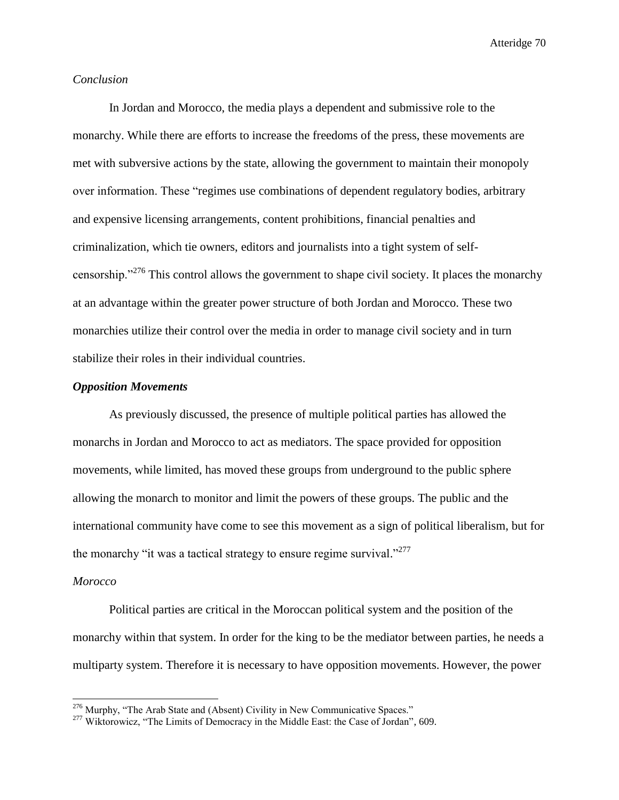# *Conclusion*

In Jordan and Morocco, the media plays a dependent and submissive role to the monarchy. While there are efforts to increase the freedoms of the press, these movements are met with subversive actions by the state, allowing the government to maintain their monopoly over information. These "regimes use combinations of dependent regulatory bodies, arbitrary and expensive licensing arrangements, content prohibitions, financial penalties and criminalization, which tie owners, editors and journalists into a tight system of selfcensorship."<sup>276</sup> This control allows the government to shape civil society. It places the monarchy at an advantage within the greater power structure of both Jordan and Morocco. These two monarchies utilize their control over the media in order to manage civil society and in turn stabilize their roles in their individual countries.

# *Opposition Movements*

As previously discussed, the presence of multiple political parties has allowed the monarchs in Jordan and Morocco to act as mediators. The space provided for opposition movements, while limited, has moved these groups from underground to the public sphere allowing the monarch to monitor and limit the powers of these groups. The public and the international community have come to see this movement as a sign of political liberalism, but for the monarchy "it was a tactical strategy to ensure regime survival."<sup>277</sup>

#### *Morocco*

l

Political parties are critical in the Moroccan political system and the position of the monarchy within that system. In order for the king to be the mediator between parties, he needs a multiparty system. Therefore it is necessary to have opposition movements. However, the power

<sup>&</sup>lt;sup>276</sup> Murphy, "The Arab State and (Absent) Civility in New Communicative Spaces."

<sup>&</sup>lt;sup>277</sup> Wiktorowicz, "The Limits of Democracy in the Middle East: the Case of Jordan", 609.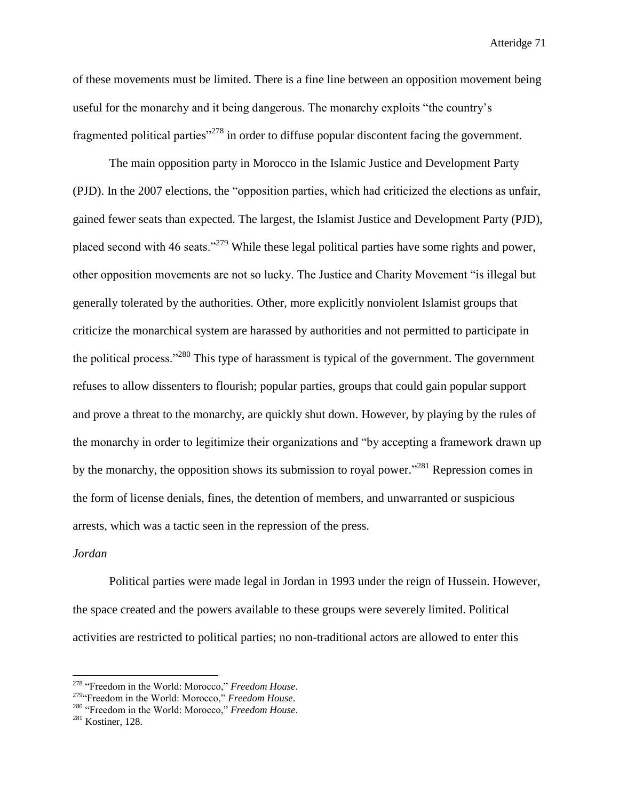of these movements must be limited. There is a fine line between an opposition movement being useful for the monarchy and it being dangerous. The monarchy exploits "the country's fragmented political parties<sup>"278</sup> in order to diffuse popular discontent facing the government.

The main opposition party in Morocco in the Islamic Justice and Development Party (PJD). In the 2007 elections, the "opposition parties, which had criticized the elections as unfair, gained fewer seats than expected. The largest, the Islamist Justice and Development Party (PJD), placed second with 46 seats."<sup>279</sup> While these legal political parties have some rights and power, other opposition movements are not so lucky. The Justice and Charity Movement "is illegal but generally tolerated by the authorities. Other, more explicitly nonviolent Islamist groups that criticize the monarchical system are harassed by authorities and not permitted to participate in the political process."<sup>280</sup> This type of harassment is typical of the government. The government refuses to allow dissenters to flourish; popular parties, groups that could gain popular support and prove a threat to the monarchy, are quickly shut down. However, by playing by the rules of the monarchy in order to legitimize their organizations and "by accepting a framework drawn up by the monarchy, the opposition shows its submission to royal power."<sup>281</sup> Repression comes in the form of license denials, fines, the detention of members, and unwarranted or suspicious arrests, which was a tactic seen in the repression of the press.

#### *Jordan*

 $\overline{a}$ 

Political parties were made legal in Jordan in 1993 under the reign of Hussein. However, the space created and the powers available to these groups were severely limited. Political activities are restricted to political parties; no non-traditional actors are allowed to enter this

<sup>278</sup> "Freedom in the World: Morocco," *Freedom House*.

<sup>&</sup>lt;sup>279</sup>"Freedom in the World: Morocco," *Freedom House*.

<sup>280</sup> "Freedom in the World: Morocco," *Freedom House*.

<sup>&</sup>lt;sup>281</sup> Kostiner, 128.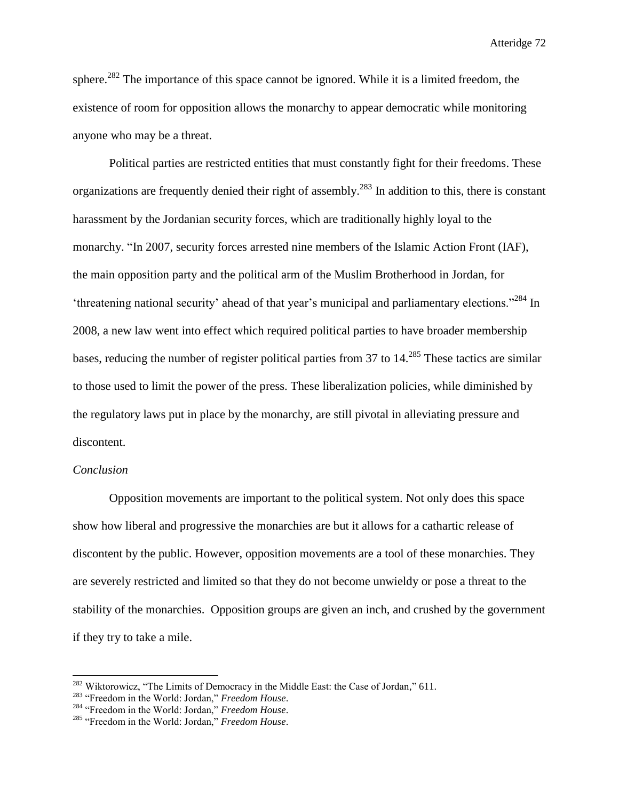sphere.<sup>282</sup> The importance of this space cannot be ignored. While it is a limited freedom, the existence of room for opposition allows the monarchy to appear democratic while monitoring anyone who may be a threat.

Political parties are restricted entities that must constantly fight for their freedoms. These organizations are frequently denied their right of assembly.<sup>283</sup> In addition to this, there is constant harassment by the Jordanian security forces, which are traditionally highly loyal to the monarchy. "In 2007, security forces arrested nine members of the Islamic Action Front (IAF), the main opposition party and the political arm of the Muslim Brotherhood in Jordan, for 'threatening national security' ahead of that year's municipal and parliamentary elections."<sup>284</sup> In 2008, a new law went into effect which required political parties to have broader membership bases, reducing the number of register political parties from 37 to 14.<sup>285</sup> These tactics are similar to those used to limit the power of the press. These liberalization policies, while diminished by the regulatory laws put in place by the monarchy, are still pivotal in alleviating pressure and discontent.

# *Conclusion*

 $\overline{a}$ 

Opposition movements are important to the political system. Not only does this space show how liberal and progressive the monarchies are but it allows for a cathartic release of discontent by the public. However, opposition movements are a tool of these monarchies. They are severely restricted and limited so that they do not become unwieldy or pose a threat to the stability of the monarchies. Opposition groups are given an inch, and crushed by the government if they try to take a mile.

<sup>&</sup>lt;sup>282</sup> Wiktorowicz, "The Limits of Democracy in the Middle East: the Case of Jordan," 611.

<sup>283</sup> "Freedom in the World: Jordan," *Freedom House*.

<sup>284</sup> "Freedom in the World: Jordan," *Freedom House*.

<sup>285</sup> "Freedom in the World: Jordan," *Freedom House*.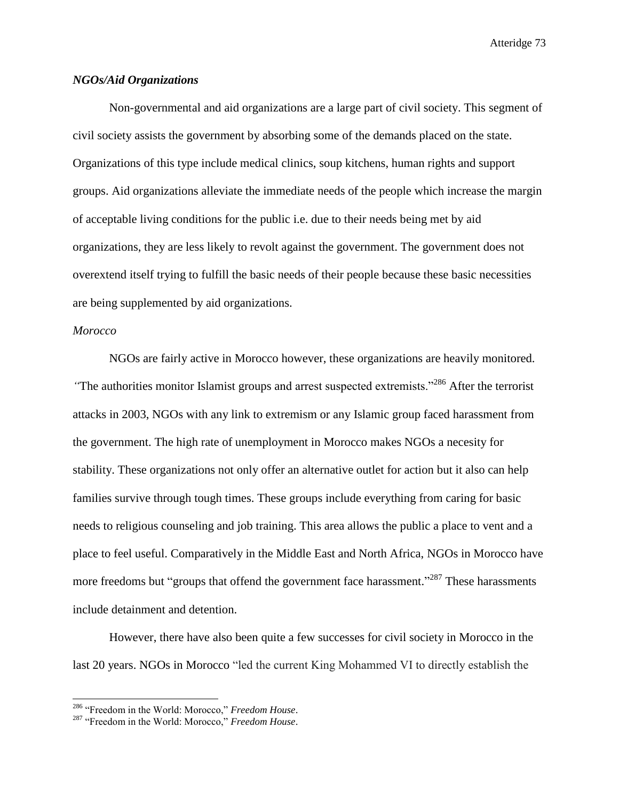# *NGOs/Aid Organizations*

Non-governmental and aid organizations are a large part of civil society. This segment of civil society assists the government by absorbing some of the demands placed on the state. Organizations of this type include medical clinics, soup kitchens, human rights and support groups. Aid organizations alleviate the immediate needs of the people which increase the margin of acceptable living conditions for the public i.e. due to their needs being met by aid organizations, they are less likely to revolt against the government. The government does not overextend itself trying to fulfill the basic needs of their people because these basic necessities are being supplemented by aid organizations.

# *Morocco*

l

NGOs are fairly active in Morocco however, these organizations are heavily monitored. *"*The authorities monitor Islamist groups and arrest suspected extremists."<sup>286</sup> After the terrorist attacks in 2003, NGOs with any link to extremism or any Islamic group faced harassment from the government. The high rate of unemployment in Morocco makes NGOs a necesity for stability. These organizations not only offer an alternative outlet for action but it also can help families survive through tough times. These groups include everything from caring for basic needs to religious counseling and job training. This area allows the public a place to vent and a place to feel useful. Comparatively in the Middle East and North Africa, NGOs in Morocco have more freedoms but "groups that offend the government face harassment."<sup>287</sup> These harassments include detainment and detention.

However, there have also been quite a few successes for civil society in Morocco in the last 20 years. NGOs in Morocco "led the current King Mohammed VI to directly establish the

<sup>286</sup> "Freedom in the World: Morocco," *Freedom House*.

<sup>287</sup> "Freedom in the World: Morocco," *Freedom House*.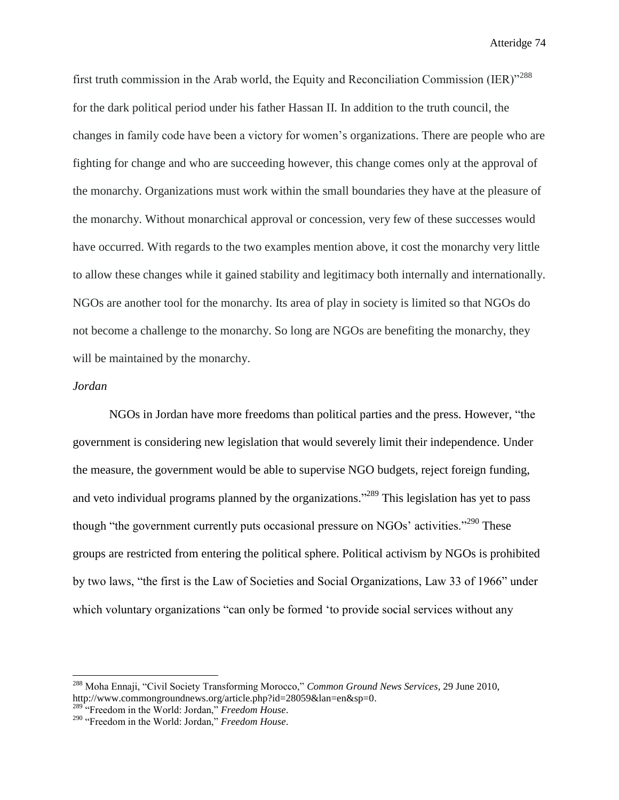first truth commission in the Arab world, the Equity and Reconciliation Commission (IER)<sup>"288</sup> for the dark political period under his father Hassan II. In addition to the truth council, the changes in family code have been a victory for women's organizations. There are people who are fighting for change and who are succeeding however, this change comes only at the approval of the monarchy. Organizations must work within the small boundaries they have at the pleasure of the monarchy. Without monarchical approval or concession, very few of these successes would have occurred. With regards to the two examples mention above, it cost the monarchy very little to allow these changes while it gained stability and legitimacy both internally and internationally. NGOs are another tool for the monarchy. Its area of play in society is limited so that NGOs do not become a challenge to the monarchy. So long are NGOs are benefiting the monarchy, they will be maintained by the monarchy.

#### *Jordan*

 $\overline{a}$ 

NGOs in Jordan have more freedoms than political parties and the press. However, "the government is considering new legislation that would severely limit their independence. Under the measure, the government would be able to supervise NGO budgets, reject foreign funding, and veto individual programs planned by the organizations."<sup>289</sup> This legislation has yet to pass though "the government currently puts occasional pressure on NGOs' activities."<sup>290</sup> These groups are restricted from entering the political sphere. Political activism by NGOs is prohibited by two laws, "the first is the Law of Societies and Social Organizations, Law 33 of 1966" under which voluntary organizations "can only be formed 'to provide social services without any

<sup>288</sup> Moha Ennaji, "Civil Society Transforming Morocco," *Common Ground News Services*, 29 June 2010, http://www.commongroundnews.org/article.php?id=28059&lan=en&sp=0.

<sup>289</sup> "Freedom in the World: Jordan," *Freedom House*.

<sup>290</sup> "Freedom in the World: Jordan," *Freedom House*.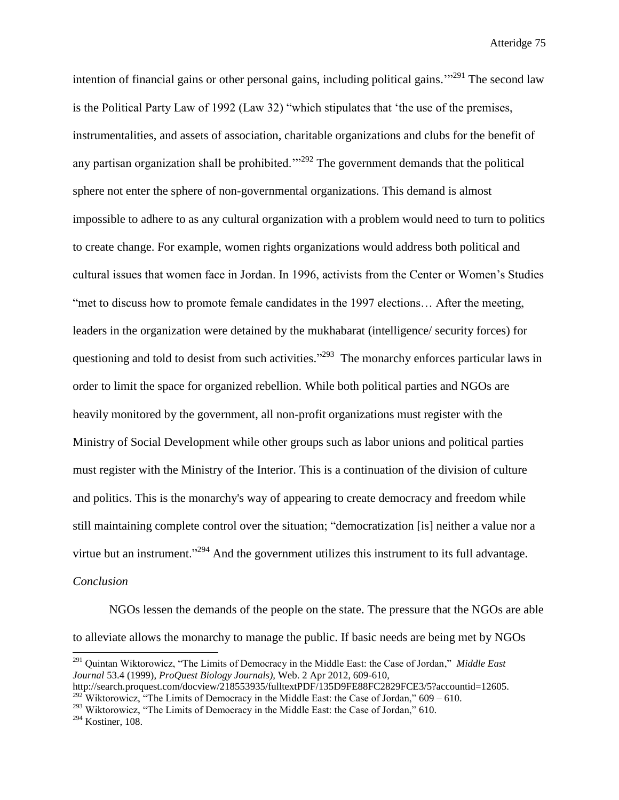intention of financial gains or other personal gains, including political gains.<sup> $1291$ </sup> The second law is the Political Party Law of 1992 (Law 32) "which stipulates that 'the use of the premises, instrumentalities, and assets of association, charitable organizations and clubs for the benefit of any partisan organization shall be prohibited.<sup> $1292$ </sup> The government demands that the political sphere not enter the sphere of non-governmental organizations. This demand is almost impossible to adhere to as any cultural organization with a problem would need to turn to politics to create change. For example, women rights organizations would address both political and cultural issues that women face in Jordan. In 1996, activists from the Center or Women's Studies "met to discuss how to promote female candidates in the 1997 elections… After the meeting, leaders in the organization were detained by the mukhabarat (intelligence/ security forces) for questioning and told to desist from such activities."<sup>293</sup> The monarchy enforces particular laws in order to limit the space for organized rebellion. While both political parties and NGOs are heavily monitored by the government, all non-profit organizations must register with the Ministry of Social Development while other groups such as labor unions and political parties must register with the Ministry of the Interior. This is a continuation of the division of culture and politics. This is the monarchy's way of appearing to create democracy and freedom while still maintaining complete control over the situation; "democratization [is] neither a value nor a virtue but an instrument."<sup>294</sup> And the government utilizes this instrument to its full advantage. *Conclusion*

NGOs lessen the demands of the people on the state. The pressure that the NGOs are able to alleviate allows the monarchy to manage the public. If basic needs are being met by NGOs

<sup>291</sup> Quintan Wiktorowicz, "The Limits of Democracy in the Middle East: the Case of Jordan," *Middle East Journal* 53.4 (1999), *ProQuest Biology Journals),* Web. 2 Apr 2012, 609-610,

http://search.proquest.com/docview/218553935/fulltextPDF/135D9FE88FC2829FCE3/5?accountid=12605. <sup>292</sup> Wiktorowicz, "The Limits of Democracy in the Middle East: the Case of Jordan,"  $609 - 610$ .

<sup>&</sup>lt;sup>293</sup> Wiktorowicz, "The Limits of Democracy in the Middle East: the Case of Jordan," 610.

<sup>294</sup> Kostiner, 108.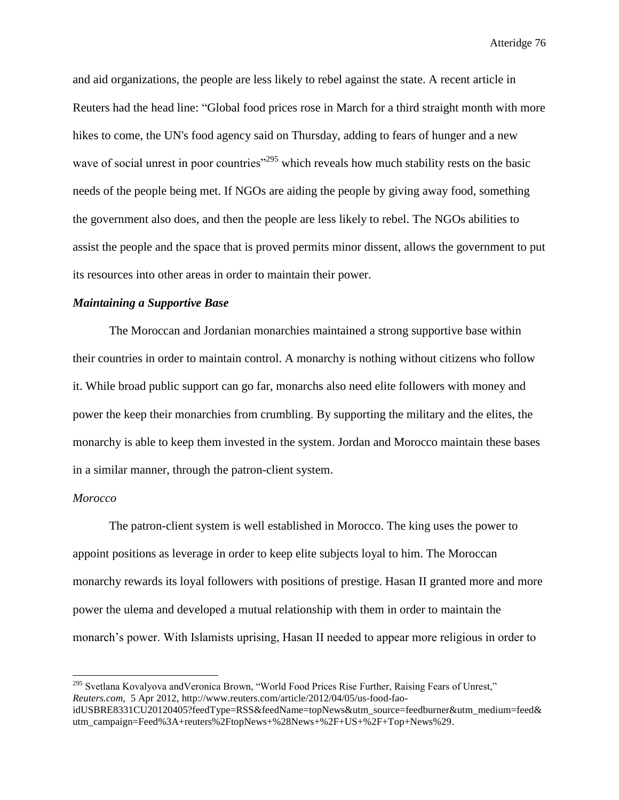and aid organizations, the people are less likely to rebel against the state. A recent article in Reuters had the head line: "Global food prices rose in March for a third straight month with more hikes to come, the UN's food agency said on Thursday, adding to fears of hunger and a new wave of social unrest in poor countries<sup>"295</sup> which reveals how much stability rests on the basic needs of the people being met. If NGOs are aiding the people by giving away food, something the government also does, and then the people are less likely to rebel. The NGOs abilities to assist the people and the space that is proved permits minor dissent, allows the government to put its resources into other areas in order to maintain their power.

# *Maintaining a Supportive Base*

The Moroccan and Jordanian monarchies maintained a strong supportive base within their countries in order to maintain control. A monarchy is nothing without citizens who follow it. While broad public support can go far, monarchs also need elite followers with money and power the keep their monarchies from crumbling. By supporting the military and the elites, the monarchy is able to keep them invested in the system. Jordan and Morocco maintain these bases in a similar manner, through the patron-client system.

# *Morocco*

 $\overline{a}$ 

The patron-client system is well established in Morocco. The king uses the power to appoint positions as leverage in order to keep elite subjects loyal to him. The Moroccan monarchy rewards its loyal followers with positions of prestige. Hasan II granted more and more power the ulema and developed a mutual relationship with them in order to maintain the monarch's power. With Islamists uprising, Hasan II needed to appear more religious in order to

<sup>&</sup>lt;sup>295</sup> Svetlana Kovalyova and Veronica Brown, "World Food Prices Rise Further, Raising Fears of Unrest," *Reuters.com*, 5 Apr 2012, http://www.reuters.com/article/2012/04/05/us-food-faoidUSBRE8331CU20120405?feedType=RSS&feedName=topNews&utm\_source=feedburner&utm\_medium=feed&

utm\_campaign=Feed%3A+reuters%2FtopNews+%28News+%2F+US+%2F+Top+News%29.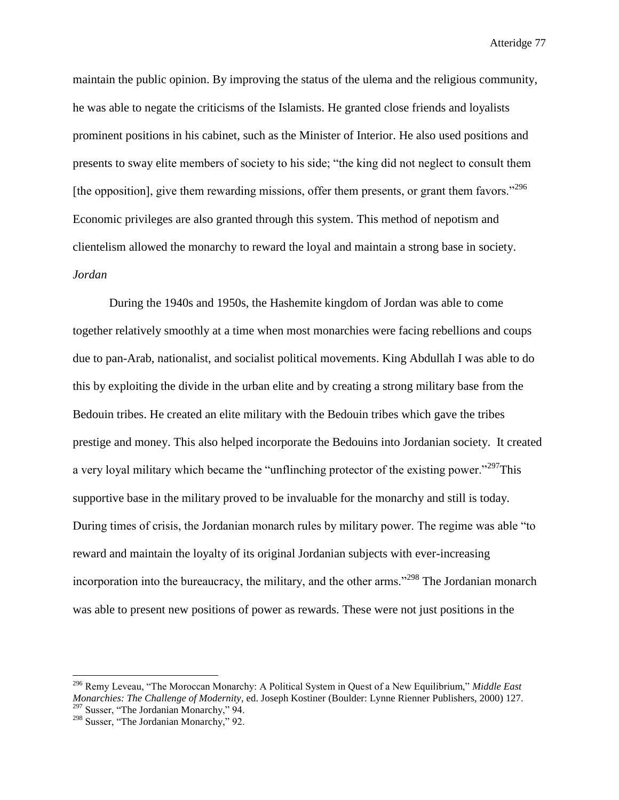maintain the public opinion. By improving the status of the ulema and the religious community, he was able to negate the criticisms of the Islamists. He granted close friends and loyalists prominent positions in his cabinet, such as the Minister of Interior. He also used positions and presents to sway elite members of society to his side; "the king did not neglect to consult them [the opposition], give them rewarding missions, offer them presents, or grant them favors."<sup>296</sup> Economic privileges are also granted through this system. This method of nepotism and clientelism allowed the monarchy to reward the loyal and maintain a strong base in society. *Jordan*

During the 1940s and 1950s, the Hashemite kingdom of Jordan was able to come together relatively smoothly at a time when most monarchies were facing rebellions and coups due to pan-Arab, nationalist, and socialist political movements. King Abdullah I was able to do this by exploiting the divide in the urban elite and by creating a strong military base from the Bedouin tribes. He created an elite military with the Bedouin tribes which gave the tribes prestige and money. This also helped incorporate the Bedouins into Jordanian society. It created a very loyal military which became the "unflinching protector of the existing power."<sup>297</sup>This supportive base in the military proved to be invaluable for the monarchy and still is today. During times of crisis, the Jordanian monarch rules by military power. The regime was able "to reward and maintain the loyalty of its original Jordanian subjects with ever-increasing incorporation into the bureaucracy, the military, and the other arms."<sup>298</sup> The Jordanian monarch was able to present new positions of power as rewards. These were not just positions in the

 $\overline{a}$ 

<sup>296</sup> Remy Leveau, "The Moroccan Monarchy: A Political System in Quest of a New Equilibrium," *Middle East Monarchies: The Challenge of Modernity*, ed. Joseph Kostiner (Boulder: Lynne Rienner Publishers, 2000) 127. <sup>297</sup> Susser, "The Jordanian Monarchy," 94.

<sup>298</sup> Susser, "The Jordanian Monarchy," 92.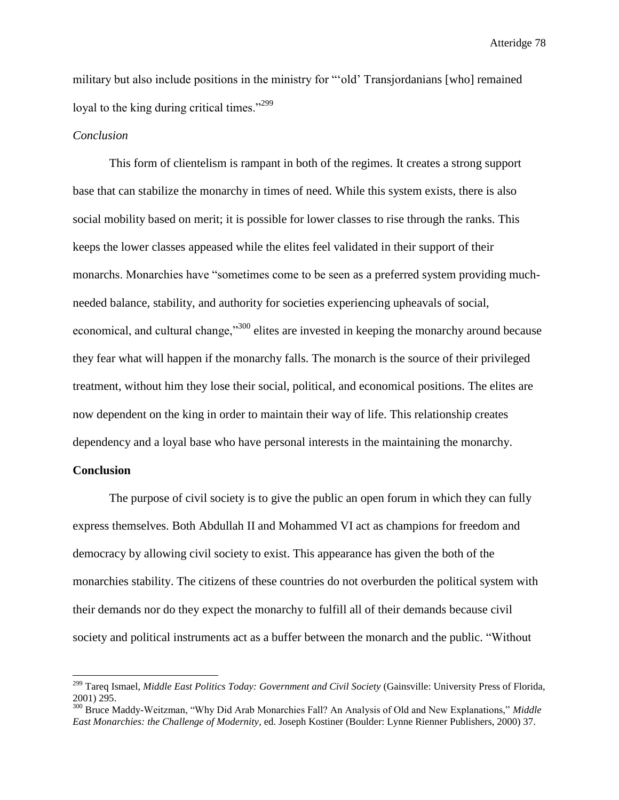military but also include positions in the ministry for "'old' Transjordanians [who] remained loyal to the king during critical times."<sup>299</sup>

# *Conclusion*

This form of clientelism is rampant in both of the regimes. It creates a strong support base that can stabilize the monarchy in times of need. While this system exists, there is also social mobility based on merit; it is possible for lower classes to rise through the ranks. This keeps the lower classes appeased while the elites feel validated in their support of their monarchs. Monarchies have "sometimes come to be seen as a preferred system providing muchneeded balance, stability, and authority for societies experiencing upheavals of social, economical, and cultural change,"<sup>300</sup> elites are invested in keeping the monarchy around because they fear what will happen if the monarchy falls. The monarch is the source of their privileged treatment, without him they lose their social, political, and economical positions. The elites are now dependent on the king in order to maintain their way of life. This relationship creates dependency and a loyal base who have personal interests in the maintaining the monarchy.

### **Conclusion**

 $\overline{a}$ 

The purpose of civil society is to give the public an open forum in which they can fully express themselves. Both Abdullah II and Mohammed VI act as champions for freedom and democracy by allowing civil society to exist. This appearance has given the both of the monarchies stability. The citizens of these countries do not overburden the political system with their demands nor do they expect the monarchy to fulfill all of their demands because civil society and political instruments act as a buffer between the monarch and the public. "Without

<sup>299</sup> Tareq Ismael, *Middle East Politics Today: Government and Civil Society* (Gainsville: University Press of Florida, 2001) 295.

<sup>300</sup> Bruce Maddy-Weitzman, "Why Did Arab Monarchies Fall? An Analysis of Old and New Explanations," *Middle East Monarchies: the Challenge of Modernity*, ed. Joseph Kostiner (Boulder: Lynne Rienner Publishers, 2000) 37.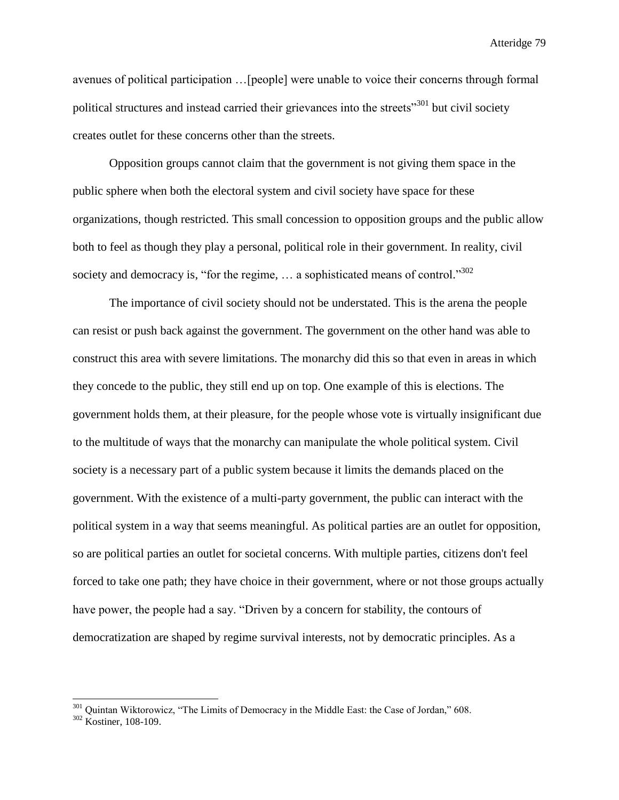avenues of political participation …[people] were unable to voice their concerns through formal political structures and instead carried their grievances into the streets"<sup>301</sup> but civil society creates outlet for these concerns other than the streets.

Opposition groups cannot claim that the government is not giving them space in the public sphere when both the electoral system and civil society have space for these organizations, though restricted. This small concession to opposition groups and the public allow both to feel as though they play a personal, political role in their government. In reality, civil society and democracy is, "for the regime,  $\dots$  a sophisticated means of control."<sup>302</sup>

The importance of civil society should not be understated. This is the arena the people can resist or push back against the government. The government on the other hand was able to construct this area with severe limitations. The monarchy did this so that even in areas in which they concede to the public, they still end up on top. One example of this is elections. The government holds them, at their pleasure, for the people whose vote is virtually insignificant due to the multitude of ways that the monarchy can manipulate the whole political system. Civil society is a necessary part of a public system because it limits the demands placed on the government. With the existence of a multi-party government, the public can interact with the political system in a way that seems meaningful. As political parties are an outlet for opposition, so are political parties an outlet for societal concerns. With multiple parties, citizens don't feel forced to take one path; they have choice in their government, where or not those groups actually have power, the people had a say. "Driven by a concern for stability, the contours of democratization are shaped by regime survival interests, not by democratic principles. As a

<sup>&</sup>lt;sup>301</sup> Quintan Wiktorowicz, "The Limits of Democracy in the Middle East: the Case of Jordan," 608.

<sup>302</sup> Kostiner, 108-109.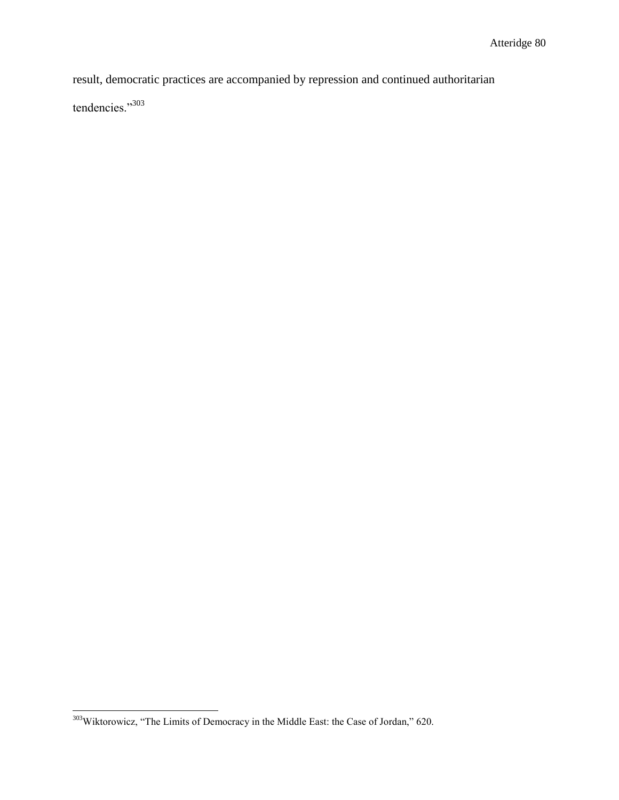result, democratic practices are accompanied by repression and continued authoritarian

tendencies."303

 $\overline{\phantom{a}}$  $303$ Wiktorowicz, "The Limits of Democracy in the Middle East: the Case of Jordan," 620.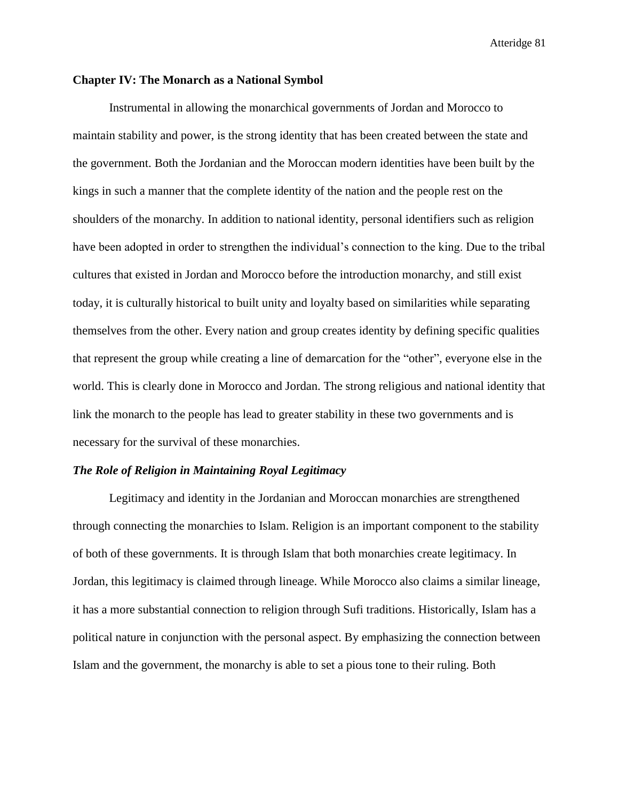### **Chapter IV: The Monarch as a National Symbol**

Instrumental in allowing the monarchical governments of Jordan and Morocco to maintain stability and power, is the strong identity that has been created between the state and the government. Both the Jordanian and the Moroccan modern identities have been built by the kings in such a manner that the complete identity of the nation and the people rest on the shoulders of the monarchy. In addition to national identity, personal identifiers such as religion have been adopted in order to strengthen the individual's connection to the king. Due to the tribal cultures that existed in Jordan and Morocco before the introduction monarchy, and still exist today, it is culturally historical to built unity and loyalty based on similarities while separating themselves from the other. Every nation and group creates identity by defining specific qualities that represent the group while creating a line of demarcation for the "other", everyone else in the world. This is clearly done in Morocco and Jordan. The strong religious and national identity that link the monarch to the people has lead to greater stability in these two governments and is necessary for the survival of these monarchies.

### *The Role of Religion in Maintaining Royal Legitimacy*

Legitimacy and identity in the Jordanian and Moroccan monarchies are strengthened through connecting the monarchies to Islam. Religion is an important component to the stability of both of these governments. It is through Islam that both monarchies create legitimacy. In Jordan, this legitimacy is claimed through lineage. While Morocco also claims a similar lineage, it has a more substantial connection to religion through Sufi traditions. Historically, Islam has a political nature in conjunction with the personal aspect. By emphasizing the connection between Islam and the government, the monarchy is able to set a pious tone to their ruling. Both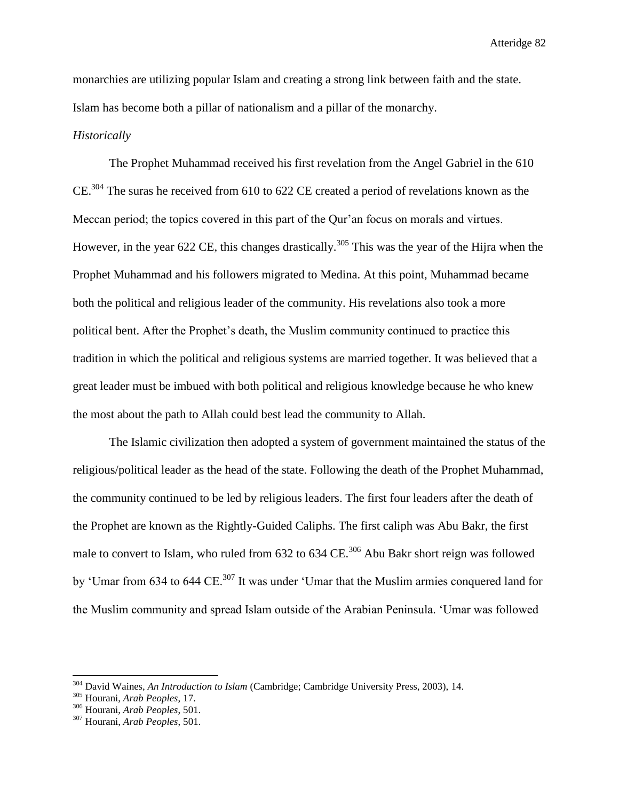monarchies are utilizing popular Islam and creating a strong link between faith and the state. Islam has become both a pillar of nationalism and a pillar of the monarchy.

# *Historically*

The Prophet Muhammad received his first revelation from the Angel Gabriel in the 610 CE.<sup>304</sup> The suras he received from 610 to 622 CE created a period of revelations known as the Meccan period; the topics covered in this part of the Qur'an focus on morals and virtues. However, in the year 622 CE, this changes drastically.<sup>305</sup> This was the year of the Hijra when the Prophet Muhammad and his followers migrated to Medina. At this point, Muhammad became both the political and religious leader of the community. His revelations also took a more political bent. After the Prophet's death, the Muslim community continued to practice this tradition in which the political and religious systems are married together. It was believed that a great leader must be imbued with both political and religious knowledge because he who knew the most about the path to Allah could best lead the community to Allah.

The Islamic civilization then adopted a system of government maintained the status of the religious/political leader as the head of the state. Following the death of the Prophet Muhammad, the community continued to be led by religious leaders. The first four leaders after the death of the Prophet are known as the Rightly-Guided Caliphs. The first caliph was Abu Bakr, the first male to convert to Islam, who ruled from 632 to 634 CE.<sup>306</sup> Abu Bakr short reign was followed by 'Umar from 634 to 644 CE.<sup>307</sup> It was under 'Umar that the Muslim armies conquered land for the Muslim community and spread Islam outside of the Arabian Peninsula. 'Umar was followed

 $\overline{a}$ 

<sup>304</sup> David Waines, *An Introduction to Islam* (Cambridge; Cambridge University Press, 2003), 14.

<sup>305</sup> Hourani, *Arab Peoples*, 17.

<sup>306</sup> Hourani, *Arab Peoples*, 501.

<sup>307</sup> Hourani, *Arab Peoples*, 501.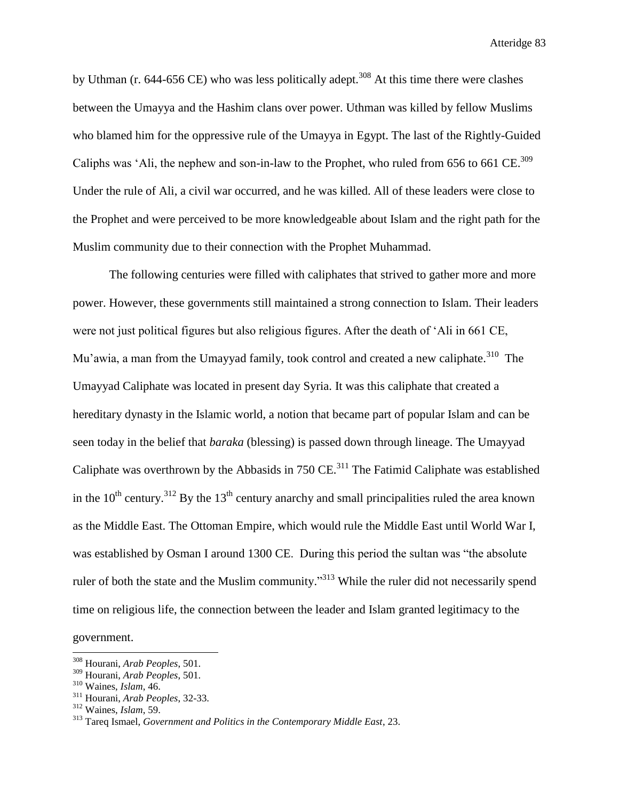by Uthman (r. 644-656 CE) who was less politically adept.<sup>308</sup> At this time there were clashes between the Umayya and the Hashim clans over power. Uthman was killed by fellow Muslims who blamed him for the oppressive rule of the Umayya in Egypt. The last of the Rightly-Guided Caliphs was 'Ali, the nephew and son-in-law to the Prophet, who ruled from 656 to 661 CE.<sup>309</sup> Under the rule of Ali, a civil war occurred, and he was killed. All of these leaders were close to the Prophet and were perceived to be more knowledgeable about Islam and the right path for the Muslim community due to their connection with the Prophet Muhammad.

The following centuries were filled with caliphates that strived to gather more and more power. However, these governments still maintained a strong connection to Islam. Their leaders were not just political figures but also religious figures. After the death of 'Ali in 661 CE, Mu'awia, a man from the Umayyad family, took control and created a new caliphate.<sup>310</sup> The Umayyad Caliphate was located in present day Syria. It was this caliphate that created a hereditary dynasty in the Islamic world, a notion that became part of popular Islam and can be seen today in the belief that *baraka* (blessing) is passed down through lineage. The Umayyad Caliphate was overthrown by the Abbasids in  $750 \text{ CE.}^{311}$  The Fatimid Caliphate was established in the  $10^{th}$  century.<sup>312</sup> By the  $13^{th}$  century anarchy and small principalities ruled the area known as the Middle East. The Ottoman Empire, which would rule the Middle East until World War I, was established by Osman I around 1300 CE. During this period the sultan was "the absolute ruler of both the state and the Muslim community."<sup>313</sup> While the ruler did not necessarily spend time on religious life, the connection between the leader and Islam granted legitimacy to the

government.

<sup>308</sup> Hourani, *Arab Peoples*, 501.

<sup>309</sup> Hourani, *Arab Peoples*, 501.

<sup>310</sup> Waines, *Islam*, 46.

<sup>311</sup> Hourani, *Arab Peoples*, 32-33.

<sup>312</sup> Waines, *Islam*, 59.

<sup>313</sup> Tareq Ismael, *Government and Politics in the Contemporary Middle East*, 23.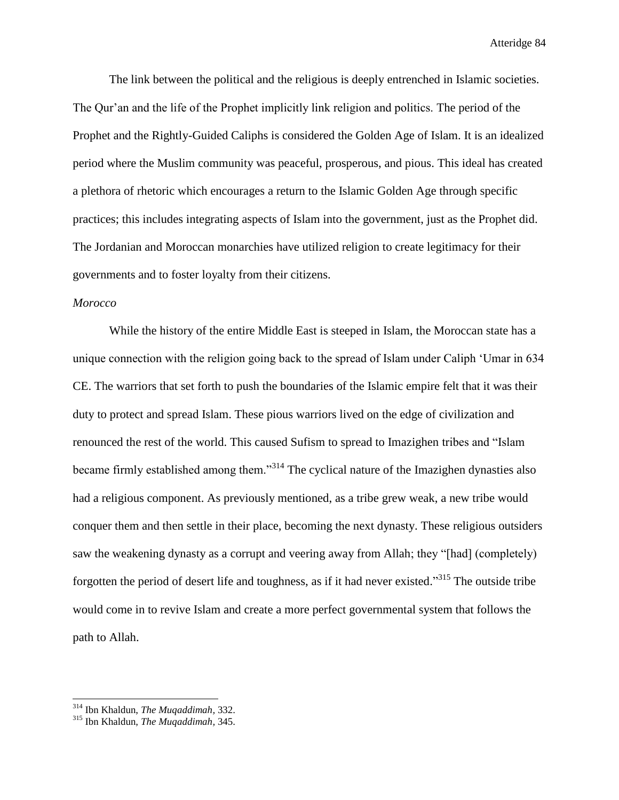The link between the political and the religious is deeply entrenched in Islamic societies. The Qur'an and the life of the Prophet implicitly link religion and politics. The period of the Prophet and the Rightly-Guided Caliphs is considered the Golden Age of Islam. It is an idealized period where the Muslim community was peaceful, prosperous, and pious. This ideal has created a plethora of rhetoric which encourages a return to the Islamic Golden Age through specific practices; this includes integrating aspects of Islam into the government, just as the Prophet did. The Jordanian and Moroccan monarchies have utilized religion to create legitimacy for their governments and to foster loyalty from their citizens.

# *Morocco*

While the history of the entire Middle East is steeped in Islam, the Moroccan state has a unique connection with the religion going back to the spread of Islam under Caliph 'Umar in 634 CE. The warriors that set forth to push the boundaries of the Islamic empire felt that it was their duty to protect and spread Islam. These pious warriors lived on the edge of civilization and renounced the rest of the world. This caused Sufism to spread to Imazighen tribes and "Islam became firmly established among them."<sup>314</sup> The cyclical nature of the Imazighen dynasties also had a religious component. As previously mentioned, as a tribe grew weak, a new tribe would conquer them and then settle in their place, becoming the next dynasty. These religious outsiders saw the weakening dynasty as a corrupt and veering away from Allah; they "[had] (completely) forgotten the period of desert life and toughness, as if it had never existed."<sup>315</sup> The outside tribe would come in to revive Islam and create a more perfect governmental system that follows the path to Allah.

<sup>314</sup> Ibn Khaldun, *The Muqaddimah,* 332.

<sup>315</sup> Ibn Khaldun, *The Muqaddimah,* 345.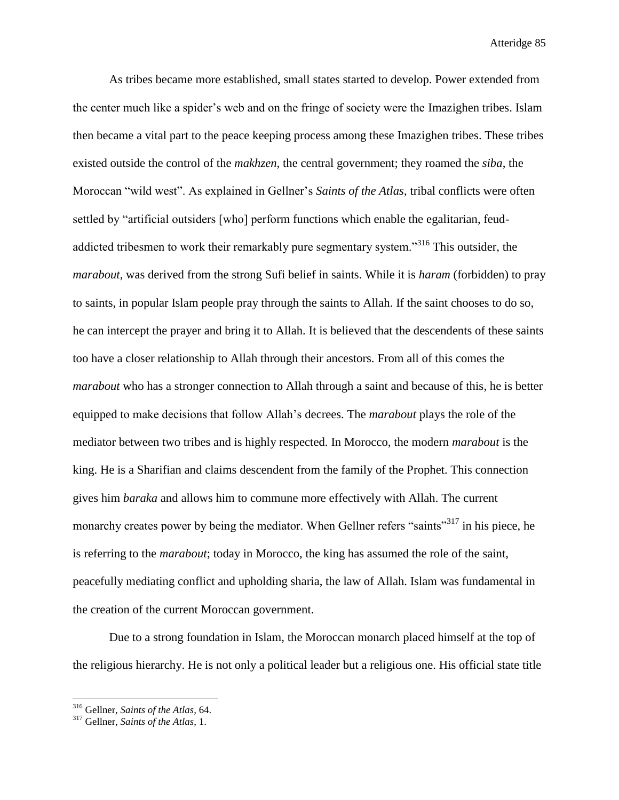As tribes became more established, small states started to develop. Power extended from the center much like a spider's web and on the fringe of society were the Imazighen tribes. Islam then became a vital part to the peace keeping process among these Imazighen tribes. These tribes existed outside the control of the *makhzen*, the central government; they roamed the *siba*, the Moroccan "wild west". As explained in Gellner's *Saints of the Atlas*, tribal conflicts were often settled by "artificial outsiders [who] perform functions which enable the egalitarian, feudaddicted tribesmen to work their remarkably pure segmentary system."<sup>316</sup> This outsider, the *marabout*, was derived from the strong Sufi belief in saints. While it is *haram* (forbidden) to pray to saints, in popular Islam people pray through the saints to Allah. If the saint chooses to do so, he can intercept the prayer and bring it to Allah. It is believed that the descendents of these saints too have a closer relationship to Allah through their ancestors. From all of this comes the *marabout* who has a stronger connection to Allah through a saint and because of this, he is better equipped to make decisions that follow Allah's decrees. The *marabout* plays the role of the mediator between two tribes and is highly respected. In Morocco, the modern *marabout* is the king. He is a Sharifian and claims descendent from the family of the Prophet. This connection gives him *baraka* and allows him to commune more effectively with Allah. The current monarchy creates power by being the mediator. When Gellner refers "saints"<sup>317</sup> in his piece, he is referring to the *marabout*; today in Morocco, the king has assumed the role of the saint, peacefully mediating conflict and upholding sharia, the law of Allah. Islam was fundamental in the creation of the current Moroccan government.

Due to a strong foundation in Islam, the Moroccan monarch placed himself at the top of the religious hierarchy. He is not only a political leader but a religious one. His official state title

<sup>316</sup> Gellner, *Saints of the Atlas,* 64.

<sup>317</sup> Gellner, *Saints of the Atlas*, 1.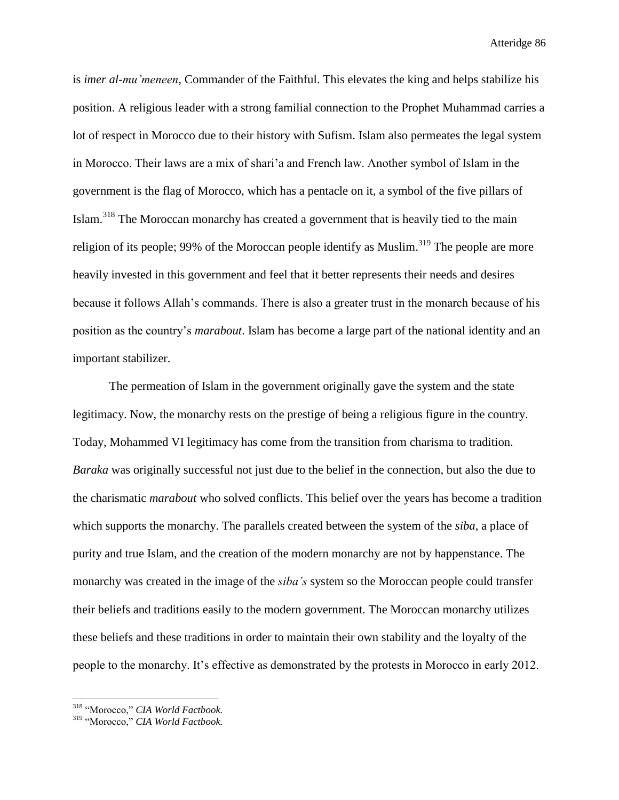is *imer al-mu'meneen*, Commander of the Faithful. This elevates the king and helps stabilize his position. A religious leader with a strong familial connection to the Prophet Muhammad carries a lot of respect in Morocco due to their history with Sufism. Islam also permeates the legal system in Morocco. Their laws are a mix of shari'a and French law. Another symbol of Islam in the government is the flag of Morocco, which has a pentacle on it, a symbol of the five pillars of Islam.<sup>318</sup> The Moroccan monarchy has created a government that is heavily tied to the main religion of its people; 99% of the Moroccan people identify as Muslim.<sup>319</sup> The people are more heavily invested in this government and feel that it better represents their needs and desires because it follows Allah's commands. There is also a greater trust in the monarch because of his position as the country's *marabout*. Islam has become a large part of the national identity and an important stabilizer.

The permeation of Islam in the government originally gave the system and the state legitimacy. Now, the monarchy rests on the prestige of being a religious figure in the country. Today, Mohammed VI legitimacy has come from the transition from charisma to tradition. *Baraka* was originally successful not just due to the belief in the connection, but also the due to the charismatic *marabout* who solved conflicts. This belief over the years has become a tradition which supports the monarchy. The parallels created between the system of the *siba*, a place of purity and true Islam, and the creation of the modern monarchy are not by happenstance. The monarchy was created in the image of the *siba's* system so the Moroccan people could transfer their beliefs and traditions easily to the modern government. The Moroccan monarchy utilizes these beliefs and these traditions in order to maintain their own stability and the loyalty of the people to the monarchy. It's effective as demonstrated by the protests in Morocco in early 2012.

<sup>318</sup> "Morocco," *CIA World Factbook.*

<sup>319</sup> "Morocco," *CIA World Factbook.*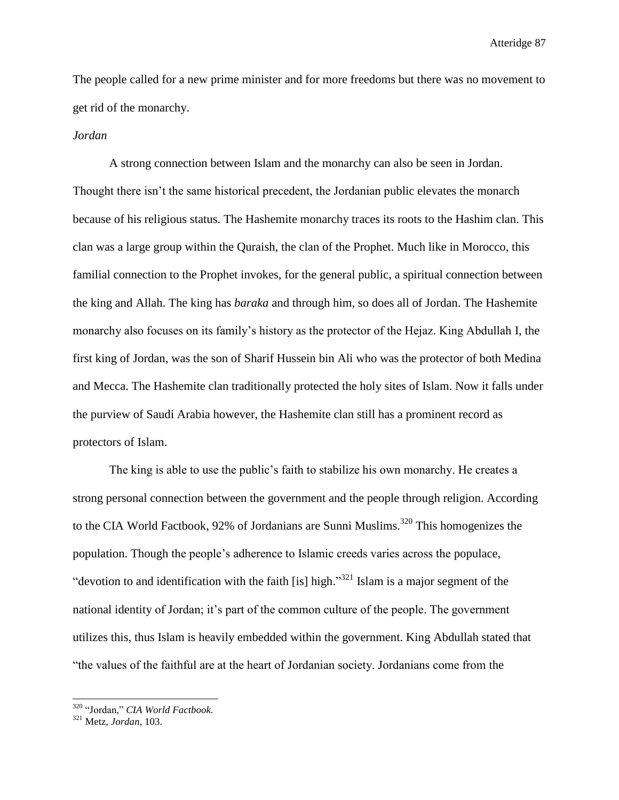The people called for a new prime minister and for more freedoms but there was no movement to get rid of the monarchy.

## *Jordan*

A strong connection between Islam and the monarchy can also be seen in Jordan. Thought there isn't the same historical precedent, the Jordanian public elevates the monarch because of his religious status. The Hashemite monarchy traces its roots to the Hashim clan. This clan was a large group within the Quraish, the clan of the Prophet. Much like in Morocco, this familial connection to the Prophet invokes, for the general public, a spiritual connection between the king and Allah. The king has *baraka* and through him, so does all of Jordan. The Hashemite monarchy also focuses on its family's history as the protector of the Hejaz. King Abdullah I, the first king of Jordan, was the son of Sharif Hussein bin Ali who was the protector of both Medina and Mecca. The Hashemite clan traditionally protected the holy sites of Islam. Now it falls under the purview of Saudi Arabia however, the Hashemite clan still has a prominent record as protectors of Islam.

The king is able to use the public's faith to stabilize his own monarchy. He creates a strong personal connection between the government and the people through religion. According to the CIA World Factbook, 92% of Jordanians are Sunni Muslims.<sup>320</sup> This homogenizes the population. Though the people's adherence to Islamic creeds varies across the populace, "devotion to and identification with the faith [is] high."<sup>321</sup> Islam is a major segment of the national identity of Jordan; it's part of the common culture of the people. The government utilizes this, thus Islam is heavily embedded within the government. King Abdullah stated that "the values of the faithful are at the heart of Jordanian society. Jordanians come from the

<sup>320</sup> "Jordan," *CIA World Factbook.*

<sup>321</sup> Metz, *Jordan*, 103.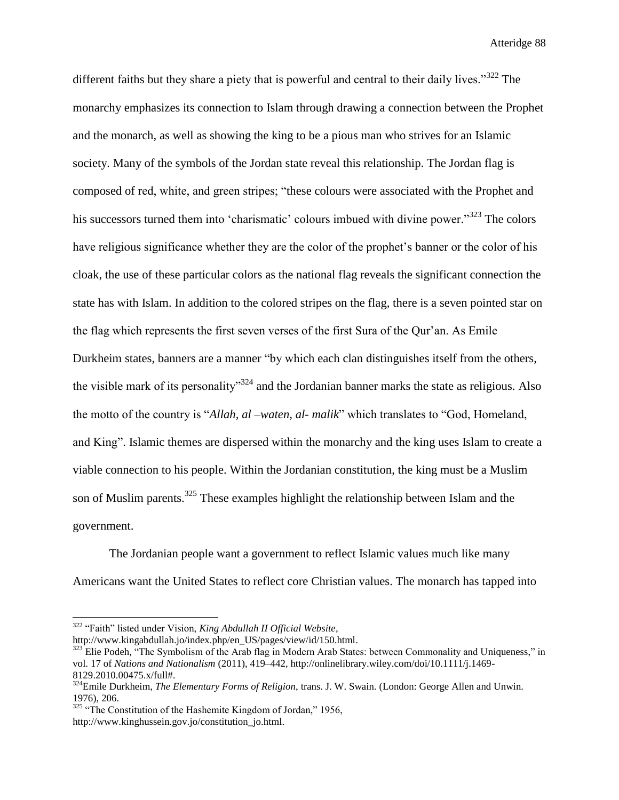different faiths but they share a piety that is powerful and central to their daily lives."<sup>322</sup> The monarchy emphasizes its connection to Islam through drawing a connection between the Prophet and the monarch, as well as showing the king to be a pious man who strives for an Islamic society. Many of the symbols of the Jordan state reveal this relationship. The Jordan flag is composed of red, white, and green stripes; "these colours were associated with the Prophet and his successors turned them into 'charismatic' colours imbued with divine power."<sup>323</sup> The colors have religious significance whether they are the color of the prophet's banner or the color of his cloak, the use of these particular colors as the national flag reveals the significant connection the state has with Islam. In addition to the colored stripes on the flag, there is a seven pointed star on the flag which represents the first seven verses of the first Sura of the Qur'an. As Emile Durkheim states, banners are a manner "by which each clan distinguishes itself from the others, the visible mark of its personality<sup>324</sup> and the Jordanian banner marks the state as religious. Also the motto of the country is "*Allah, al –waten, al- malik*" which translates to "God, Homeland, and King". Islamic themes are dispersed within the monarchy and the king uses Islam to create a viable connection to his people. Within the Jordanian constitution, the king must be a Muslim son of Muslim parents.<sup>325</sup> These examples highlight the relationship between Islam and the government.

The Jordanian people want a government to reflect Islamic values much like many Americans want the United States to reflect core Christian values. The monarch has tapped into

<sup>322</sup> "Faith" listed under Vision, *King Abdullah II Official Website*,

http://www.kingabdullah.jo/index.php/en\_US/pages/view/id/150.html.

<sup>&</sup>lt;sup>323</sup> Elie Podeh, "The Symbolism of the Arab flag in Modern Arab States: between Commonality and Uniqueness," in vol. 17 of *Nations and Nationalism* (2011), 419–442, http://onlinelibrary.wiley.com/doi/10.1111/j.1469- 8129.2010.00475.x/full#.

<sup>324</sup>Emile Durkheim, *The Elementary Forms of Religion*, trans. J. W. Swain. (London: George Allen and Unwin. 1976), 206.

 $325$  "The Constitution of the Hashemite Kingdom of Jordan," 1956, http://www.kinghussein.gov.jo/constitution\_jo.html.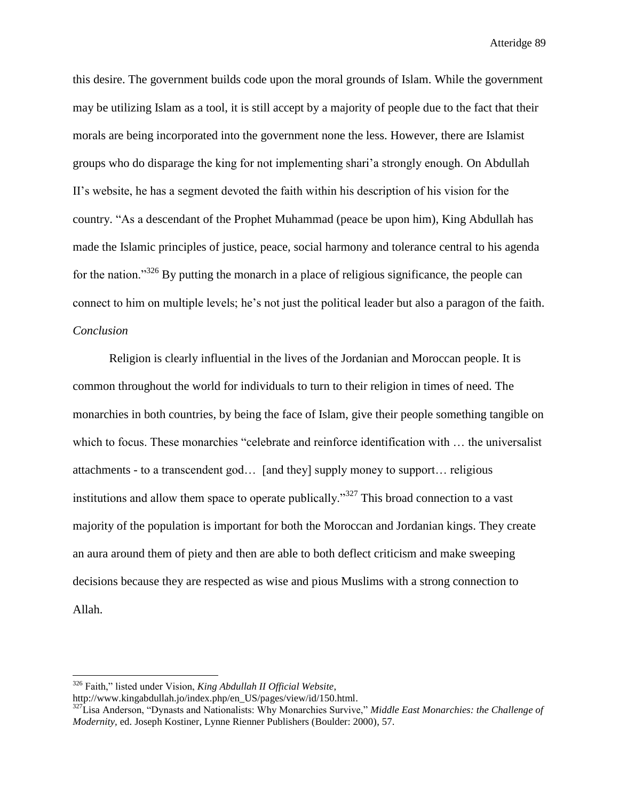this desire. The government builds code upon the moral grounds of Islam. While the government may be utilizing Islam as a tool, it is still accept by a majority of people due to the fact that their morals are being incorporated into the government none the less. However, there are Islamist groups who do disparage the king for not implementing shari'a strongly enough. On Abdullah II's website, he has a segment devoted the faith within his description of his vision for the country. "As a descendant of the Prophet Muhammad (peace be upon him), King Abdullah has made the Islamic principles of justice, peace, social harmony and tolerance central to his agenda for the nation." $326$  By putting the monarch in a place of religious significance, the people can connect to him on multiple levels; he's not just the political leader but also a paragon of the faith. *Conclusion*

Religion is clearly influential in the lives of the Jordanian and Moroccan people. It is common throughout the world for individuals to turn to their religion in times of need. The monarchies in both countries, by being the face of Islam, give their people something tangible on which to focus. These monarchies "celebrate and reinforce identification with … the universalist attachments - to a transcendent god… [and they] supply money to support… religious institutions and allow them space to operate publically."<sup>327</sup> This broad connection to a vast majority of the population is important for both the Moroccan and Jordanian kings. They create an aura around them of piety and then are able to both deflect criticism and make sweeping decisions because they are respected as wise and pious Muslims with a strong connection to Allah.

 $\overline{a}$ 

<sup>326</sup> Faith," listed under Vision, *King Abdullah II Official Website*,

http://www.kingabdullah.jo/index.php/en\_US/pages/view/id/150.html.

<sup>327</sup>Lisa Anderson, "Dynasts and Nationalists: Why Monarchies Survive," *Middle East Monarchies: the Challenge of Modernity,* ed. Joseph Kostiner, Lynne Rienner Publishers (Boulder: 2000), 57.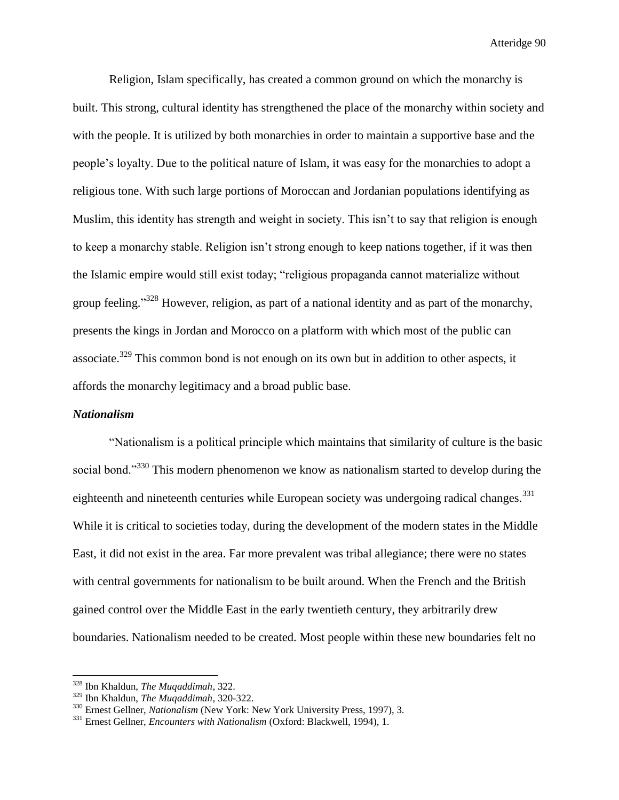Religion, Islam specifically, has created a common ground on which the monarchy is built. This strong, cultural identity has strengthened the place of the monarchy within society and with the people. It is utilized by both monarchies in order to maintain a supportive base and the people's loyalty. Due to the political nature of Islam, it was easy for the monarchies to adopt a religious tone. With such large portions of Moroccan and Jordanian populations identifying as Muslim, this identity has strength and weight in society. This isn't to say that religion is enough to keep a monarchy stable. Religion isn't strong enough to keep nations together, if it was then the Islamic empire would still exist today; "religious propaganda cannot materialize without group feeling."<sup>328</sup> However, religion, as part of a national identity and as part of the monarchy, presents the kings in Jordan and Morocco on a platform with which most of the public can associate.<sup>329</sup> This common bond is not enough on its own but in addition to other aspects, it affords the monarchy legitimacy and a broad public base.

#### *Nationalism*

 $\overline{a}$ 

"Nationalism is a political principle which maintains that similarity of culture is the basic social bond."<sup>330</sup> This modern phenomenon we know as nationalism started to develop during the eighteenth and nineteenth centuries while European society was undergoing radical changes.<sup>331</sup> While it is critical to societies today, during the development of the modern states in the Middle East, it did not exist in the area. Far more prevalent was tribal allegiance; there were no states with central governments for nationalism to be built around. When the French and the British gained control over the Middle East in the early twentieth century, they arbitrarily drew boundaries. Nationalism needed to be created. Most people within these new boundaries felt no

<sup>328</sup> Ibn Khaldun, *The Muqaddimah*, 322.

<sup>329</sup> Ibn Khaldun, *The Muqaddimah*, 320-322.

<sup>330</sup> Ernest Gellner, *Nationalism* (New York: New York University Press, 1997), 3.

<sup>331</sup> Ernest Gellner, *Encounters with Nationalism* (Oxford: Blackwell, 1994), 1.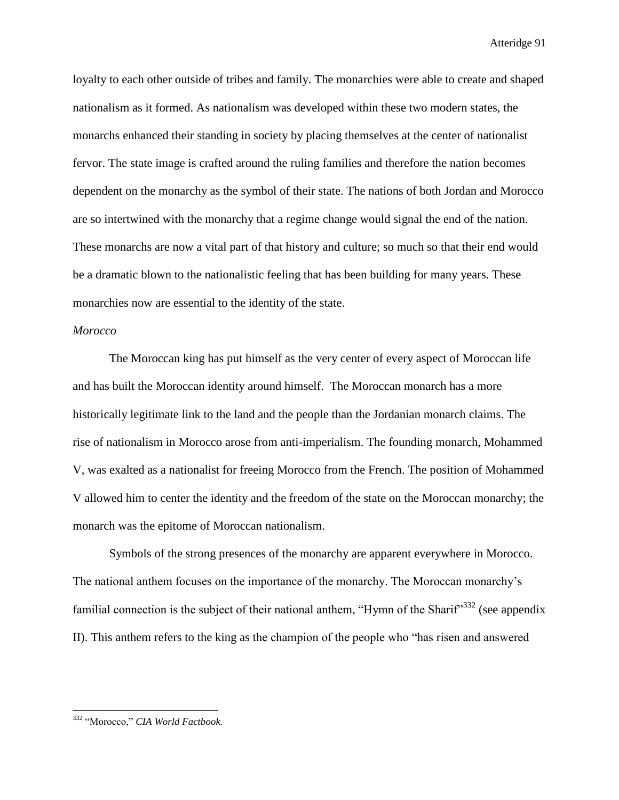loyalty to each other outside of tribes and family. The monarchies were able to create and shaped nationalism as it formed. As nationalism was developed within these two modern states, the monarchs enhanced their standing in society by placing themselves at the center of nationalist fervor. The state image is crafted around the ruling families and therefore the nation becomes dependent on the monarchy as the symbol of their state. The nations of both Jordan and Morocco are so intertwined with the monarchy that a regime change would signal the end of the nation. These monarchs are now a vital part of that history and culture; so much so that their end would be a dramatic blown to the nationalistic feeling that has been building for many years. These monarchies now are essential to the identity of the state.

# *Morocco*

The Moroccan king has put himself as the very center of every aspect of Moroccan life and has built the Moroccan identity around himself. The Moroccan monarch has a more historically legitimate link to the land and the people than the Jordanian monarch claims. The rise of nationalism in Morocco arose from anti-imperialism. The founding monarch, Mohammed V, was exalted as a nationalist for freeing Morocco from the French. The position of Mohammed V allowed him to center the identity and the freedom of the state on the Moroccan monarchy; the monarch was the epitome of Moroccan nationalism.

Symbols of the strong presences of the monarchy are apparent everywhere in Morocco. The national anthem focuses on the importance of the monarchy. The Moroccan monarchy's familial connection is the subject of their national anthem, "Hymn of the Sharif"<sup>332</sup> (see appendix II). This anthem refers to the king as the champion of the people who "has risen and answered

<sup>332</sup> "Morocco," *CIA World Factbook.*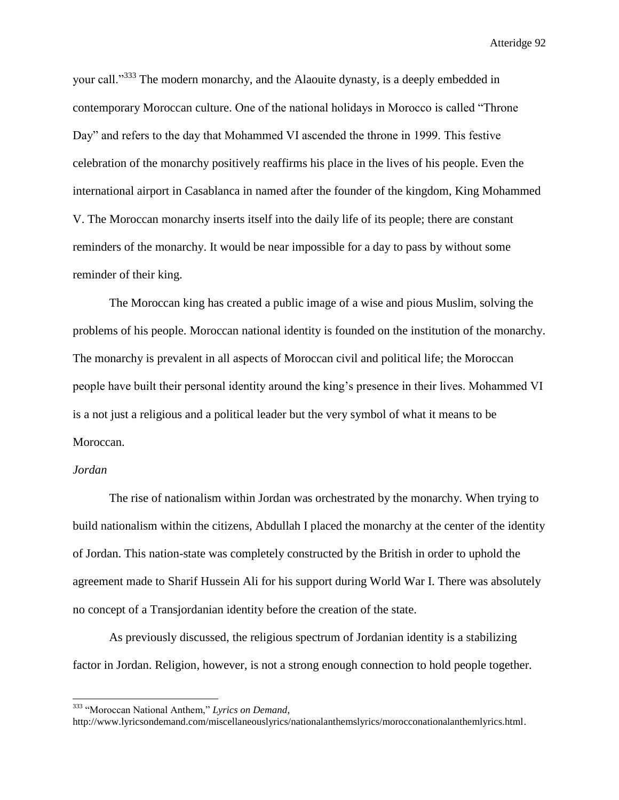your call."<sup>333</sup> The modern monarchy, and the Alaouite dynasty, is a deeply embedded in contemporary Moroccan culture. One of the national holidays in Morocco is called "Throne Day" and refers to the day that Mohammed VI ascended the throne in 1999. This festive celebration of the monarchy positively reaffirms his place in the lives of his people. Even the international airport in Casablanca in named after the founder of the kingdom, King Mohammed V. The Moroccan monarchy inserts itself into the daily life of its people; there are constant reminders of the monarchy. It would be near impossible for a day to pass by without some reminder of their king.

The Moroccan king has created a public image of a wise and pious Muslim, solving the problems of his people. Moroccan national identity is founded on the institution of the monarchy. The monarchy is prevalent in all aspects of Moroccan civil and political life; the Moroccan people have built their personal identity around the king's presence in their lives. Mohammed VI is a not just a religious and a political leader but the very symbol of what it means to be Moroccan.

# *Jordan*

l

The rise of nationalism within Jordan was orchestrated by the monarchy. When trying to build nationalism within the citizens, Abdullah I placed the monarchy at the center of the identity of Jordan. This nation-state was completely constructed by the British in order to uphold the agreement made to Sharif Hussein Ali for his support during World War I. There was absolutely no concept of a Transjordanian identity before the creation of the state.

As previously discussed, the religious spectrum of Jordanian identity is a stabilizing factor in Jordan. Religion, however, is not a strong enough connection to hold people together.

<sup>333</sup> "Moroccan National Anthem," *Lyrics on Demand*,

http://www.lyricsondemand.com/miscellaneouslyrics/nationalanthemslyrics/morocconationalanthemlyrics.html.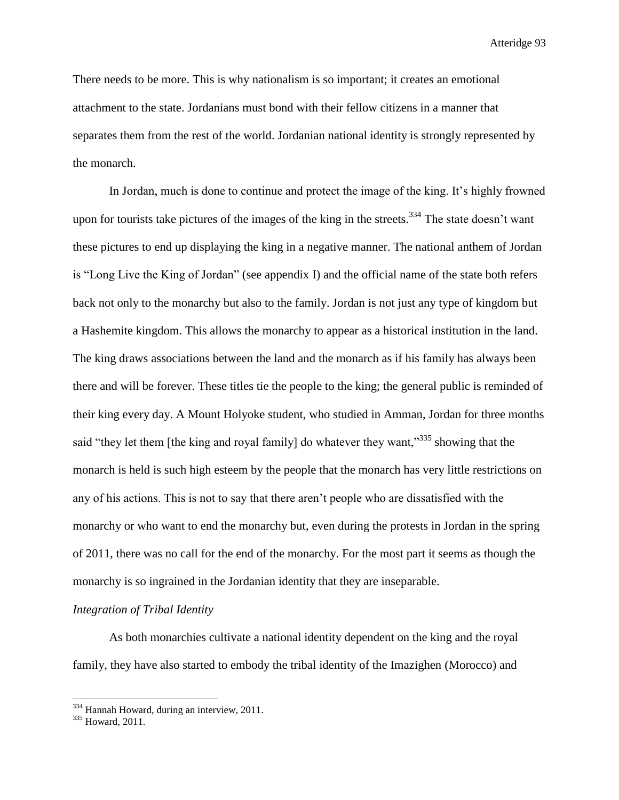There needs to be more. This is why nationalism is so important; it creates an emotional attachment to the state. Jordanians must bond with their fellow citizens in a manner that separates them from the rest of the world. Jordanian national identity is strongly represented by the monarch.

In Jordan, much is done to continue and protect the image of the king. It's highly frowned upon for tourists take pictures of the images of the king in the streets.<sup>334</sup> The state doesn't want these pictures to end up displaying the king in a negative manner. The national anthem of Jordan is "Long Live the King of Jordan" (see appendix I) and the official name of the state both refers back not only to the monarchy but also to the family. Jordan is not just any type of kingdom but a Hashemite kingdom. This allows the monarchy to appear as a historical institution in the land. The king draws associations between the land and the monarch as if his family has always been there and will be forever. These titles tie the people to the king; the general public is reminded of their king every day. A Mount Holyoke student, who studied in Amman, Jordan for three months said "they let them [the king and royal family] do whatever they want,"<sup>335</sup> showing that the monarch is held is such high esteem by the people that the monarch has very little restrictions on any of his actions. This is not to say that there aren't people who are dissatisfied with the monarchy or who want to end the monarchy but, even during the protests in Jordan in the spring of 2011, there was no call for the end of the monarchy. For the most part it seems as though the monarchy is so ingrained in the Jordanian identity that they are inseparable.

### *Integration of Tribal Identity*

As both monarchies cultivate a national identity dependent on the king and the royal family, they have also started to embody the tribal identity of the Imazighen (Morocco) and

<sup>&</sup>lt;sup>334</sup> Hannah Howard, during an interview, 2011.

<sup>335</sup> Howard, 2011.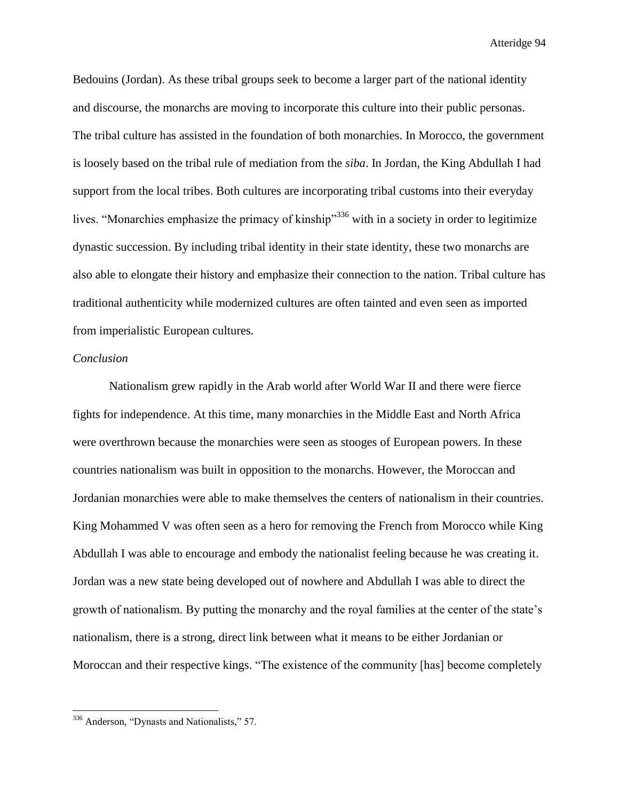Bedouins (Jordan). As these tribal groups seek to become a larger part of the national identity and discourse, the monarchs are moving to incorporate this culture into their public personas. The tribal culture has assisted in the foundation of both monarchies. In Morocco, the government is loosely based on the tribal rule of mediation from the *siba*. In Jordan, the King Abdullah I had support from the local tribes. Both cultures are incorporating tribal customs into their everyday lives. "Monarchies emphasize the primacy of kinship"<sup>336</sup> with in a society in order to legitimize dynastic succession. By including tribal identity in their state identity, these two monarchs are also able to elongate their history and emphasize their connection to the nation. Tribal culture has traditional authenticity while modernized cultures are often tainted and even seen as imported from imperialistic European cultures.

#### *Conclusion*

Nationalism grew rapidly in the Arab world after World War II and there were fierce fights for independence. At this time, many monarchies in the Middle East and North Africa were overthrown because the monarchies were seen as stooges of European powers. In these countries nationalism was built in opposition to the monarchs. However, the Moroccan and Jordanian monarchies were able to make themselves the centers of nationalism in their countries. King Mohammed V was often seen as a hero for removing the French from Morocco while King Abdullah I was able to encourage and embody the nationalist feeling because he was creating it. Jordan was a new state being developed out of nowhere and Abdullah I was able to direct the growth of nationalism. By putting the monarchy and the royal families at the center of the state's nationalism, there is a strong, direct link between what it means to be either Jordanian or Moroccan and their respective kings. "The existence of the community [has] become completely

<sup>&</sup>lt;sup>336</sup> Anderson, "Dynasts and Nationalists," 57.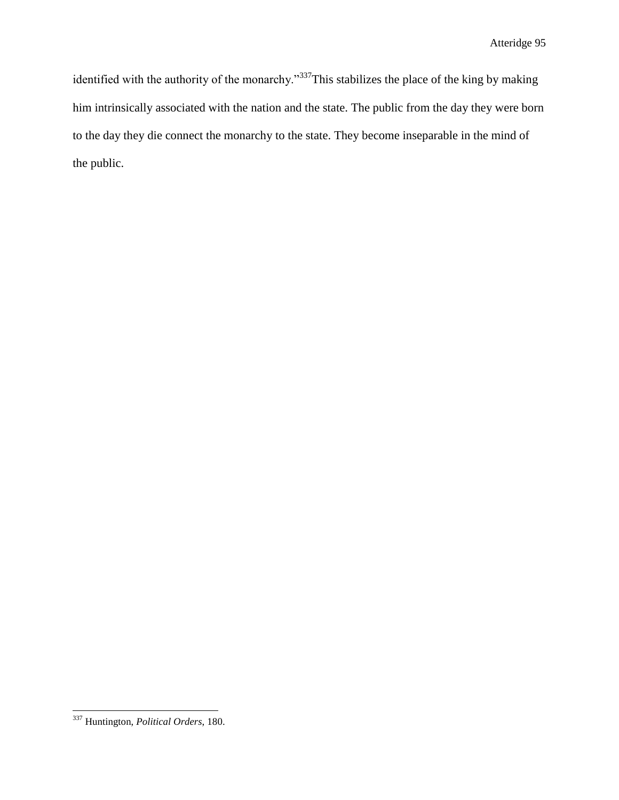identified with the authority of the monarchy."<sup>337</sup>This stabilizes the place of the king by making him intrinsically associated with the nation and the state. The public from the day they were born to the day they die connect the monarchy to the state. They become inseparable in the mind of the public.

l <sup>337</sup> Huntington, *Political Orders*, 180.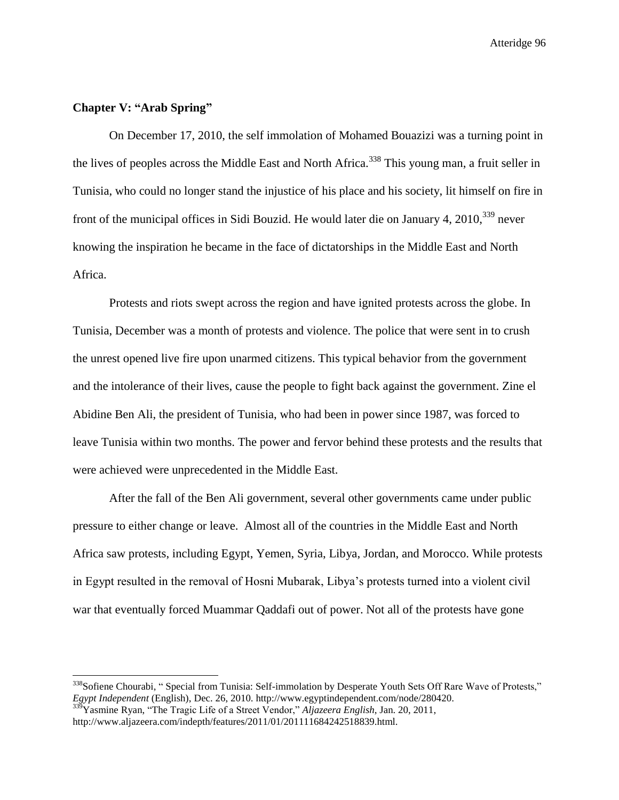### **Chapter V: "Arab Spring"**

 $\overline{a}$ 

On December 17, 2010, the self immolation of Mohamed Bouazizi was a turning point in the lives of peoples across the Middle East and North Africa.<sup>338</sup> This young man, a fruit seller in Tunisia, who could no longer stand the injustice of his place and his society, lit himself on fire in front of the municipal offices in Sidi Bouzid. He would later die on January 4, 2010,<sup>339</sup> never knowing the inspiration he became in the face of dictatorships in the Middle East and North Africa.

Protests and riots swept across the region and have ignited protests across the globe. In Tunisia, December was a month of protests and violence. The police that were sent in to crush the unrest opened live fire upon unarmed citizens. This typical behavior from the government and the intolerance of their lives, cause the people to fight back against the government. Zine el Abidine Ben Ali, the president of Tunisia, who had been in power since 1987, was forced to leave Tunisia within two months. The power and fervor behind these protests and the results that were achieved were unprecedented in the Middle East.

After the fall of the Ben Ali government, several other governments came under public pressure to either change or leave. Almost all of the countries in the Middle East and North Africa saw protests, including Egypt, Yemen, Syria, Libya, Jordan, and Morocco. While protests in Egypt resulted in the removal of Hosni Mubarak, Libya's protests turned into a violent civil war that eventually forced Muammar Qaddafi out of power. Not all of the protests have gone

<sup>&</sup>lt;sup>338</sup>Sofiene Chourabi, "Special from Tunisia: Self-immolation by Desperate Youth Sets Off Rare Wave of Protests," *Egypt Independent* (English), Dec. 26, 2010. http://www.egyptindependent.com/node/280420.

<sup>339</sup>Yasmine Ryan, "The Tragic Life of a Street Vendor," *Aljazeera English*, Jan. 20, 2011, http://www.aljazeera.com/indepth/features/2011/01/201111684242518839.html.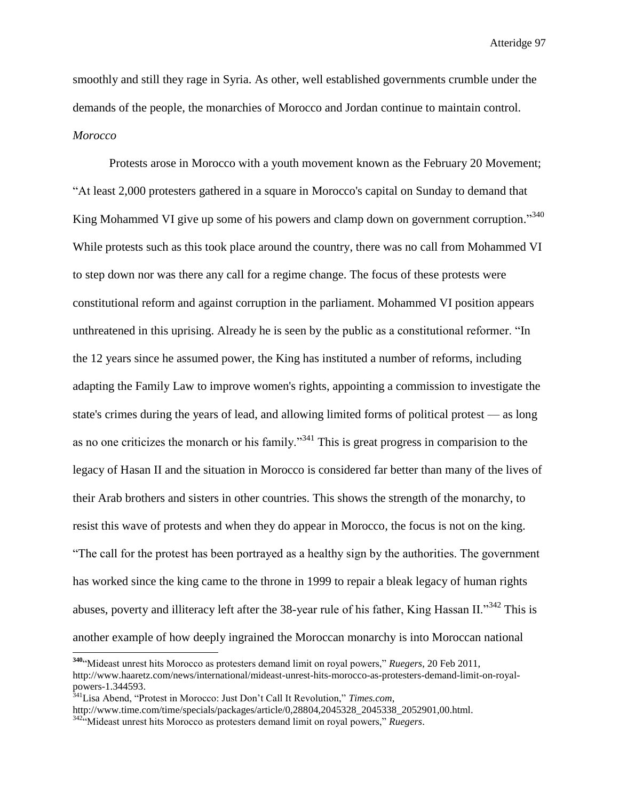smoothly and still they rage in Syria. As other, well established governments crumble under the demands of the people, the monarchies of Morocco and Jordan continue to maintain control. *Morocco*

Protests arose in Morocco with a youth movement known as the February 20 Movement; "At least 2,000 protesters gathered in a square in Morocco's capital on Sunday to demand that King Mohammed VI give up some of his powers and clamp down on government corruption."<sup>340</sup> While protests such as this took place around the country, there was no call from Mohammed VI to step down nor was there any call for a regime change. The focus of these protests were constitutional reform and against corruption in the parliament. Mohammed VI position appears unthreatened in this uprising. Already he is seen by the public as a constitutional reformer. "In the 12 years since he assumed power, the King has instituted a number of reforms, including adapting the Family Law to improve women's rights, appointing a commission to investigate the state's crimes during the years of lead, and allowing limited forms of political protest — as long as no one criticizes the monarch or his family.<sup>341</sup> This is great progress in comparision to the legacy of Hasan II and the situation in Morocco is considered far better than many of the lives of their Arab brothers and sisters in other countries. This shows the strength of the monarchy, to resist this wave of protests and when they do appear in Morocco, the focus is not on the king. "The call for the protest has been portrayed as a healthy sign by the authorities. The government has worked since the king came to the throne in 1999 to repair a bleak legacy of human rights abuses, poverty and illiteracy left after the 38-year rule of his father, King Hassan II."<sup>342</sup> This is another example of how deeply ingrained the Moroccan monarchy is into Moroccan national

<sup>341</sup>Lisa Abend, "Protest in Morocco: Just Don't Call It Revolution," *Times.com*, http://www.time.com/time/specials/packages/article/0,28804,2045328\_2045338\_2052901,00.html. <sup>342</sup>"Mideast unrest hits Morocco as protesters demand limit on royal powers," *Ruegers*.

**<sup>340</sup>**"Mideast unrest hits Morocco as protesters demand limit on royal powers," *Ruegers*, 20 Feb 2011, http://www.haaretz.com/news/international/mideast-unrest-hits-morocco-as-protesters-demand-limit-on-royalpowers-1.344593.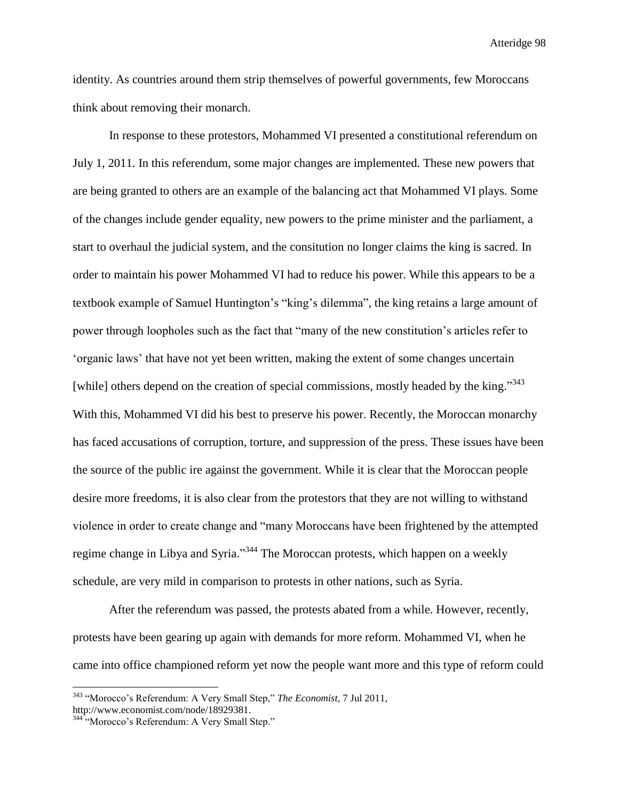identity. As countries around them strip themselves of powerful governments, few Moroccans think about removing their monarch.

In response to these protestors, Mohammed VI presented a constitutional referendum on July 1, 2011. In this referendum, some major changes are implemented. These new powers that are being granted to others are an example of the balancing act that Mohammed VI plays. Some of the changes include gender equality, new powers to the prime minister and the parliament, a start to overhaul the judicial system, and the consitution no longer claims the king is sacred. In order to maintain his power Mohammed VI had to reduce his power. While this appears to be a textbook example of Samuel Huntington's "king's dilemma", the king retains a large amount of power through loopholes such as the fact that "many of the new constitution's articles refer to 'organic laws' that have not yet been written, making the extent of some changes uncertain [while] others depend on the creation of special commissions, mostly headed by the king."<sup>343</sup> With this, Mohammed VI did his best to preserve his power. Recently, the Moroccan monarchy has faced accusations of corruption, torture, and suppression of the press. These issues have been the source of the public ire against the government. While it is clear that the Moroccan people desire more freedoms, it is also clear from the protestors that they are not willing to withstand violence in order to create change and "many Moroccans have been frightened by the attempted regime change in Libya and Syria."<sup>344</sup> The Moroccan protests, which happen on a weekly schedule, are very mild in comparison to protests in other nations, such as Syria.

After the referendum was passed, the protests abated from a while. However, recently, protests have been gearing up again with demands for more reform. Mohammed VI, when he came into office championed reform yet now the people want more and this type of reform could

<sup>343</sup> "Morocco's Referendum: A Very Small Step," *The Economist*, 7 Jul 2011, http://www.economist.com/node/18929381.

<sup>&</sup>lt;sup>344 "</sup>Morocco's Referendum: A Very Small Step."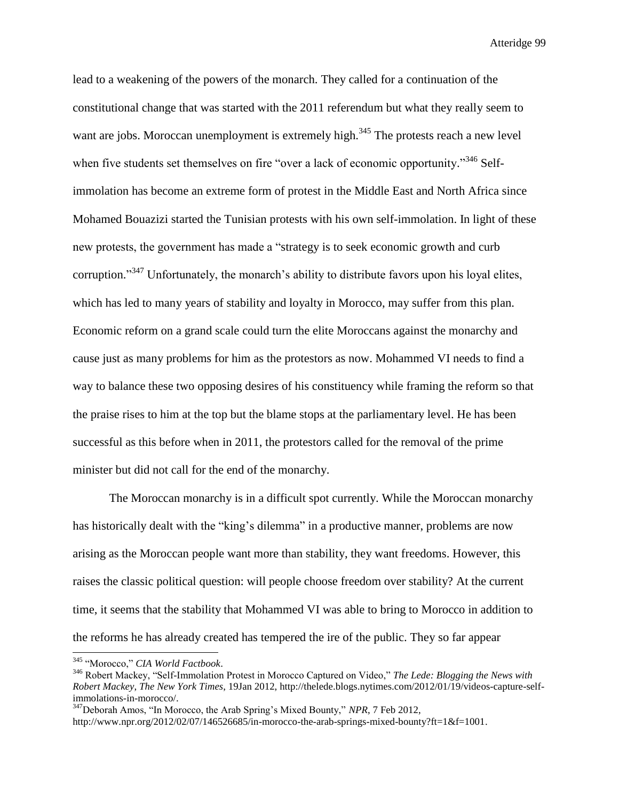lead to a weakening of the powers of the monarch. They called for a continuation of the constitutional change that was started with the 2011 referendum but what they really seem to want are jobs. Moroccan unemployment is extremely high.<sup>345</sup> The protests reach a new level when five students set themselves on fire "over a lack of economic opportunity."<sup>346</sup> Selfimmolation has become an extreme form of protest in the Middle East and North Africa since Mohamed Bouazizi started the Tunisian protests with his own self-immolation. In light of these new protests, the government has made a "strategy is to seek economic growth and curb corruption."<sup>347</sup> Unfortunately, the monarch's ability to distribute favors upon his loyal elites, which has led to many years of stability and loyalty in Morocco, may suffer from this plan. Economic reform on a grand scale could turn the elite Moroccans against the monarchy and cause just as many problems for him as the protestors as now. Mohammed VI needs to find a way to balance these two opposing desires of his constituency while framing the reform so that the praise rises to him at the top but the blame stops at the parliamentary level. He has been successful as this before when in 2011, the protestors called for the removal of the prime minister but did not call for the end of the monarchy.

The Moroccan monarchy is in a difficult spot currently. While the Moroccan monarchy has historically dealt with the "king's dilemma" in a productive manner, problems are now arising as the Moroccan people want more than stability, they want freedoms. However, this raises the classic political question: will people choose freedom over stability? At the current time, it seems that the stability that Mohammed VI was able to bring to Morocco in addition to the reforms he has already created has tempered the ire of the public. They so far appear

<sup>345</sup> "Morocco," *CIA World Factbook*.

<sup>346</sup> Robert Mackey, "Self-Immolation Protest in Morocco Captured on Video," *The Lede: Blogging the News with Robert Mackey*, *The New York Times*, 19Jan 2012, http://thelede.blogs.nytimes.com/2012/01/19/videos-capture-selfimmolations-in-morocco/.

<sup>347</sup>Deborah Amos, "In Morocco, the Arab Spring's Mixed Bounty," *NPR*, 7 Feb 2012,

http://www.npr.org/2012/02/07/146526685/in-morocco-the-arab-springs-mixed-bounty?ft=1&f=1001.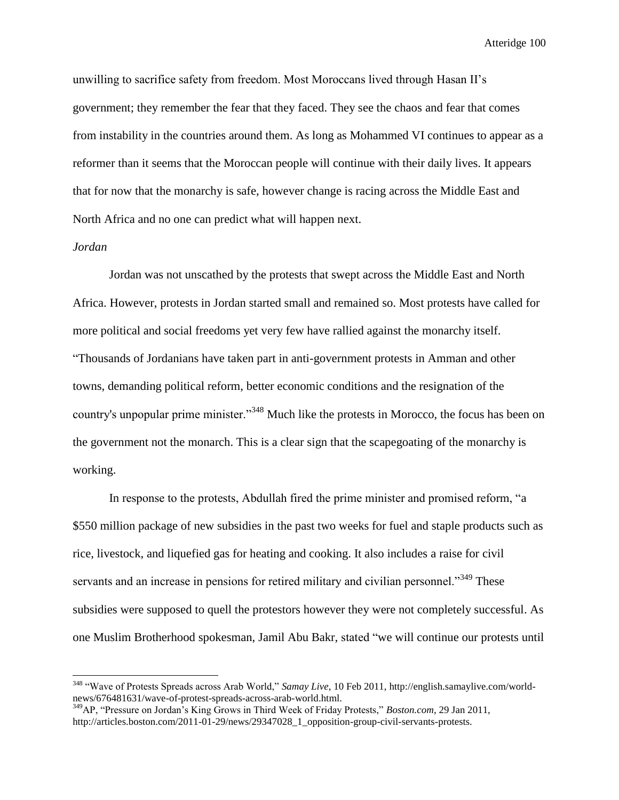unwilling to sacrifice safety from freedom. Most Moroccans lived through Hasan II's government; they remember the fear that they faced. They see the chaos and fear that comes from instability in the countries around them. As long as Mohammed VI continues to appear as a reformer than it seems that the Moroccan people will continue with their daily lives. It appears that for now that the monarchy is safe, however change is racing across the Middle East and North Africa and no one can predict what will happen next.

### *Jordan*

 $\overline{a}$ 

Jordan was not unscathed by the protests that swept across the Middle East and North Africa. However, protests in Jordan started small and remained so. Most protests have called for more political and social freedoms yet very few have rallied against the monarchy itself. "Thousands of Jordanians have taken part in anti-government protests in Amman and other towns, demanding political reform, better economic conditions and the resignation of the country's unpopular prime minister."<sup>348</sup> Much like the protests in Morocco, the focus has been on the government not the monarch. This is a clear sign that the scapegoating of the monarchy is working.

In response to the protests, Abdullah fired the prime minister and promised reform, "a \$550 million package of new subsidies in the past two weeks for fuel and staple products such as rice, livestock, and liquefied gas for heating and cooking. It also includes a raise for civil servants and an increase in pensions for retired military and civilian personnel."<sup>349</sup> These subsidies were supposed to quell the protestors however they were not completely successful. As one Muslim Brotherhood spokesman, Jamil Abu Bakr, stated "we will continue our protests until

<sup>348</sup> "Wave of Protests Spreads across Arab World," *Samay Live*, 10 Feb 2011, http://english.samaylive.com/worldnews/676481631/wave-of-protest-spreads-across-arab-world.html.

<sup>349</sup>AP, "Pressure on Jordan's King Grows in Third Week of Friday Protests," *Boston.com*, 29 Jan 2011, http://articles.boston.com/2011-01-29/news/29347028\_1\_opposition-group-civil-servants-protests.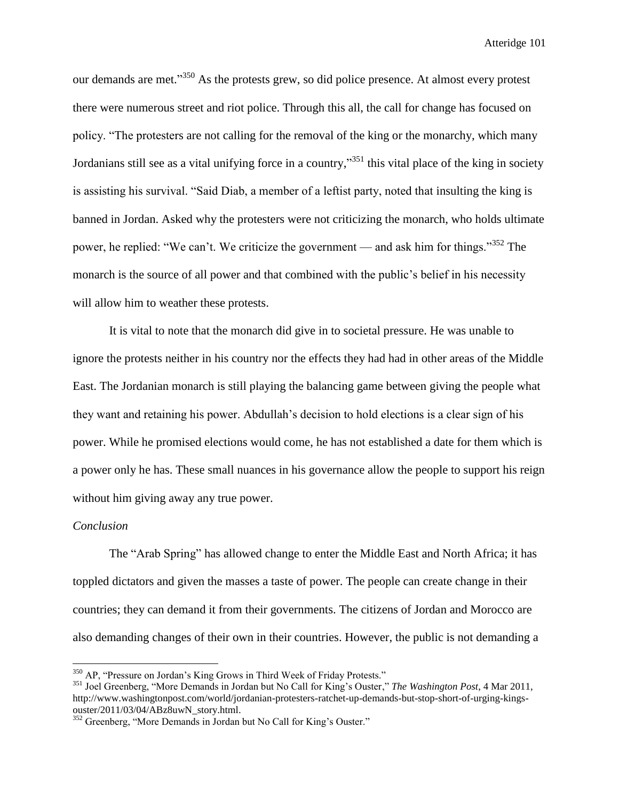our demands are met."<sup>350</sup> As the protests grew, so did police presence. At almost every protest there were numerous street and riot police. Through this all, the call for change has focused on policy. "The protesters are not calling for the removal of the king or the monarchy, which many Jordanians still see as a vital unifying force in a country,"<sup>351</sup> this vital place of the king in society is assisting his survival. "Said Diab, a member of a leftist party, noted that insulting the king is banned in Jordan. Asked why the protesters were not criticizing the monarch, who holds ultimate power, he replied: "We can't. We criticize the government — and ask him for things."<sup>352</sup> The monarch is the source of all power and that combined with the public's belief in his necessity will allow him to weather these protests.

It is vital to note that the monarch did give in to societal pressure. He was unable to ignore the protests neither in his country nor the effects they had had in other areas of the Middle East. The Jordanian monarch is still playing the balancing game between giving the people what they want and retaining his power. Abdullah's decision to hold elections is a clear sign of his power. While he promised elections would come, he has not established a date for them which is a power only he has. These small nuances in his governance allow the people to support his reign without him giving away any true power.

## *Conclusion*

l

The "Arab Spring" has allowed change to enter the Middle East and North Africa; it has toppled dictators and given the masses a taste of power. The people can create change in their countries; they can demand it from their governments. The citizens of Jordan and Morocco are also demanding changes of their own in their countries. However, the public is not demanding a

<sup>&</sup>lt;sup>350</sup> AP, "Pressure on Jordan's King Grows in Third Week of Friday Protests."

<sup>351</sup> Joel Greenberg, "More Demands in Jordan but No Call for King's Ouster," *The Washington Post*, 4 Mar 2011, http://www.washingtonpost.com/world/jordanian-protesters-ratchet-up-demands-but-stop-short-of-urging-kingsouster/2011/03/04/ABz8uwN\_story.html.

<sup>&</sup>lt;sup>352</sup> Greenberg, "More Demands in Jordan but No Call for King's Ouster."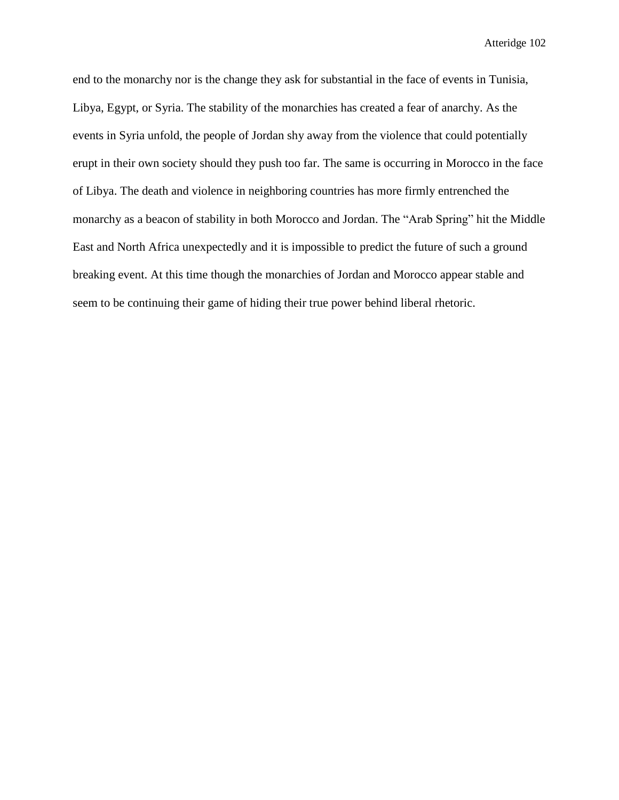end to the monarchy nor is the change they ask for substantial in the face of events in Tunisia, Libya, Egypt, or Syria. The stability of the monarchies has created a fear of anarchy. As the events in Syria unfold, the people of Jordan shy away from the violence that could potentially erupt in their own society should they push too far. The same is occurring in Morocco in the face of Libya. The death and violence in neighboring countries has more firmly entrenched the monarchy as a beacon of stability in both Morocco and Jordan. The "Arab Spring" hit the Middle East and North Africa unexpectedly and it is impossible to predict the future of such a ground breaking event. At this time though the monarchies of Jordan and Morocco appear stable and seem to be continuing their game of hiding their true power behind liberal rhetoric.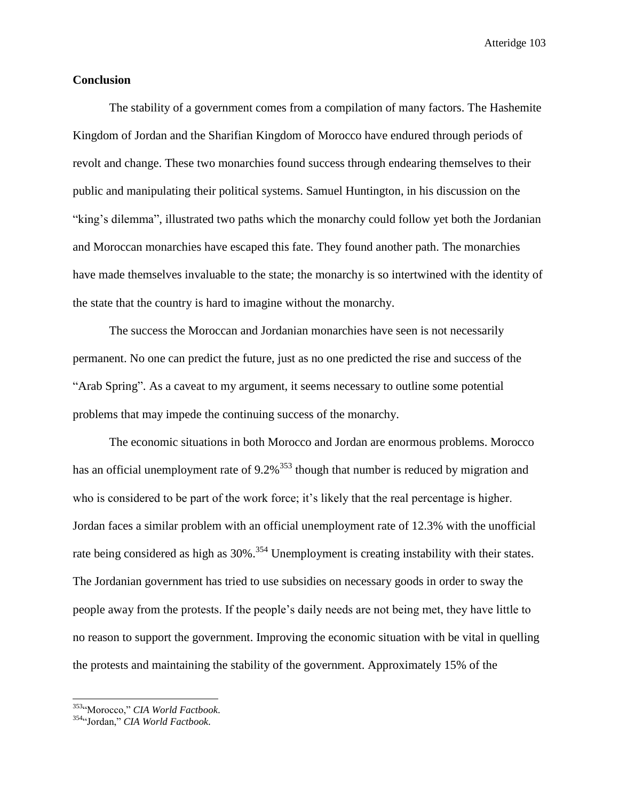# **Conclusion**

The stability of a government comes from a compilation of many factors. The Hashemite Kingdom of Jordan and the Sharifian Kingdom of Morocco have endured through periods of revolt and change. These two monarchies found success through endearing themselves to their public and manipulating their political systems. Samuel Huntington, in his discussion on the "king's dilemma", illustrated two paths which the monarchy could follow yet both the Jordanian and Moroccan monarchies have escaped this fate. They found another path. The monarchies have made themselves invaluable to the state; the monarchy is so intertwined with the identity of the state that the country is hard to imagine without the monarchy.

The success the Moroccan and Jordanian monarchies have seen is not necessarily permanent. No one can predict the future, just as no one predicted the rise and success of the "Arab Spring". As a caveat to my argument, it seems necessary to outline some potential problems that may impede the continuing success of the monarchy.

The economic situations in both Morocco and Jordan are enormous problems. Morocco has an official unemployment rate of  $9.2\%$ <sup>353</sup> though that number is reduced by migration and who is considered to be part of the work force; it's likely that the real percentage is higher. Jordan faces a similar problem with an official unemployment rate of 12.3% with the unofficial rate being considered as high as 30%.<sup>354</sup> Unemployment is creating instability with their states. The Jordanian government has tried to use subsidies on necessary goods in order to sway the people away from the protests. If the people's daily needs are not being met, they have little to no reason to support the government. Improving the economic situation with be vital in quelling the protests and maintaining the stability of the government. Approximately 15% of the

<sup>353</sup>"Morocco," *CIA World Factbook.*

<sup>354</sup>"Jordan," *CIA World Factbook.*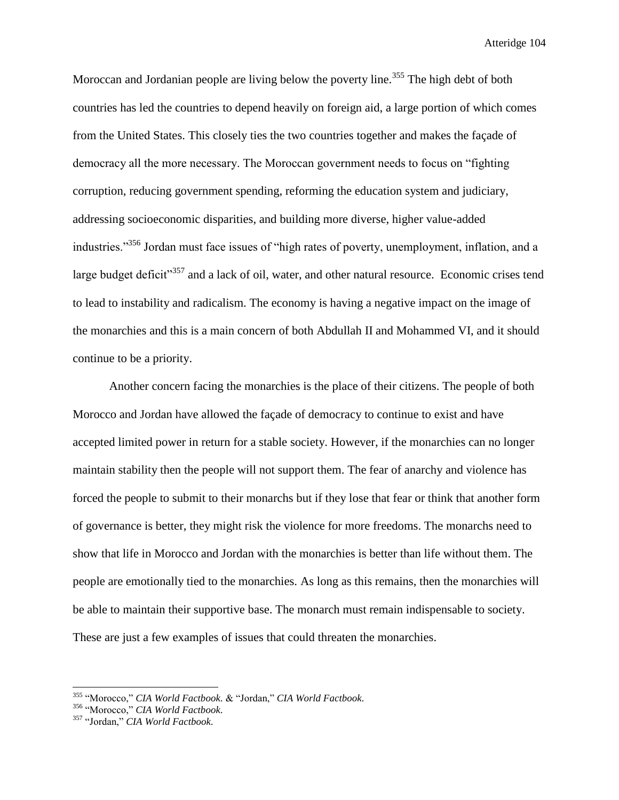Moroccan and Jordanian people are living below the poverty line.<sup>355</sup> The high debt of both countries has led the countries to depend heavily on foreign aid, a large portion of which comes from the United States. This closely ties the two countries together and makes the façade of democracy all the more necessary. The Moroccan government needs to focus on "fighting corruption, reducing government spending, reforming the education system and judiciary, addressing socioeconomic disparities, and building more diverse, higher value-added industries."<sup>356</sup> Jordan must face issues of "high rates of poverty, unemployment, inflation, and a large budget deficit<sup>357</sup> and a lack of oil, water, and other natural resource. Economic crises tend to lead to instability and radicalism. The economy is having a negative impact on the image of the monarchies and this is a main concern of both Abdullah II and Mohammed VI, and it should continue to be a priority.

Another concern facing the monarchies is the place of their citizens. The people of both Morocco and Jordan have allowed the façade of democracy to continue to exist and have accepted limited power in return for a stable society. However, if the monarchies can no longer maintain stability then the people will not support them. The fear of anarchy and violence has forced the people to submit to their monarchs but if they lose that fear or think that another form of governance is better, they might risk the violence for more freedoms. The monarchs need to show that life in Morocco and Jordan with the monarchies is better than life without them. The people are emotionally tied to the monarchies. As long as this remains, then the monarchies will be able to maintain their supportive base. The monarch must remain indispensable to society. These are just a few examples of issues that could threaten the monarchies.

<sup>355</sup> "Morocco," *CIA World Factbook.* & "Jordan," *CIA World Factbook.*

<sup>356</sup> "Morocco," *CIA World Factbook.*

<sup>357</sup> "Jordan," *CIA World Factbook.*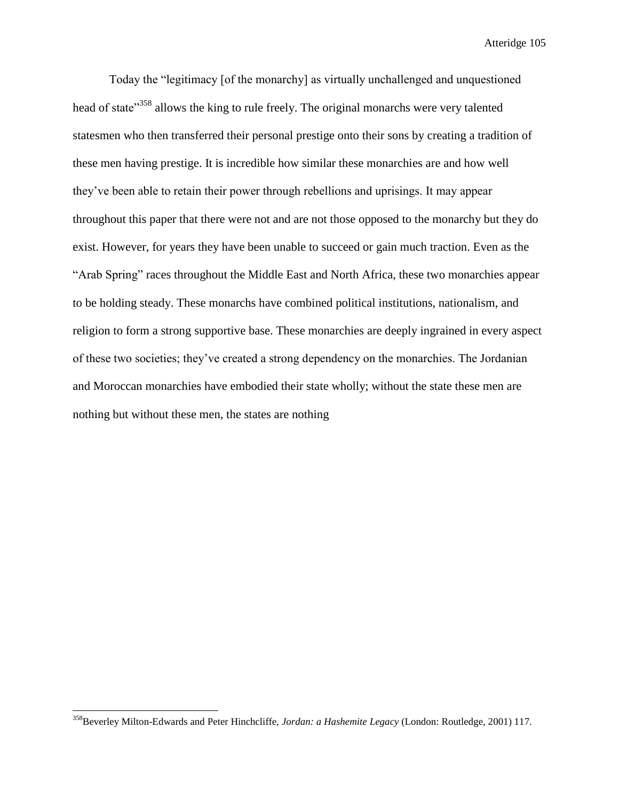Atteridge 105

Today the "legitimacy [of the monarchy] as virtually unchallenged and unquestioned head of state"<sup>358</sup> allows the king to rule freely. The original monarchs were very talented statesmen who then transferred their personal prestige onto their sons by creating a tradition of these men having prestige. It is incredible how similar these monarchies are and how well they've been able to retain their power through rebellions and uprisings. It may appear throughout this paper that there were not and are not those opposed to the monarchy but they do exist. However, for years they have been unable to succeed or gain much traction. Even as the "Arab Spring" races throughout the Middle East and North Africa, these two monarchies appear to be holding steady. These monarchs have combined political institutions, nationalism, and religion to form a strong supportive base. These monarchies are deeply ingrained in every aspect of these two societies; they've created a strong dependency on the monarchies. The Jordanian and Moroccan monarchies have embodied their state wholly; without the state these men are nothing but without these men, the states are nothing

 $\overline{\phantom{a}}$ 

<sup>358</sup>Beverley Milton-Edwards and Peter Hinchcliffe, *Jordan: a Hashemite Legacy* (London: Routledge, 2001) 117.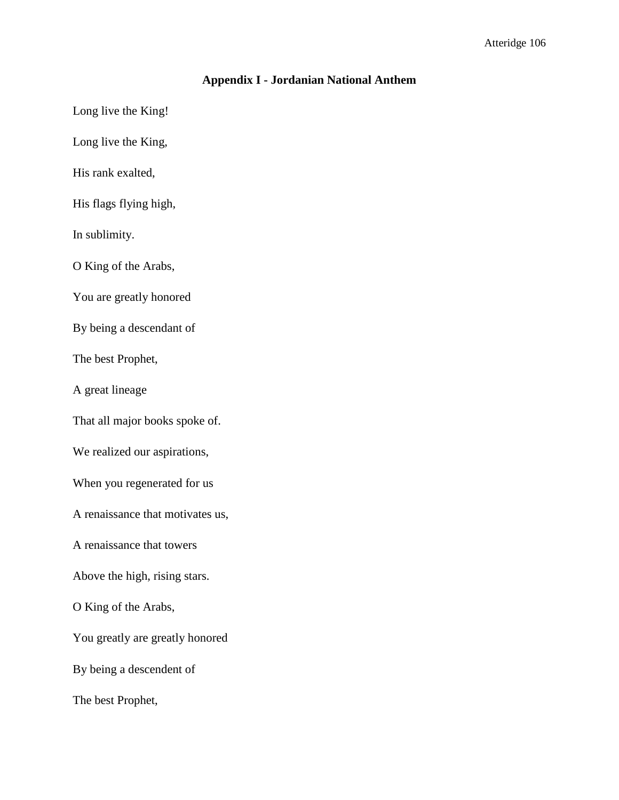# **Appendix I - Jordanian National Anthem**

Long live the King!

Long live the King,

His rank exalted,

His flags flying high,

In sublimity.

O King of the Arabs,

You are greatly honored

By being a descendant of

The best Prophet,

A great lineage

That all major books spoke of.

We realized our aspirations,

When you regenerated for us

A renaissance that motivates us,

A renaissance that towers

Above the high, rising stars.

O King of the Arabs,

You greatly are greatly honored

By being a descendent of

The best Prophet,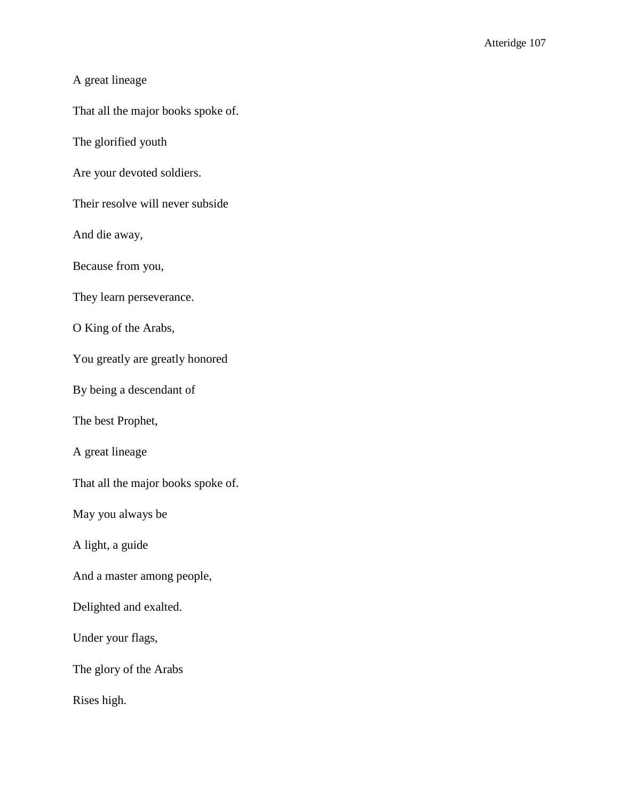# A great lineage

That all the major books spoke of.

The glorified youth

Are your devoted soldiers.

Their resolve will never subside

And die away,

Because from you,

They learn perseverance.

O King of the Arabs,

You greatly are greatly honored

By being a descendant of

The best Prophet,

A great lineage

That all the major books spoke of.

May you always be

A light, a guide

And a master among people,

Delighted and exalted.

Under your flags,

The glory of the Arabs

Rises high.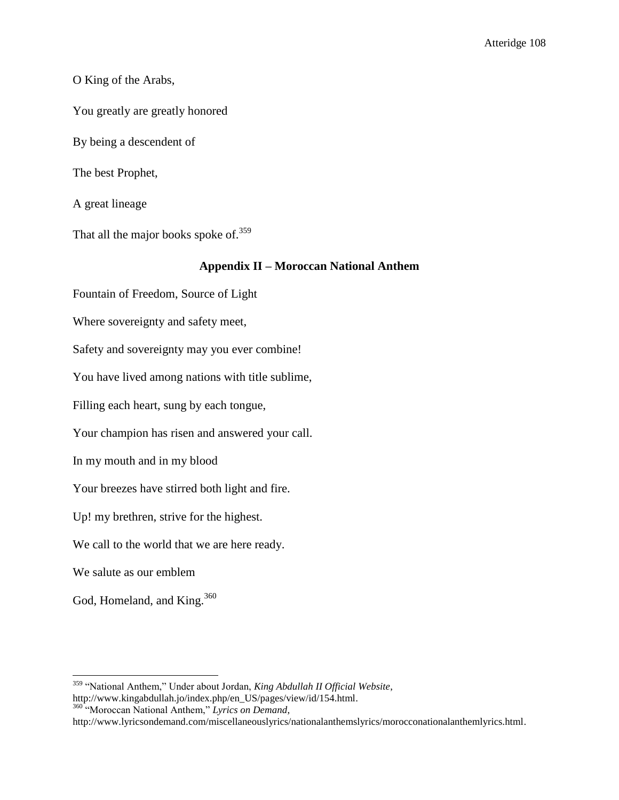### O King of the Arabs,

You greatly are greatly honored

By being a descendent of

The best Prophet,

A great lineage

That all the major books spoke of. $359$ 

#### **Appendix II – Moroccan National Anthem**

Fountain of Freedom, Source of Light

Where sovereignty and safety meet,

Safety and sovereignty may you ever combine!

You have lived among nations with title sublime,

Filling each heart, sung by each tongue,

Your champion has risen and answered your call.

In my mouth and in my blood

Your breezes have stirred both light and fire.

Up! my brethren, strive for the highest.

We call to the world that we are here ready.

We salute as our emblem

 $\overline{a}$ 

God, Homeland, and King.<sup>360</sup>

http://www.kingabdullah.jo/index.php/en\_US/pages/view/id/154.html. <sup>360</sup> "Moroccan National Anthem," *Lyrics on Demand*,

<sup>359</sup> "National Anthem," Under about Jordan, *King Abdullah II Official Website*,

http://www.lyricsondemand.com/miscellaneouslyrics/nationalanthemslyrics/morocconationalanthemlyrics.html.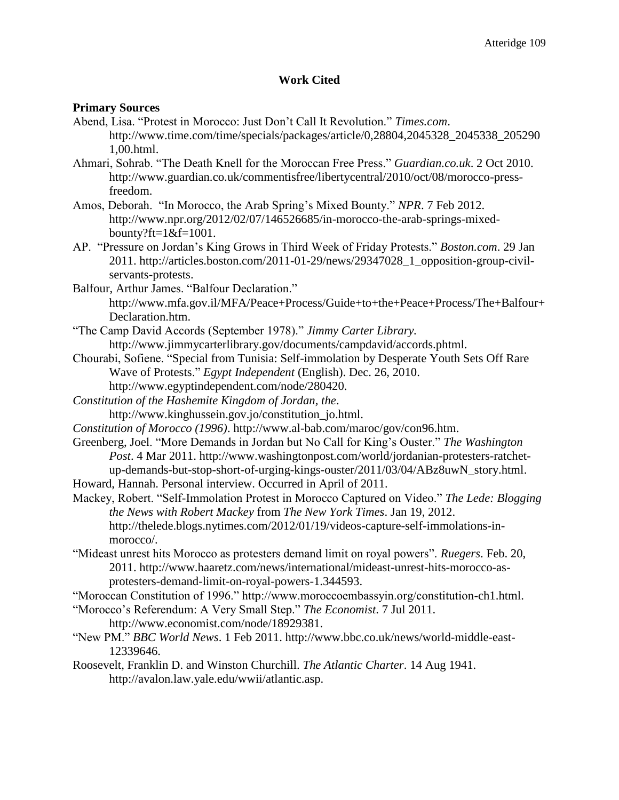## **Work Cited**

### **Primary Sources**

- Abend, Lisa. "Protest in Morocco: Just Don't Call It Revolution." *Times.com*. http://www.time.com/time/specials/packages/article/0,28804,2045328\_2045338\_205290 1,00.html.
- Ahmari, Sohrab. "The Death Knell for the Moroccan Free Press." *Guardian.co.uk*. 2 Oct 2010. http://www.guardian.co.uk/commentisfree/libertycentral/2010/oct/08/morocco-pressfreedom.
- Amos, Deborah. "In Morocco, the Arab Spring's Mixed Bounty." *NPR*. 7 Feb 2012. http://www.npr.org/2012/02/07/146526685/in-morocco-the-arab-springs-mixedbounty?ft=1&f=1001.
- AP. "Pressure on Jordan's King Grows in Third Week of Friday Protests." *Boston.com*. 29 Jan 2011. http://articles.boston.com/2011-01-29/news/29347028\_1\_opposition-group-civilservants-protests.
- Balfour, Arthur James. "Balfour Declaration." http://www.mfa.gov.il/MFA/Peace+Process/Guide+to+the+Peace+Process/The+Balfour+ Declaration.htm.
- "The Camp David Accords (September 1978)." *Jimmy Carter Library.*  http://www.jimmycarterlibrary.gov/documents/campdavid/accords.phtml.
- Chourabi, Sofiene. "Special from Tunisia: Self-immolation by Desperate Youth Sets Off Rare Wave of Protests." *Egypt Independent* (English). Dec. 26, 2010. http://www.egyptindependent.com/node/280420.
- *Constitution of the Hashemite Kingdom of Jordan, the*. http://www.kinghussein.gov.jo/constitution\_jo.html.
- *Constitution of Morocco (1996)*. http://www.al-bab.com/maroc/gov/con96.htm.
- Greenberg, Joel. "More Demands in Jordan but No Call for King's Ouster." *The Washington Post*. 4 Mar 2011. http://www.washingtonpost.com/world/jordanian-protesters-ratchetup-demands-but-stop-short-of-urging-kings-ouster/2011/03/04/ABz8uwN\_story.html.

Howard, Hannah. Personal interview. Occurred in April of 2011.

- Mackey, Robert. "Self-Immolation Protest in Morocco Captured on Video." *The Lede: Blogging the News with Robert Mackey* from *The New York Times*. Jan 19, 2012. http://thelede.blogs.nytimes.com/2012/01/19/videos-capture-self-immolations-inmorocco/.
- "Mideast unrest hits Morocco as protesters demand limit on royal powers". *Ruegers*. Feb. 20, 2011. http://www.haaretz.com/news/international/mideast-unrest-hits-morocco-asprotesters-demand-limit-on-royal-powers-1.344593.

"Moroccan Constitution of 1996." http://www.moroccoembassyin.org/constitution-ch1.html.

- "Morocco's Referendum: A Very Small Step." *The Economist*. 7 Jul 2011. http://www.economist.com/node/18929381.
- "New PM." *BBC World News*. 1 Feb 2011. http://www.bbc.co.uk/news/world-middle-east-12339646.
- Roosevelt, Franklin D. and Winston Churchill. *The Atlantic Charter*. 14 Aug 1941. http://avalon.law.yale.edu/wwii/atlantic.asp.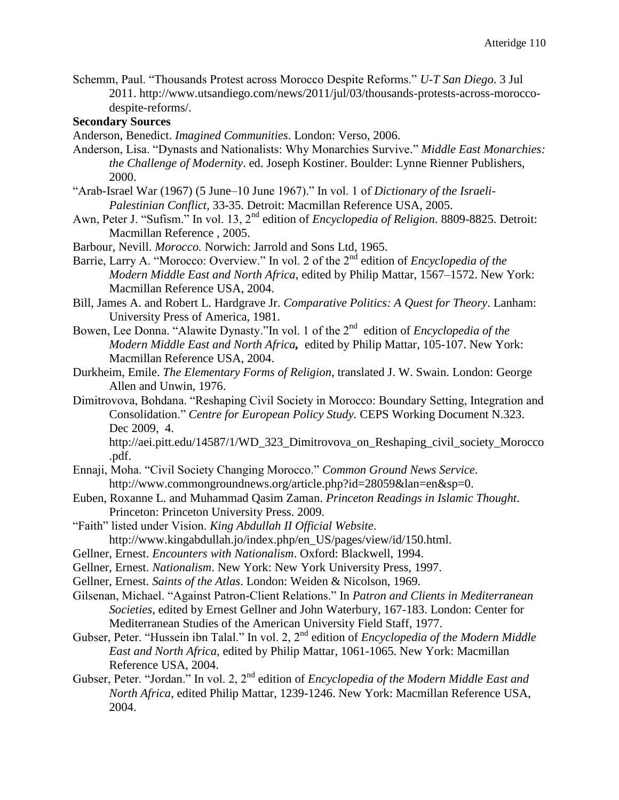Schemm, Paul. "Thousands Protest across Morocco Despite Reforms." *U-T San Diego*. 3 Jul 2011. http://www.utsandiego.com/news/2011/jul/03/thousands-protests-across-moroccodespite-reforms/.

## **Secondary Sources**

- Anderson, Benedict. *Imagined Communities*. London: Verso, 2006.
- Anderson, Lisa. "Dynasts and Nationalists: Why Monarchies Survive." *Middle East Monarchies: the Challenge of Modernity*. ed. Joseph Kostiner. Boulder: Lynne Rienner Publishers, 2000.
- "Arab-Israel War (1967) (5 June–10 June 1967)." In vol. 1 of *Dictionary of the Israeli-Palestinian Conflict*, 33-35. Detroit: Macmillan Reference USA, 2005.
- Awn, Peter J. "Sufism." In vol. 13, 2nd edition of *Encyclopedia of Religion*. 8809-8825. Detroit: Macmillan Reference , 2005.
- Barbour, Nevill. *Morocco.* Norwich: Jarrold and Sons Ltd, 1965.
- Barrie, Larry A. "Morocco: Overview." In vol. 2 of the 2nd edition of *[Encyclopedia of the](http://go.galegroup.com/ps/aboutEbook.do?pubDate=120040000&actionString=DO_DISPLAY_ABOUT_PAGE&inPS=true&prodId=GVRL&userGroupName=mlin_w_mounthc&searchType=BasicSearchForm&docId=GALE%7C5BWR)  [Modern Middle East and North Africa](http://go.galegroup.com/ps/aboutEbook.do?pubDate=120040000&actionString=DO_DISPLAY_ABOUT_PAGE&inPS=true&prodId=GVRL&userGroupName=mlin_w_mounthc&searchType=BasicSearchForm&docId=GALE%7C5BWR)*, edited by Philip Mattar, 1567–1572. New York: Macmillan Reference USA, 2004.
- Bill, James A. and Robert L. Hardgrave Jr. *Comparative Politics: A Quest for Theory*. Lanham: University Press of America, 1981.
- Bowen, Lee Donna. "Alawite Dynasty."In vol. 1 of the 2<sup>nd</sup> edition of *Encyclopedia of the [Modern Middle East and North Africa](http://go.galegroup.com.proxy.mtholyoke.edu:2048/ps/aboutEbook.do?pubDate=120040000&actionString=DO_DISPLAY_ABOUT_PAGE&inPS=true&prodId=GVRL&userGroupName=mlin_w_mounthc&searchType=BasicSearchForm&docId=GALE%7C5BWP),* edited by Philip Mattar, 105-107. New York: Macmillan Reference USA, 2004.
- Durkheim, Emile. *The Elementary Forms of Religion*, translated J. W. Swain. London: George Allen and Unwin, 1976.
- Dimitrovova, Bohdana. "Reshaping Civil Society in Morocco: Boundary Setting, Integration and Consolidation." *Centre for European Policy Study.* CEPS Working Document N.323. Dec 2009, 4.

http://aei.pitt.edu/14587/1/WD\_323\_Dimitrovova\_on\_Reshaping\_civil\_society\_Morocco .pdf.

- Ennaji, Moha. "Civil Society Changing Morocco." *Common Ground News Service*. http://www.commongroundnews.org/article.php?id=28059&lan=en&sp=0.
- Euben, Roxanne L. and Muhammad Qasim Zaman. *Princeton Readings in Islamic Thought*. Princeton: Princeton University Press. 2009.
- "Faith" listed under Vision. *King Abdullah II Official Website*. http://www.kingabdullah.jo/index.php/en\_US/pages/view/id/150.html.
- Gellner, Ernest. *Encounters with Nationalism*. Oxford: Blackwell, 1994.
- Gellner, Ernest. *Nationalism*. New York: New York University Press, 1997.
- Gellner, Ernest. *Saints of the Atlas*. London: Weiden & Nicolson, 1969.
- Gilsenan, Michael. "Against Patron-Client Relations." In *Patron and Clients in Mediterranean Societies*, edited by Ernest Gellner and John Waterbury, 167-183. London: Center for Mediterranean Studies of the American University Field Staff, 1977.
- Gubser, Peter. "Hussein ibn Talal." In vol. 2, 2nd edition of *Encyclopedia of the Modern Middle East and North Africa,* edited by Philip Mattar, 1061-1065. New York: Macmillan Reference USA, 2004.
- Gubser, Peter. "Jordan." In vol. 2, 2nd edition of *Encyclopedia of the Modern Middle East and North Africa,* edited Philip Mattar, 1239-1246. New York: Macmillan Reference USA, 2004.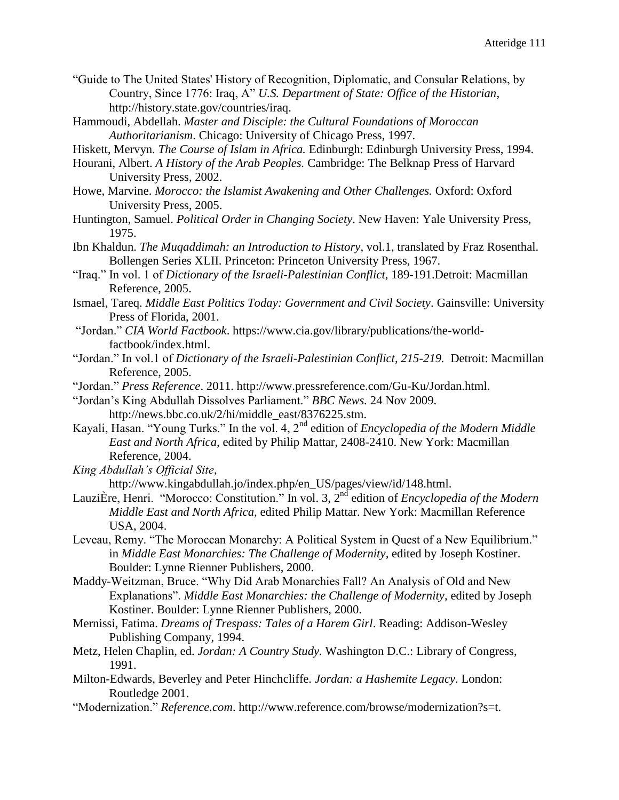- "Guide to The United States' History of Recognition, Diplomatic, and Consular Relations, by Country, Since 1776: Iraq, A" *U.S. Department of State: Office of the Historian*, http://history.state.gov/countries/iraq.
- Hammoudi, Abdellah. *Master and Disciple: the Cultural Foundations of Moroccan Authoritarianism*. Chicago: University of Chicago Press, 1997.
- Hiskett, Mervyn. *The Course of Islam in Africa.* Edinburgh: Edinburgh University Press, 1994.
- Hourani, Albert. *A History of the Arab Peoples.* Cambridge: The Belknap Press of Harvard University Press, 2002.
- Howe, Marvine. *Morocco: the Islamist Awakening and Other Challenges.* Oxford: Oxford University Press, 2005.
- Huntington, Samuel. *Political Order in Changing Society*. New Haven: Yale University Press, 1975.
- Ibn Khaldun. *The Muqaddimah: an Introduction to History*, vol.1, translated by Fraz Rosenthal. Bollengen Series XLII. Princeton: Princeton University Press, 1967.
- "Iraq." In vol. 1 of *Dictionary of the Israeli-Palestinian Conflict*, 189-191.Detroit: Macmillan Reference, 2005.
- Ismael, Tareq. *Middle East Politics Today: Government and Civil Society*. Gainsville: University Press of Florida, 2001.
- "Jordan." *CIA World Factbook*. https://www.cia.gov/library/publications/the-worldfactbook/index.html.
- "Jordan." In vol.1 of *Dictionary of the Israeli-Palestinian Conflict, 215-219.* Detroit: Macmillan Reference, 2005.
- "Jordan." *Press Reference*. 2011. http://www.pressreference.com/Gu-Ku/Jordan.html.
- "Jordan's King Abdullah Dissolves Parliament." *BBC News.* 24 Nov 2009. http://news.bbc.co.uk/2/hi/middle\_east/8376225.stm.
- Kayali, Hasan. "Young Turks." In the vol. 4, 2nd edition of *Encyclopedia of the Modern Middle East and North Africa,* edited by Philip Mattar, 2408-2410. New York: Macmillan Reference, 2004.
- *King Abdullah's Official Site*,

```
http://www.kingabdullah.jo/index.php/en_US/pages/view/id/148.html.
```
- [LauziÈre,](http://go.galegroup.com/ps/advancedSearch.do?inputFieldName(0)=AU&prodId=GVRL&userGroupName=mlin_w_mounthc&method=doSearch&inputFieldValue(0)=%22Henri+Lauzi%C3%88re%22&searchType=AdvancedSearchForm) Henri. "Morocco: Constitution." In vol. 3, 2<sup>nd</sup> edition of *Encyclopedia of the Modern Middle East and North Africa,* edited Philip Mattar. New York: Macmillan Reference USA, 2004.
- Leveau, Remy. "The Moroccan Monarchy: A Political System in Quest of a New Equilibrium." in *Middle East Monarchies: The Challenge of Modernity,* edited by Joseph Kostiner. Boulder: Lynne Rienner Publishers, 2000.
- Maddy-Weitzman, Bruce. "Why Did Arab Monarchies Fall? An Analysis of Old and New Explanations". *Middle East Monarchies: the Challenge of Modernity*, edited by Joseph Kostiner. Boulder: Lynne Rienner Publishers, 2000.
- Mernissi, Fatima. *Dreams of Trespass: Tales of a Harem Girl*. Reading: Addison-Wesley Publishing Company, 1994.
- Metz, Helen Chaplin, ed. *Jordan: A Country Study.* Washington D.C.: Library of Congress, 1991.
- Milton-Edwards, Beverley and Peter Hinchcliffe. *Jordan: a Hashemite Legacy*. London: Routledge 2001.
- "Modernization." *Reference.com*. http://www.reference.com/browse/modernization?s=t.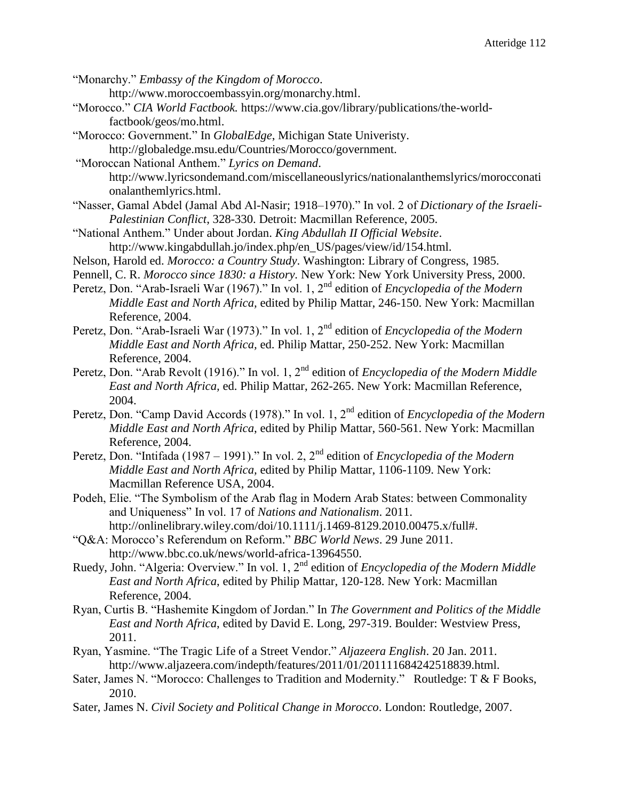"Monarchy." *Embassy of the Kingdom of Morocco*.

http://www.moroccoembassyin.org/monarchy.html.

- "Morocco." *CIA World Factbook.* https://www.cia.gov/library/publications/the-worldfactbook/geos/mo.html.
- "Morocco: Government." In *GlobalEdge*, Michigan State Univeristy. http://globaledge.msu.edu/Countries/Morocco/government.
- "Moroccan National Anthem." *Lyrics on Demand*. http://www.lyricsondemand.com/miscellaneouslyrics/nationalanthemslyrics/morocconati onalanthemlyrics.html.
- "Nasser, Gamal Abdel (Jamal Abd Al-Nasir; 1918–1970)." In vol. 2 of *Dictionary of the Israeli-Palestinian Conflict*, 328-330. Detroit: Macmillan Reference, 2005.
- "National Anthem." Under about Jordan. *King Abdullah II Official Website*. http://www.kingabdullah.jo/index.php/en\_US/pages/view/id/154.html.
- Nelson, Harold ed. *Morocco: a Country Study*. Washington: Library of Congress, 1985.
- Pennell, C. R. *Morocco since 1830: a History.* New York: New York University Press, 2000.
- Peretz, Don. "Arab-Israeli War (1967)." In vol. 1, 2nd edition of *Encyclopedia of the Modern Middle East and North Africa,* edited by Philip Mattar, 246-150. New York: Macmillan Reference, 2004.
- Peretz, Don. "Arab-Israeli War (1973)." In vol. 1, 2nd edition of *Encyclopedia of the Modern Middle East and North Africa,* ed. Philip Mattar, 250-252. New York: Macmillan Reference, 2004.
- Peretz, Don. "Arab Revolt (1916)." In vol. 1, 2nd edition of *Encyclopedia of the Modern Middle East and North Africa,* ed. Philip Mattar, 262-265. New York: Macmillan Reference, 2004.
- Peretz, Don. "Camp David Accords (1978)." In vol. 1, 2nd edition of *Encyclopedia of the Modern Middle East and North Africa*, edited by Philip Mattar, 560-561. New York: Macmillan Reference, 2004.
- Peretz, Don. "Intifada (1987 1991)." In vol. 2, 2nd edition of *Encyclopedia of the Modern Middle East and North Africa,* edited by Philip Mattar, 1106-1109. New York: Macmillan Reference USA, 2004.
- Podeh, Elie. "The Symbolism of the Arab flag in Modern Arab States: between Commonality and Uniqueness" In vol. 17 of *Nations and Nationalism*. 2011. http://onlinelibrary.wiley.com/doi/10.1111/j.1469-8129.2010.00475.x/full#.
- "Q&A: Morocco's Referendum on Reform." *BBC World News*. 29 June 2011. http://www.bbc.co.uk/news/world-africa-13964550.
- Ruedy, John. "Algeria: Overview." In vol. 1, 2nd edition of *Encyclopedia of the Modern Middle East and North Africa*, edited by Philip Mattar, 120-128. New York: Macmillan Reference, 2004.
- Ryan, Curtis B. "Hashemite Kingdom of Jordan." In *The Government and Politics of the Middle East and North Africa*, edited by David E. Long, 297-319. Boulder: Westview Press, 2011.
- Ryan, Yasmine. "The Tragic Life of a Street Vendor." *Aljazeera English*. 20 Jan. 2011. http://www.aljazeera.com/indepth/features/2011/01/201111684242518839.html.
- Sater, James N. "Morocco: Challenges to Tradition and Modernity." Routledge: T & F Books, 2010.
- Sater, James N. *Civil Society and Political Change in Morocco*. London: Routledge, 2007.